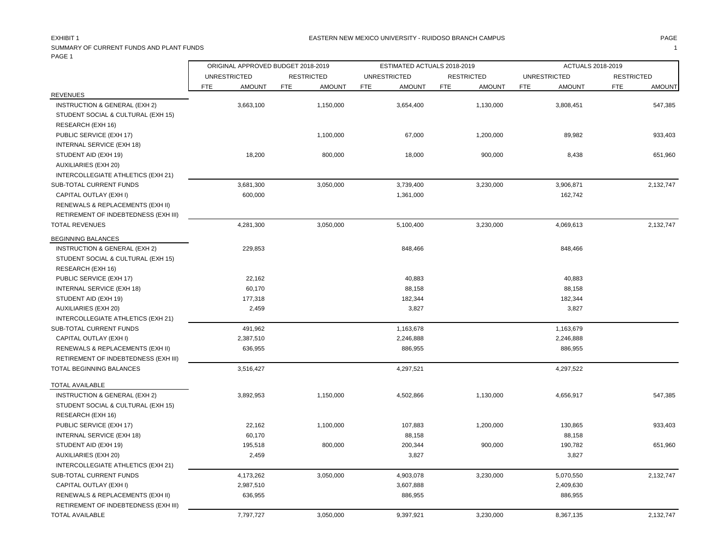### EASTERN NEW MEXICO UNIVERSITY - RUIDOSO BRANCH CAMPUS AND THE MAGE PAGE PAGE AND THE SAME AND THE SAME AND THE

## SUMMARY OF CURRENT FUNDS AND PLANT FUNDS **1** PAGE 1

|                                                                | ORIGINAL APPROVED BUDGET 2018-2019 |               |            |                   | ESTIMATED ACTUALS 2018-2019 |                     |            |                   | ACTUALS 2018-2019 |                     |                   |               |
|----------------------------------------------------------------|------------------------------------|---------------|------------|-------------------|-----------------------------|---------------------|------------|-------------------|-------------------|---------------------|-------------------|---------------|
|                                                                | <b>UNRESTRICTED</b>                |               |            | <b>RESTRICTED</b> |                             | <b>UNRESTRICTED</b> |            | <b>RESTRICTED</b> |                   | <b>UNRESTRICTED</b> | <b>RESTRICTED</b> |               |
|                                                                | FTE                                | <b>AMOUNT</b> | <b>FTE</b> | <b>AMOUNT</b>     | <b>FTE</b>                  | <b>AMOUNT</b>       | <b>FTE</b> | <b>AMOUNT</b>     | FTE               | <b>AMOUNT</b>       | <b>FTE</b>        | <b>AMOUNT</b> |
| <b>REVENUES</b>                                                |                                    |               |            |                   |                             |                     |            |                   |                   |                     |                   |               |
| INSTRUCTION & GENERAL (EXH 2)                                  |                                    | 3,663,100     |            | 1,150,000         |                             | 3,654,400           |            | 1,130,000         |                   | 3,808,451           |                   | 547,385       |
| STUDENT SOCIAL & CULTURAL (EXH 15)                             |                                    |               |            |                   |                             |                     |            |                   |                   |                     |                   |               |
| RESEARCH (EXH 16)                                              |                                    |               |            |                   |                             |                     |            |                   |                   |                     |                   |               |
| PUBLIC SERVICE (EXH 17)                                        |                                    |               |            | 1,100,000         |                             | 67,000              |            | 1,200,000         |                   | 89,982              |                   | 933,403       |
| INTERNAL SERVICE (EXH 18)                                      |                                    |               |            |                   |                             |                     |            |                   |                   |                     |                   |               |
| STUDENT AID (EXH 19)                                           |                                    | 18,200        |            | 800,000           |                             | 18,000              |            | 900,000           |                   | 8,438               |                   | 651,960       |
| <b>AUXILIARIES (EXH 20)</b>                                    |                                    |               |            |                   |                             |                     |            |                   |                   |                     |                   |               |
| INTERCOLLEGIATE ATHLETICS (EXH 21)                             |                                    |               |            |                   |                             |                     |            |                   |                   |                     |                   |               |
| SUB-TOTAL CURRENT FUNDS                                        |                                    | 3,681,300     |            | 3,050,000         |                             | 3,739,400           |            | 3,230,000         |                   | 3,906,871           |                   | 2,132,747     |
| CAPITAL OUTLAY (EXH I)                                         |                                    | 600,000       |            |                   |                             | 1,361,000           |            |                   |                   | 162,742             |                   |               |
| RENEWALS & REPLACEMENTS (EXH II)                               |                                    |               |            |                   |                             |                     |            |                   |                   |                     |                   |               |
| RETIREMENT OF INDEBTEDNESS (EXH III)                           |                                    |               |            |                   |                             |                     |            |                   |                   |                     |                   |               |
| <b>TOTAL REVENUES</b>                                          |                                    | 4,281,300     |            | 3,050,000         |                             | 5,100,400           |            | 3,230,000         |                   | 4,069,613           |                   | 2,132,747     |
| <b>BEGINNING BALANCES</b>                                      |                                    |               |            |                   |                             |                     |            |                   |                   |                     |                   |               |
| INSTRUCTION & GENERAL (EXH 2)                                  |                                    | 229,853       |            |                   |                             | 848,466             |            |                   |                   | 848,466             |                   |               |
| STUDENT SOCIAL & CULTURAL (EXH 15)                             |                                    |               |            |                   |                             |                     |            |                   |                   |                     |                   |               |
| RESEARCH (EXH 16)                                              |                                    |               |            |                   |                             |                     |            |                   |                   |                     |                   |               |
| PUBLIC SERVICE (EXH 17)                                        |                                    | 22,162        |            |                   |                             | 40,883              |            |                   |                   | 40,883              |                   |               |
| INTERNAL SERVICE (EXH 18)                                      |                                    | 60,170        |            |                   |                             | 88,158              |            |                   |                   | 88,158              |                   |               |
| STUDENT AID (EXH 19)                                           |                                    | 177,318       |            |                   |                             | 182,344             |            |                   |                   | 182,344             |                   |               |
| <b>AUXILIARIES (EXH 20)</b>                                    |                                    | 2,459         |            |                   |                             | 3,827               |            |                   |                   | 3,827               |                   |               |
| INTERCOLLEGIATE ATHLETICS (EXH 21)                             |                                    |               |            |                   |                             |                     |            |                   |                   |                     |                   |               |
| SUB-TOTAL CURRENT FUNDS                                        |                                    | 491,962       |            |                   |                             | 1,163,678           |            |                   |                   | 1,163,679           |                   |               |
| CAPITAL OUTLAY (EXH I)                                         |                                    | 2,387,510     |            |                   |                             | 2,246,888           |            |                   |                   | 2,246,888           |                   |               |
| RENEWALS & REPLACEMENTS (EXH II)                               |                                    | 636,955       |            |                   |                             | 886,955             |            |                   |                   | 886,955             |                   |               |
| RETIREMENT OF INDEBTEDNESS (EXH III)                           |                                    |               |            |                   |                             |                     |            |                   |                   |                     |                   |               |
| TOTAL BEGINNING BALANCES                                       |                                    | 3,516,427     |            |                   |                             | 4,297,521           |            |                   |                   | 4,297,522           |                   |               |
| <b>TOTAL AVAILABLE</b>                                         |                                    |               |            |                   |                             |                     |            |                   |                   |                     |                   |               |
| INSTRUCTION & GENERAL (EXH 2)                                  |                                    | 3,892,953     |            | 1,150,000         |                             | 4,502,866           |            | 1,130,000         |                   | 4,656,917           |                   | 547,385       |
| STUDENT SOCIAL & CULTURAL (EXH 15)                             |                                    |               |            |                   |                             |                     |            |                   |                   |                     |                   |               |
| RESEARCH (EXH 16)                                              |                                    |               |            |                   |                             |                     |            |                   |                   |                     |                   |               |
| PUBLIC SERVICE (EXH 17)                                        |                                    | 22,162        |            | 1,100,000         |                             | 107,883             |            | 1,200,000         |                   | 130,865             |                   | 933,403       |
| INTERNAL SERVICE (EXH 18)                                      |                                    | 60,170        |            |                   |                             | 88,158              |            |                   |                   | 88,158              |                   |               |
| STUDENT AID (EXH 19)                                           |                                    | 195,518       |            | 800,000           |                             | 200,344             |            | 900,000           |                   | 190,782             |                   | 651,960       |
| <b>AUXILIARIES (EXH 20)</b>                                    |                                    | 2,459         |            |                   |                             | 3,827               |            |                   |                   | 3,827               |                   |               |
| INTERCOLLEGIATE ATHLETICS (EXH 21)                             |                                    |               |            |                   |                             |                     |            |                   |                   |                     |                   |               |
|                                                                |                                    |               |            |                   |                             |                     |            |                   |                   |                     |                   |               |
| SUB-TOTAL CURRENT FUNDS                                        |                                    | 4,173,262     |            | 3,050,000         |                             | 4,903,078           |            | 3,230,000         |                   | 5,070,550           |                   | 2,132,747     |
| CAPITAL OUTLAY (EXH I)                                         |                                    | 2,987,510     |            |                   |                             | 3,607,888           |            |                   |                   | 2,409,630           |                   |               |
| RENEWALS & REPLACEMENTS (EXH II)                               |                                    | 636,955       |            |                   |                             | 886,955             |            |                   |                   | 886,955             |                   |               |
| RETIREMENT OF INDEBTEDNESS (EXH III)<br><b>TOTAL AVAILABLE</b> |                                    |               |            |                   |                             |                     |            |                   |                   |                     |                   |               |
|                                                                |                                    | 7,797,727     |            | 3,050,000         |                             | 9,397,921           |            | 3,230,000         |                   | 8,367,135           |                   | 2,132,747     |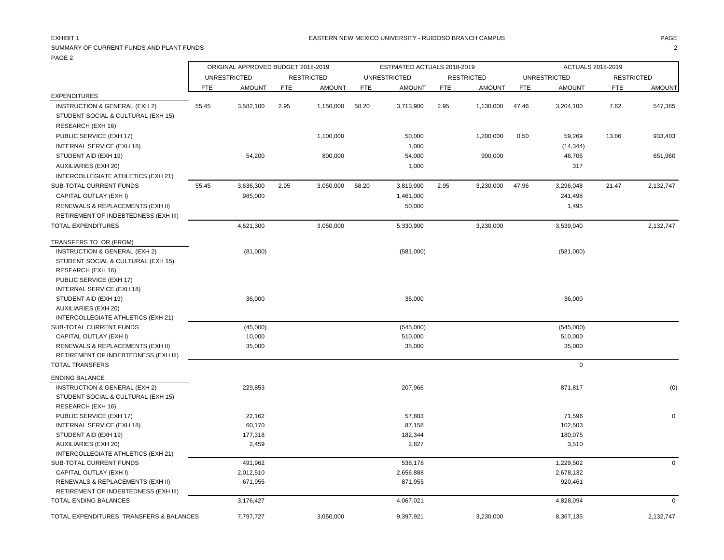ORIGINAL APPROVED BUDGET 2018-2019 ESTIMATED ACTUALS 2018-2019 ACTUALS 2018-2019 UNRESTRICTED RESTRICTED UNRESTRICTED RESTRICTED UNRESTRICTED RESTRICTED

|                                          | <b>FTE</b> | <b>AMOUNT</b> | <b>FTE</b> | <b>AMOUNT</b> | FTE   | <b>AMOUNT</b> | FTE  | AMOUNT    | <b>FTE</b> | <b>AMOUNT</b> | <b>FTE</b> | <b>AMOUNT</b> |
|------------------------------------------|------------|---------------|------------|---------------|-------|---------------|------|-----------|------------|---------------|------------|---------------|
| <b>EXPENDITURES</b>                      |            |               |            |               |       |               |      |           |            |               |            |               |
| INSTRUCTION & GENERAL (EXH 2)            | 55.45      | 3,582,100     | 2.95       | 1,150,000     | 58.20 | 3,713,900     | 2.95 | 1,130,000 | 47.46      | 3,204,100     | 7.62       | 547,385       |
| STUDENT SOCIAL & CULTURAL (EXH 15)       |            |               |            |               |       |               |      |           |            |               |            |               |
| RESEARCH (EXH 16)                        |            |               |            |               |       |               |      |           |            |               |            |               |
| PUBLIC SERVICE (EXH 17)                  |            |               |            | 1,100,000     |       | 50,000        |      | 1,200,000 | 0.50       | 59,269        | 13.86      | 933,403       |
| INTERNAL SERVICE (EXH 18)                |            |               |            |               |       | 1,000         |      |           |            | (14, 344)     |            |               |
| STUDENT AID (EXH 19)                     |            | 54,200        |            | 800,000       |       | 54,000        |      | 900,000   |            | 46,706        |            | 651,960       |
| <b>AUXILIARIES (EXH 20)</b>              |            |               |            |               |       | 1,000         |      |           |            | 317           |            |               |
| INTERCOLLEGIATE ATHLETICS (EXH 21)       |            |               |            |               |       |               |      |           |            |               |            |               |
| SUB-TOTAL CURRENT FUNDS                  | 55.45      | 3,636,300     | 2.95       | 3,050,000     | 58.20 | 3,819,900     | 2.95 | 3,230,000 | 47.96      | 3,296,048     | 21.47      | 2,132,747     |
| CAPITAL OUTLAY (EXH I)                   |            | 985,000       |            |               |       | 1,461,000     |      |           |            | 241,498       |            |               |
| RENEWALS & REPLACEMENTS (EXH II)         |            |               |            |               |       | 50,000        |      |           |            | 1,495         |            |               |
| RETIREMENT OF INDEBTEDNESS (EXH III)     |            |               |            |               |       |               |      |           |            |               |            |               |
| <b>TOTAL EXPENDITURES</b>                |            | 4,621,300     |            | 3,050,000     |       | 5,330,900     |      | 3,230,000 |            | 3,539,040     |            | 2,132,747     |
| TRANSFERS TO OR (FROM)                   |            |               |            |               |       |               |      |           |            |               |            |               |
| INSTRUCTION & GENERAL (EXH 2)            |            | (81,000)      |            |               |       | (581,000)     |      |           |            | (581,000)     |            |               |
| STUDENT SOCIAL & CULTURAL (EXH 15)       |            |               |            |               |       |               |      |           |            |               |            |               |
| RESEARCH (EXH 16)                        |            |               |            |               |       |               |      |           |            |               |            |               |
| PUBLIC SERVICE (EXH 17)                  |            |               |            |               |       |               |      |           |            |               |            |               |
| INTERNAL SERVICE (EXH 18)                |            |               |            |               |       |               |      |           |            |               |            |               |
| STUDENT AID (EXH 19)                     |            | 36,000        |            |               |       | 36,000        |      |           |            | 36,000        |            |               |
| AUXILIARIES (EXH 20)                     |            |               |            |               |       |               |      |           |            |               |            |               |
| INTERCOLLEGIATE ATHLETICS (EXH 21)       |            |               |            |               |       |               |      |           |            |               |            |               |
| SUB-TOTAL CURRENT FUNDS                  |            | (45,000)      |            |               |       | (545,000)     |      |           |            | (545,000)     |            |               |
| CAPITAL OUTLAY (EXH I)                   |            | 10,000        |            |               |       | 510,000       |      |           |            | 510,000       |            |               |
| RENEWALS & REPLACEMENTS (EXH II)         |            | 35,000        |            |               |       | 35,000        |      |           |            | 35,000        |            |               |
| RETIREMENT OF INDEBTEDNESS (EXH III)     |            |               |            |               |       |               |      |           |            |               |            |               |
| <b>TOTAL TRANSFERS</b>                   |            |               |            |               |       |               |      |           |            | $\mathbf 0$   |            |               |
| <b>ENDING BALANCE</b>                    |            |               |            |               |       |               |      |           |            |               |            |               |
| <b>INSTRUCTION &amp; GENERAL (EXH 2)</b> |            | 229,853       |            |               |       | 207,966       |      |           |            | 871,817       |            | (0)           |
| STUDENT SOCIAL & CULTURAL (EXH 15)       |            |               |            |               |       |               |      |           |            |               |            |               |
| RESEARCH (EXH 16)                        |            |               |            |               |       |               |      |           |            |               |            |               |
| PUBLIC SERVICE (EXH 17)                  |            | 22,162        |            |               |       | 57,883        |      |           |            | 71,596        |            | $\mathbf 0$   |
| INTERNAL SERVICE (EXH 18)                |            | 60,170        |            |               |       | 87,158        |      |           |            | 102,503       |            |               |
| STUDENT AID (EXH 19)                     |            | 177,318       |            |               |       | 182,344       |      |           |            | 180,075       |            |               |
| <b>AUXILIARIES (EXH 20)</b>              |            | 2,459         |            |               |       | 2,827         |      |           |            | 3,510         |            |               |
| INTERCOLLEGIATE ATHLETICS (EXH 21)       |            |               |            |               |       |               |      |           |            |               |            |               |
| SUB-TOTAL CURRENT FUNDS                  |            | 491,962       |            |               |       | 538,178       |      |           |            | 1,229,502     |            | $\mathbf{0}$  |
| CAPITAL OUTLAY (EXH I)                   |            | 2,012,510     |            |               |       | 2,656,888     |      |           |            | 2,678,132     |            |               |
| RENEWALS & REPLACEMENTS (EXH II)         |            | 671,955       |            |               |       | 871,955       |      |           |            | 920,461       |            |               |
| RETIREMENT OF INDEBTEDNESS (EXH III)     |            |               |            |               |       |               |      |           |            |               |            |               |
| TOTAL ENDING BALANCES                    |            | 3,176,427     |            |               |       | 4,067,021     |      |           |            | 4,828,094     |            | $\Omega$      |

TOTAL EXPENDITURES, TRANSFERS & BALANCES **7**,797,727 3,050,000 9,397,921 3,230,000 8,387,135 8,367,135 2,132,747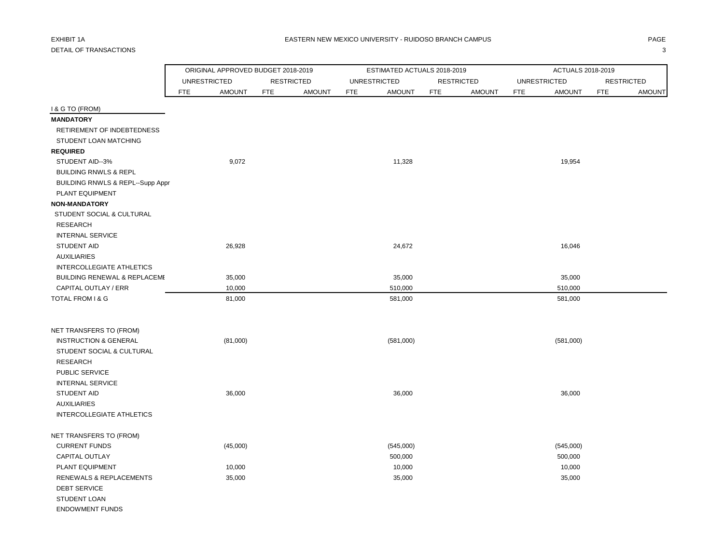# DETAIL OF TRANSACTIONS 3

|                                  | ORIGINAL APPROVED BUDGET 2018-2019 |                   |               | ESTIMATED ACTUALS 2018-2019 |            |                   |            | ACTUALS 2018-2019   |                   |               |
|----------------------------------|------------------------------------|-------------------|---------------|-----------------------------|------------|-------------------|------------|---------------------|-------------------|---------------|
|                                  | <b>UNRESTRICTED</b>                | <b>RESTRICTED</b> |               | <b>UNRESTRICTED</b>         |            | <b>RESTRICTED</b> |            | <b>UNRESTRICTED</b> | <b>RESTRICTED</b> |               |
|                                  | <b>AMOUNT</b><br><b>FTE</b>        | <b>FTE</b>        | <b>AMOUNT</b> | <b>AMOUNT</b><br><b>FTE</b> | <b>FTE</b> | <b>AMOUNT</b>     | <b>FTE</b> | <b>AMOUNT</b>       | <b>FTE</b>        | <b>AMOUNT</b> |
| I & G TO (FROM)                  |                                    |                   |               |                             |            |                   |            |                     |                   |               |
| <b>MANDATORY</b>                 |                                    |                   |               |                             |            |                   |            |                     |                   |               |
| RETIREMENT OF INDEBTEDNESS       |                                    |                   |               |                             |            |                   |            |                     |                   |               |
| STUDENT LOAN MATCHING            |                                    |                   |               |                             |            |                   |            |                     |                   |               |
| <b>REQUIRED</b>                  |                                    |                   |               |                             |            |                   |            |                     |                   |               |
| STUDENT AID--3%                  | 9,072                              |                   |               | 11,328                      |            |                   |            | 19,954              |                   |               |
| <b>BUILDING RNWLS &amp; REPL</b> |                                    |                   |               |                             |            |                   |            |                     |                   |               |
| BUILDING RNWLS & REPL--Supp Appr |                                    |                   |               |                             |            |                   |            |                     |                   |               |
| PLANT EQUIPMENT                  |                                    |                   |               |                             |            |                   |            |                     |                   |               |
| <b>NON-MANDATORY</b>             |                                    |                   |               |                             |            |                   |            |                     |                   |               |
| STUDENT SOCIAL & CULTURAL        |                                    |                   |               |                             |            |                   |            |                     |                   |               |
| <b>RESEARCH</b>                  |                                    |                   |               |                             |            |                   |            |                     |                   |               |
| <b>INTERNAL SERVICE</b>          |                                    |                   |               |                             |            |                   |            |                     |                   |               |
| STUDENT AID                      | 26,928                             |                   |               | 24,672                      |            |                   |            | 16,046              |                   |               |
| <b>AUXILIARIES</b>               |                                    |                   |               |                             |            |                   |            |                     |                   |               |
| <b>INTERCOLLEGIATE ATHLETICS</b> |                                    |                   |               |                             |            |                   |            |                     |                   |               |
| BUILDING RENEWAL & REPLACEME     | 35,000                             |                   |               | 35,000                      |            |                   |            | 35,000              |                   |               |
| CAPITAL OUTLAY / ERR             | 10,000                             |                   |               | 510,000                     |            |                   |            | 510,000             |                   |               |
| TOTAL FROM I & G                 | 81,000                             |                   |               | 581,000                     |            |                   |            | 581,000             |                   |               |
| NET TRANSFERS TO (FROM)          |                                    |                   |               |                             |            |                   |            |                     |                   |               |
| <b>INSTRUCTION &amp; GENERAL</b> | (81,000)                           |                   |               | (581,000)                   |            |                   |            | (581,000)           |                   |               |
| STUDENT SOCIAL & CULTURAL        |                                    |                   |               |                             |            |                   |            |                     |                   |               |
| <b>RESEARCH</b>                  |                                    |                   |               |                             |            |                   |            |                     |                   |               |
| PUBLIC SERVICE                   |                                    |                   |               |                             |            |                   |            |                     |                   |               |
| <b>INTERNAL SERVICE</b>          |                                    |                   |               |                             |            |                   |            |                     |                   |               |
| <b>STUDENT AID</b>               | 36,000                             |                   |               | 36,000                      |            |                   |            | 36,000              |                   |               |
| <b>AUXILIARIES</b>               |                                    |                   |               |                             |            |                   |            |                     |                   |               |
| INTERCOLLEGIATE ATHLETICS        |                                    |                   |               |                             |            |                   |            |                     |                   |               |
| NET TRANSFERS TO (FROM)          |                                    |                   |               |                             |            |                   |            |                     |                   |               |
| <b>CURRENT FUNDS</b>             | (45,000)                           |                   |               | (545,000)                   |            |                   |            | (545,000)           |                   |               |
| CAPITAL OUTLAY                   |                                    |                   |               | 500,000                     |            |                   |            | 500,000             |                   |               |
| PLANT EQUIPMENT                  | 10,000                             |                   |               | 10,000                      |            |                   |            | 10,000              |                   |               |
| RENEWALS & REPLACEMENTS          | 35,000                             |                   |               | 35,000                      |            |                   |            | 35,000              |                   |               |
| <b>DEBT SERVICE</b>              |                                    |                   |               |                             |            |                   |            |                     |                   |               |
| STUDENT LOAN                     |                                    |                   |               |                             |            |                   |            |                     |                   |               |
| <b>ENDOWMENT FUNDS</b>           |                                    |                   |               |                             |            |                   |            |                     |                   |               |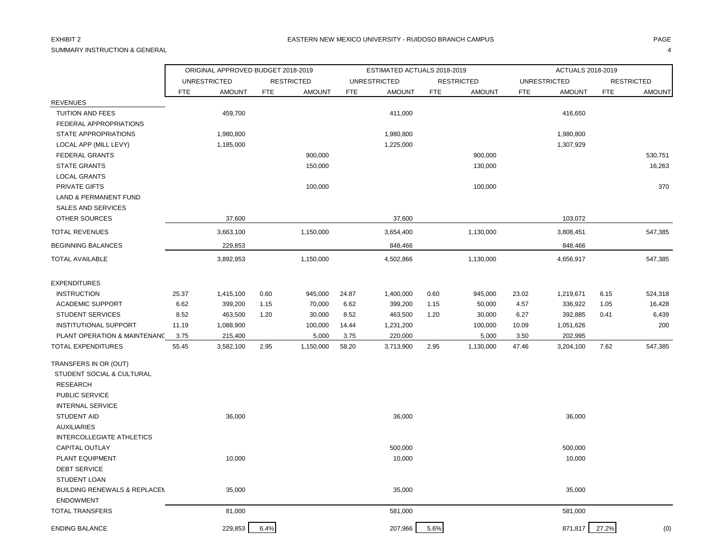SUMMARY INSTRUCTION & GENERAL 4

|                                         |            | ORIGINAL APPROVED BUDGET 2018-2019 |            |                   |            | ESTIMATED ACTUALS 2018-2019 |            |                   |            | ACTUALS 2018-2019   |            |                   |
|-----------------------------------------|------------|------------------------------------|------------|-------------------|------------|-----------------------------|------------|-------------------|------------|---------------------|------------|-------------------|
|                                         |            | <b>UNRESTRICTED</b>                |            | <b>RESTRICTED</b> |            | <b>UNRESTRICTED</b>         |            | <b>RESTRICTED</b> |            | <b>UNRESTRICTED</b> |            | <b>RESTRICTED</b> |
|                                         | <b>FTE</b> | <b>AMOUNT</b>                      | <b>FTE</b> | <b>AMOUNT</b>     | <b>FTE</b> | <b>AMOUNT</b>               | <b>FTE</b> | <b>AMOUNT</b>     | <b>FTE</b> | <b>AMOUNT</b>       | <b>FTE</b> | <b>AMOUNT</b>     |
| <b>REVENUES</b>                         |            |                                    |            |                   |            |                             |            |                   |            |                     |            |                   |
| TUITION AND FEES                        |            | 459,700                            |            |                   |            | 411,000                     |            |                   |            | 416,650             |            |                   |
| FEDERAL APPROPRIATIONS                  |            |                                    |            |                   |            |                             |            |                   |            |                     |            |                   |
| STATE APPROPRIATIONS                    |            | 1,980,800                          |            |                   |            | 1,980,800                   |            |                   |            | 1,980,800           |            |                   |
| LOCAL APP (MILL LEVY)                   |            | 1,185,000                          |            |                   |            | 1,225,000                   |            |                   |            | 1,307,929           |            |                   |
| <b>FEDERAL GRANTS</b>                   |            |                                    |            | 900,000           |            |                             |            | 900,000           |            |                     |            | 530,751           |
| <b>STATE GRANTS</b>                     |            |                                    |            | 150,000           |            |                             |            | 130,000           |            |                     |            | 16,263            |
| <b>LOCAL GRANTS</b>                     |            |                                    |            |                   |            |                             |            |                   |            |                     |            |                   |
| PRIVATE GIFTS                           |            |                                    |            | 100,000           |            |                             |            | 100,000           |            |                     |            | 370               |
| <b>LAND &amp; PERMANENT FUND</b>        |            |                                    |            |                   |            |                             |            |                   |            |                     |            |                   |
| SALES AND SERVICES                      |            |                                    |            |                   |            |                             |            |                   |            |                     |            |                   |
| OTHER SOURCES                           |            | 37,600                             |            |                   |            | 37,600                      |            |                   |            | 103,072             |            |                   |
| <b>TOTAL REVENUES</b>                   |            | 3,663,100                          |            | 1,150,000         |            | 3,654,400                   |            | 1,130,000         |            | 3,808,451           |            | 547,385           |
| <b>BEGINNING BALANCES</b>               |            | 229,853                            |            |                   |            | 848,466                     |            |                   |            | 848,466             |            |                   |
| TOTAL AVAILABLE                         |            | 3,892,953                          |            | 1,150,000         |            | 4,502,866                   |            | 1,130,000         |            | 4,656,917           |            | 547,385           |
| <b>EXPENDITURES</b>                     |            |                                    |            |                   |            |                             |            |                   |            |                     |            |                   |
| <b>INSTRUCTION</b>                      | 25.37      | 1,415,100                          | 0.60       | 945,000           | 24.87      | 1,400,000                   | 0.60       | 945,000           | 23.02      | 1,219,671           | 6.15       | 524,318           |
| <b>ACADEMIC SUPPORT</b>                 | 6.62       | 399,200                            | 1.15       | 70,000            | 6.62       | 399,200                     | 1.15       | 50,000            | 4.57       | 336,922             | 1.05       | 16,428            |
| <b>STUDENT SERVICES</b>                 | 8.52       | 463,500                            | 1.20       | 30,000            | 8.52       | 463,500                     | 1.20       | 30,000            | 6.27       | 392,885             | 0.41       | 6,439             |
| <b>INSTITUTIONAL SUPPORT</b>            | 11.19      | 1,088,900                          |            | 100,000           | 14.44      | 1,231,200                   |            | 100,000           | 10.09      | 1,051,626           |            | 200               |
| PLANT OPERATION & MAINTENANC            | 3.75       | 215,400                            |            | 5,000             | 3.75       | 220,000                     |            | 5,000             | 3.50       | 202,995             |            |                   |
| <b>TOTAL EXPENDITURES</b>               | 55.45      | 3,582,100                          | 2.95       | 1,150,000         | 58.20      | 3,713,900                   | 2.95       | 1,130,000         | 47.46      | 3,204,100           | 7.62       | 547,385           |
| TRANSFERS IN OR (OUT)                   |            |                                    |            |                   |            |                             |            |                   |            |                     |            |                   |
| STUDENT SOCIAL & CULTURAL               |            |                                    |            |                   |            |                             |            |                   |            |                     |            |                   |
| <b>RESEARCH</b>                         |            |                                    |            |                   |            |                             |            |                   |            |                     |            |                   |
| PUBLIC SERVICE                          |            |                                    |            |                   |            |                             |            |                   |            |                     |            |                   |
| <b>INTERNAL SERVICE</b>                 |            |                                    |            |                   |            |                             |            |                   |            |                     |            |                   |
| <b>STUDENT AID</b>                      |            | 36,000                             |            |                   |            | 36,000                      |            |                   |            | 36,000              |            |                   |
| <b>AUXILIARIES</b>                      |            |                                    |            |                   |            |                             |            |                   |            |                     |            |                   |
| <b>INTERCOLLEGIATE ATHLETICS</b>        |            |                                    |            |                   |            |                             |            |                   |            |                     |            |                   |
| <b>CAPITAL OUTLAY</b>                   |            |                                    |            |                   |            | 500,000                     |            |                   |            | 500,000             |            |                   |
| PLANT EQUIPMENT                         |            | 10,000                             |            |                   |            | 10,000                      |            |                   |            | 10,000              |            |                   |
| <b>DEBT SERVICE</b>                     |            |                                    |            |                   |            |                             |            |                   |            |                     |            |                   |
| STUDENT LOAN                            |            |                                    |            |                   |            |                             |            |                   |            |                     |            |                   |
| <b>BUILDING RENEWALS &amp; REPLACEM</b> |            | 35,000                             |            |                   |            | 35,000                      |            |                   |            | 35,000              |            |                   |
| <b>ENDOWMENT</b>                        |            |                                    |            |                   |            |                             |            |                   |            |                     |            |                   |
| <b>TOTAL TRANSFERS</b>                  |            | 81,000                             |            |                   |            | 581,000                     |            |                   |            | 581,000             |            |                   |
| <b>ENDING BALANCE</b>                   |            | 229,853                            | 6.4%       |                   |            | 207,966                     | 5.6%       |                   |            | 871,817             | 27.2%      | (0)               |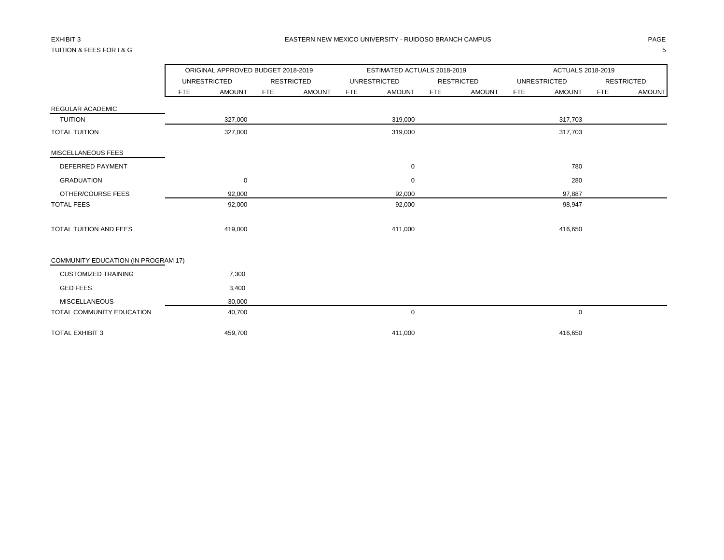## TUITION & FEES FOR I & G 5

|                                     |     | ORIGINAL APPROVED BUDGET 2018-2019 |            |                   |            | ESTIMATED ACTUALS 2018-2019 |            |                   |            | ACTUALS 2018-2019   |            |                   |
|-------------------------------------|-----|------------------------------------|------------|-------------------|------------|-----------------------------|------------|-------------------|------------|---------------------|------------|-------------------|
|                                     |     | <b>UNRESTRICTED</b>                |            | <b>RESTRICTED</b> |            | <b>UNRESTRICTED</b>         |            | <b>RESTRICTED</b> |            | <b>UNRESTRICTED</b> |            | <b>RESTRICTED</b> |
|                                     | FTE | <b>AMOUNT</b>                      | <b>FTE</b> | <b>AMOUNT</b>     | <b>FTE</b> | <b>AMOUNT</b>               | <b>FTE</b> | <b>AMOUNT</b>     | <b>FTE</b> | <b>AMOUNT</b>       | <b>FTE</b> | <b>AMOUNT</b>     |
| REGULAR ACADEMIC                    |     |                                    |            |                   |            |                             |            |                   |            |                     |            |                   |
| <b>TUITION</b>                      |     | 327,000                            |            |                   |            | 319,000                     |            |                   |            | 317,703             |            |                   |
| <b>TOTAL TUITION</b>                |     | 327,000                            |            |                   |            | 319,000                     |            |                   |            | 317,703             |            |                   |
| MISCELLANEOUS FEES                  |     |                                    |            |                   |            |                             |            |                   |            |                     |            |                   |
| DEFERRED PAYMENT                    |     |                                    |            |                   |            | 0                           |            |                   |            | 780                 |            |                   |
| <b>GRADUATION</b>                   |     | 0                                  |            |                   |            | $\mathbf 0$                 |            |                   |            | 280                 |            |                   |
| OTHER/COURSE FEES                   |     | 92,000                             |            |                   |            | 92,000                      |            |                   |            | 97,887              |            |                   |
| <b>TOTAL FEES</b>                   |     | 92,000                             |            |                   |            | 92,000                      |            |                   |            | 98,947              |            |                   |
| <b>TOTAL TUITION AND FEES</b>       |     | 419,000                            |            |                   |            | 411,000                     |            |                   |            | 416,650             |            |                   |
| COMMUNITY EDUCATION (IN PROGRAM 17) |     |                                    |            |                   |            |                             |            |                   |            |                     |            |                   |
| <b>CUSTOMIZED TRAINING</b>          |     | 7,300                              |            |                   |            |                             |            |                   |            |                     |            |                   |
| <b>GED FEES</b>                     |     | 3,400                              |            |                   |            |                             |            |                   |            |                     |            |                   |
| <b>MISCELLANEOUS</b>                |     | 30,000                             |            |                   |            |                             |            |                   |            |                     |            |                   |
| TOTAL COMMUNITY EDUCATION           |     | 40,700                             |            |                   |            | 0                           |            |                   |            | 0                   |            |                   |
| <b>TOTAL EXHIBIT 3</b>              |     | 459,700                            |            |                   |            | 411,000                     |            |                   |            | 416,650             |            |                   |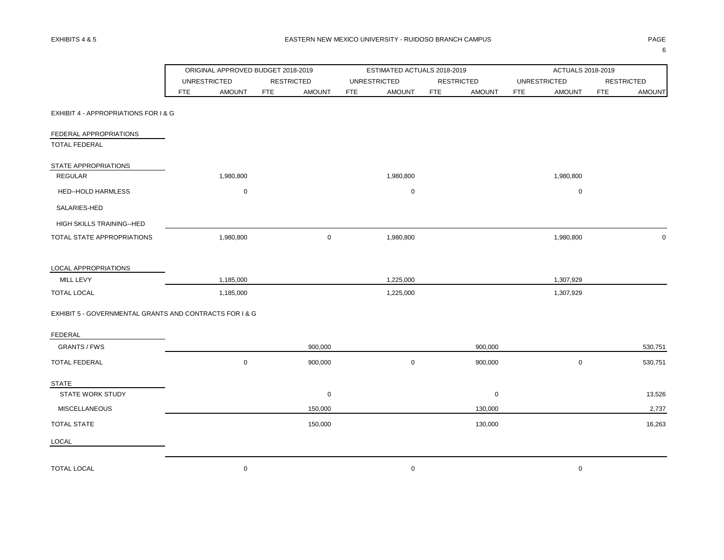|                                                         |            | ORIGINAL APPROVED BUDGET 2018-2019 |            |                   |            | ESTIMATED ACTUALS 2018-2019 |            |                   |            | ACTUALS 2018-2019   |                   |               |
|---------------------------------------------------------|------------|------------------------------------|------------|-------------------|------------|-----------------------------|------------|-------------------|------------|---------------------|-------------------|---------------|
|                                                         |            | <b>UNRESTRICTED</b>                |            | <b>RESTRICTED</b> |            | <b>UNRESTRICTED</b>         |            | <b>RESTRICTED</b> |            | <b>UNRESTRICTED</b> | <b>RESTRICTED</b> |               |
|                                                         | <b>FTE</b> | <b>AMOUNT</b>                      | <b>FTE</b> | <b>AMOUNT</b>     | <b>FTE</b> | <b>AMOUNT</b>               | <b>FTE</b> | <b>AMOUNT</b>     | <b>FTE</b> | <b>AMOUNT</b>       | <b>FTE</b>        | <b>AMOUNT</b> |
| EXHIBIT 4 - APPROPRIATIONS FOR I & G                    |            |                                    |            |                   |            |                             |            |                   |            |                     |                   |               |
| FEDERAL APPROPRIATIONS<br><b>TOTAL FEDERAL</b>          |            |                                    |            |                   |            |                             |            |                   |            |                     |                   |               |
| STATE APPROPRIATIONS                                    |            |                                    |            |                   |            |                             |            |                   |            |                     |                   |               |
| <b>REGULAR</b>                                          |            | 1,980,800                          |            |                   |            | 1,980,800                   |            |                   |            | 1,980,800           |                   |               |
| HED--HOLD HARMLESS                                      |            | $\mathbf 0$                        |            |                   |            | 0                           |            |                   |            | $\mathsf 0$         |                   |               |
| SALARIES-HED                                            |            |                                    |            |                   |            |                             |            |                   |            |                     |                   |               |
| HIGH SKILLS TRAINING--HED                               |            |                                    |            |                   |            |                             |            |                   |            |                     |                   |               |
| TOTAL STATE APPROPRIATIONS                              |            | 1,980,800                          |            | $\mathsf{O}$      |            | 1,980,800                   |            |                   |            | 1,980,800           |                   | $\mathbf 0$   |
| LOCAL APPROPRIATIONS                                    |            |                                    |            |                   |            |                             |            |                   |            |                     |                   |               |
| MILL LEVY                                               |            | 1,185,000                          |            |                   |            | 1,225,000                   |            |                   |            | 1,307,929           |                   |               |
| <b>TOTAL LOCAL</b>                                      |            | 1,185,000                          |            |                   |            | 1,225,000                   |            |                   |            | 1,307,929           |                   |               |
| EXHIBIT 5 - GOVERNMENTAL GRANTS AND CONTRACTS FOR I & G |            |                                    |            |                   |            |                             |            |                   |            |                     |                   |               |
| <b>FEDERAL</b>                                          |            |                                    |            |                   |            |                             |            |                   |            |                     |                   |               |
| <b>GRANTS / FWS</b>                                     |            |                                    |            | 900,000           |            |                             |            | 900,000           |            |                     |                   | 530,751       |
| <b>TOTAL FEDERAL</b>                                    |            | $\mathbf 0$                        |            | 900,000           |            | 0                           |            | 900,000           |            | $\mathsf 0$         |                   | 530,751       |
| <b>STATE</b>                                            |            |                                    |            |                   |            |                             |            |                   |            |                     |                   |               |
| STATE WORK STUDY                                        |            |                                    |            | 0                 |            |                             |            | $\mathbf 0$       |            |                     |                   | 13,526        |
| <b>MISCELLANEOUS</b>                                    |            |                                    |            | 150,000           |            |                             |            | 130,000           |            |                     |                   | 2,737         |
| <b>TOTAL STATE</b>                                      |            |                                    |            | 150,000           |            |                             |            | 130,000           |            |                     |                   | 16,263        |
| LOCAL                                                   |            |                                    |            |                   |            |                             |            |                   |            |                     |                   |               |
| <b>TOTAL LOCAL</b>                                      |            | $\mathbf 0$                        |            |                   |            | 0                           |            |                   |            | $\mathbf 0$         |                   |               |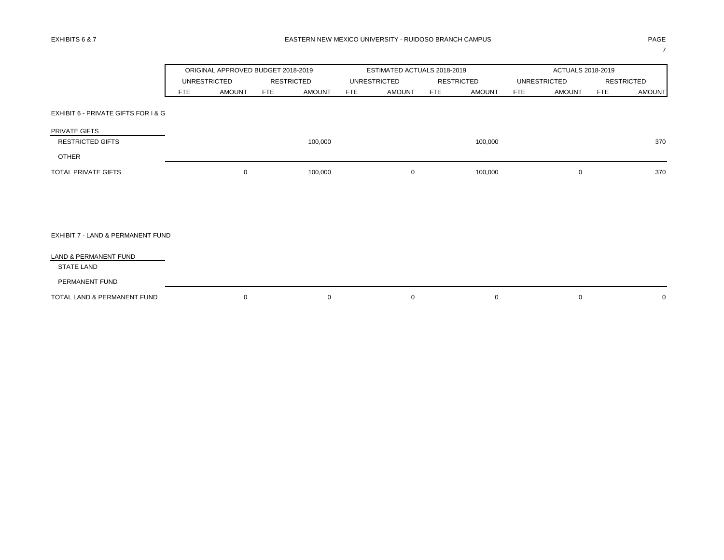7

|                                     |            | ORIGINAL APPROVED BUDGET 2018-2019 |                   |               |            | ESTIMATED ACTUALS 2018-2019 |            |                   |            | ACTUALS 2018-2019 |            |                   |
|-------------------------------------|------------|------------------------------------|-------------------|---------------|------------|-----------------------------|------------|-------------------|------------|-------------------|------------|-------------------|
|                                     |            | <b>UNRESTRICTED</b>                | <b>RESTRICTED</b> |               |            | <b>UNRESTRICTED</b>         |            | <b>RESTRICTED</b> |            | UNRESTRICTED      |            | <b>RESTRICTED</b> |
|                                     | <b>FTE</b> | <b>AMOUNT</b>                      | <b>FTE</b>        | <b>AMOUNT</b> | <b>FTE</b> | <b>AMOUNT</b>               | <b>FTE</b> | <b>AMOUNT</b>     | <b>FTE</b> | <b>AMOUNT</b>     | <b>FTE</b> | <b>AMOUNT</b>     |
| EXHIBIT 6 - PRIVATE GIFTS FOR I & G |            |                                    |                   |               |            |                             |            |                   |            |                   |            |                   |
| PRIVATE GIFTS                       |            |                                    |                   |               |            |                             |            |                   |            |                   |            |                   |
| <b>RESTRICTED GIFTS</b>             |            |                                    |                   | 100,000       |            |                             |            | 100,000           |            |                   |            | 370               |
| <b>OTHER</b>                        |            |                                    |                   |               |            |                             |            |                   |            |                   |            |                   |
| <b>TOTAL PRIVATE GIFTS</b>          |            | $\mathbf 0$                        |                   | 100,000       |            | 0                           |            | 100,000           |            | $\mathbf 0$       |            | 370               |
|                                     |            |                                    |                   |               |            |                             |            |                   |            |                   |            |                   |
|                                     |            |                                    |                   |               |            |                             |            |                   |            |                   |            |                   |
| EXHIBIT 7 - LAND & PERMANENT FUND   |            |                                    |                   |               |            |                             |            |                   |            |                   |            |                   |
| LAND & PERMANENT FUND               |            |                                    |                   |               |            |                             |            |                   |            |                   |            |                   |
| <b>STATE LAND</b>                   |            |                                    |                   |               |            |                             |            |                   |            |                   |            |                   |
| PERMANENT FUND                      |            |                                    |                   |               |            |                             |            |                   |            |                   |            |                   |
| TOTAL LAND & PERMANENT FUND         |            | $\mathbf 0$                        |                   | $\mathbf 0$   |            | 0                           |            | $\mathbf 0$       |            | $\mathbf 0$       |            | 0                 |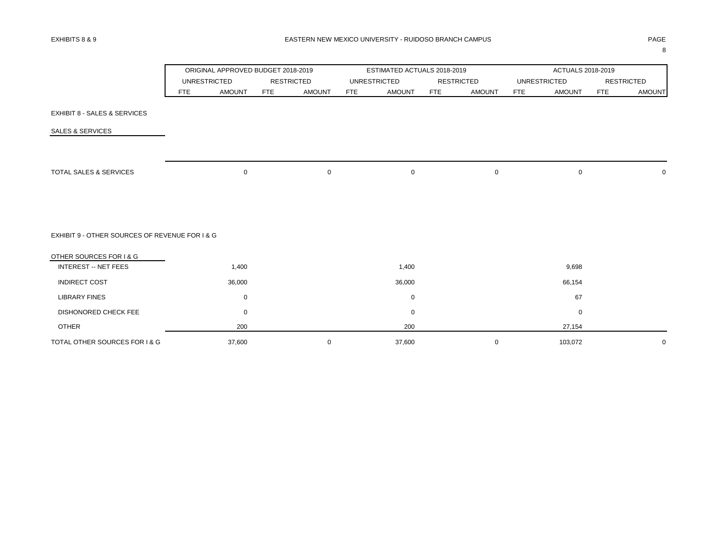|                                                |                     | ORIGINAL APPROVED BUDGET 2018-2019 |            |                   |            | ESTIMATED ACTUALS 2018-2019 |            |                   |            | ACTUALS 2018-2019   |            |                   |
|------------------------------------------------|---------------------|------------------------------------|------------|-------------------|------------|-----------------------------|------------|-------------------|------------|---------------------|------------|-------------------|
|                                                | <b>UNRESTRICTED</b> |                                    |            | <b>RESTRICTED</b> |            | <b>UNRESTRICTED</b>         |            | <b>RESTRICTED</b> |            | <b>UNRESTRICTED</b> |            | <b>RESTRICTED</b> |
|                                                | FTE                 | <b>AMOUNT</b>                      | <b>FTE</b> | <b>AMOUNT</b>     | <b>FTE</b> | <b>AMOUNT</b>               | <b>FTE</b> | <b>AMOUNT</b>     | <b>FTE</b> | <b>AMOUNT</b>       | <b>FTE</b> | <b>AMOUNT</b>     |
| EXHIBIT 8 - SALES & SERVICES                   |                     |                                    |            |                   |            |                             |            |                   |            |                     |            |                   |
| <b>SALES &amp; SERVICES</b>                    |                     |                                    |            |                   |            |                             |            |                   |            |                     |            |                   |
|                                                |                     |                                    |            |                   |            |                             |            |                   |            |                     |            |                   |
| TOTAL SALES & SERVICES                         |                     | $\mathbf 0$                        |            | $\mathbf 0$       |            | $\mathbf 0$                 |            | 0                 |            | $\mathsf 0$         |            | $\mathbf 0$       |
|                                                |                     |                                    |            |                   |            |                             |            |                   |            |                     |            |                   |
| EXHIBIT 9 - OTHER SOURCES OF REVENUE FOR I & G |                     |                                    |            |                   |            |                             |            |                   |            |                     |            |                   |
| OTHER SOURCES FOR I & G                        |                     |                                    |            |                   |            |                             |            |                   |            |                     |            |                   |
| <b>INTEREST -- NET FEES</b>                    |                     | 1,400                              |            |                   |            | 1,400                       |            |                   |            | 9,698               |            |                   |
| <b>INDIRECT COST</b>                           |                     | 36,000                             |            |                   |            | 36,000                      |            |                   |            | 66,154              |            |                   |
| <b>LIBRARY FINES</b>                           |                     | 0                                  |            |                   |            | 0                           |            |                   |            | 67                  |            |                   |
| <b>DISHONORED CHECK FEE</b>                    |                     | $\mathbf 0$                        |            |                   |            | $\mathbf 0$                 |            |                   |            | $\mathbf 0$         |            |                   |
| <b>OTHER</b>                                   |                     | 200                                |            |                   |            | 200                         |            |                   |            | 27,154              |            |                   |
| TOTAL OTHER SOURCES FOR I & G                  |                     | 37,600                             |            | $\mathbf 0$       |            | 37,600                      |            | 0                 |            | 103,072             |            | $\mathbf 0$       |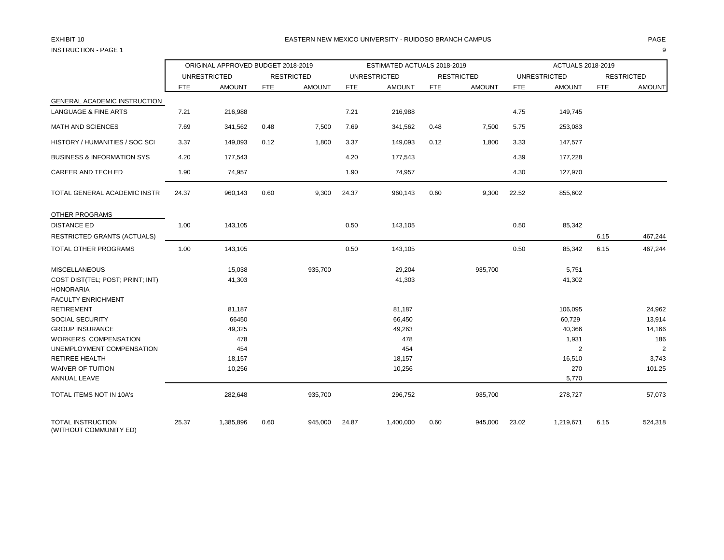# INSTRUCTION - PAGE 1 9

|                                                      |            | ORIGINAL APPROVED BUDGET 2018-2019 |            |                   |            | ESTIMATED ACTUALS 2018-2019 |            |                   |            | ACTUALS 2018-2019   |            |                   |
|------------------------------------------------------|------------|------------------------------------|------------|-------------------|------------|-----------------------------|------------|-------------------|------------|---------------------|------------|-------------------|
|                                                      |            | <b>UNRESTRICTED</b>                |            | <b>RESTRICTED</b> |            | <b>UNRESTRICTED</b>         |            | <b>RESTRICTED</b> |            | <b>UNRESTRICTED</b> |            | <b>RESTRICTED</b> |
|                                                      | <b>FTE</b> | <b>AMOUNT</b>                      | <b>FTE</b> | <b>AMOUNT</b>     | <b>FTE</b> | <b>AMOUNT</b>               | <b>FTE</b> | <b>AMOUNT</b>     | <b>FTE</b> | <b>AMOUNT</b>       | <b>FTE</b> | <b>AMOUNT</b>     |
| GENERAL ACADEMIC INSTRUCTION                         |            |                                    |            |                   |            |                             |            |                   |            |                     |            |                   |
| <b>LANGUAGE &amp; FINE ARTS</b>                      | 7.21       | 216,988                            |            |                   | 7.21       | 216,988                     |            |                   | 4.75       | 149,745             |            |                   |
| MATH AND SCIENCES                                    | 7.69       | 341,562                            | 0.48       | 7,500             | 7.69       | 341,562                     | 0.48       | 7,500             | 5.75       | 253,083             |            |                   |
| HISTORY / HUMANITIES / SOC SCI                       | 3.37       | 149,093                            | 0.12       | 1,800             | 3.37       | 149,093                     | 0.12       | 1,800             | 3.33       | 147,577             |            |                   |
| <b>BUSINESS &amp; INFORMATION SYS</b>                | 4.20       | 177,543                            |            |                   | 4.20       | 177,543                     |            |                   | 4.39       | 177,228             |            |                   |
| CAREER AND TECH ED                                   | 1.90       | 74,957                             |            |                   | 1.90       | 74,957                      |            |                   | 4.30       | 127,970             |            |                   |
| TOTAL GENERAL ACADEMIC INSTR                         | 24.37      | 960,143                            | 0.60       | 9,300             | 24.37      | 960,143                     | 0.60       | 9,300             | 22.52      | 855,602             |            |                   |
| OTHER PROGRAMS                                       |            |                                    |            |                   |            |                             |            |                   |            |                     |            |                   |
| <b>DISTANCE ED</b>                                   | 1.00       | 143,105                            |            |                   | 0.50       | 143,105                     |            |                   | 0.50       | 85,342              |            |                   |
| <b>RESTRICTED GRANTS (ACTUALS)</b>                   |            |                                    |            |                   |            |                             |            |                   |            |                     | 6.15       | 467,244           |
| TOTAL OTHER PROGRAMS                                 | 1.00       | 143,105                            |            |                   | 0.50       | 143,105                     |            |                   | 0.50       | 85,342              | 6.15       | 467,244           |
| <b>MISCELLANEOUS</b>                                 |            | 15,038                             |            | 935,700           |            | 29,204                      |            | 935,700           |            | 5,751               |            |                   |
| COST DIST(TEL; POST; PRINT; INT)<br><b>HONORARIA</b> |            | 41,303                             |            |                   |            | 41,303                      |            |                   |            | 41,302              |            |                   |
| FACULTY ENRICHMENT                                   |            |                                    |            |                   |            |                             |            |                   |            |                     |            |                   |
| <b>RETIREMENT</b>                                    |            | 81,187                             |            |                   |            | 81,187                      |            |                   |            | 106,095             |            | 24,962            |
| SOCIAL SECURITY<br><b>GROUP INSURANCE</b>            |            | 66450                              |            |                   |            | 66,450                      |            |                   |            | 60,729<br>40,366    |            | 13,914<br>14,166  |
| <b>WORKER'S COMPENSATION</b>                         |            | 49,325<br>478                      |            |                   |            | 49,263<br>478               |            |                   |            | 1,931               |            | 186               |
| UNEMPLOYMENT COMPENSATION                            |            | 454                                |            |                   |            | 454                         |            |                   |            | 2                   |            | $\overline{2}$    |
| <b>RETIREE HEALTH</b>                                |            | 18,157                             |            |                   |            | 18,157                      |            |                   |            | 16,510              |            | 3,743             |
| <b>WAIVER OF TUITION</b>                             |            | 10,256                             |            |                   |            | 10,256                      |            |                   |            | 270                 |            | 101.25            |
| ANNUAL LEAVE                                         |            |                                    |            |                   |            |                             |            |                   |            | 5,770               |            |                   |
| TOTAL ITEMS NOT IN 10A's                             |            | 282,648                            |            | 935,700           |            | 296,752                     |            | 935,700           |            | 278,727             |            | 57,073            |
| <b>TOTAL INSTRUCTION</b><br>(WITHOUT COMMUNITY ED)   | 25.37      | 1,385,896                          | 0.60       | 945,000           | 24.87      | 1,400,000                   | 0.60       | 945,000           | 23.02      | 1,219,671           | 6.15       | 524,318           |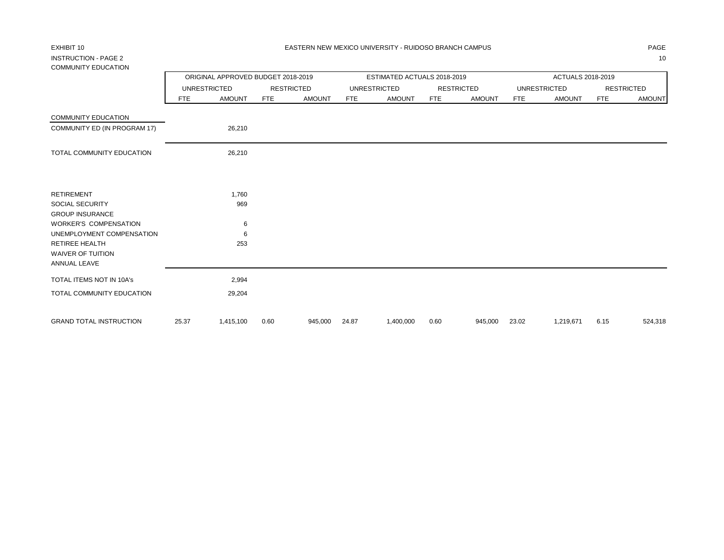## INSTRUCTION - PAGE 2 10 COMMUNITY EDUCATION

| COMMUNITY EDUCATION                                                                                                                               |       |                                    |            |                   |            |                             |            |                   |            |                     |            |                   |
|---------------------------------------------------------------------------------------------------------------------------------------------------|-------|------------------------------------|------------|-------------------|------------|-----------------------------|------------|-------------------|------------|---------------------|------------|-------------------|
|                                                                                                                                                   |       | ORIGINAL APPROVED BUDGET 2018-2019 |            |                   |            | ESTIMATED ACTUALS 2018-2019 |            |                   |            | ACTUALS 2018-2019   |            |                   |
|                                                                                                                                                   |       | <b>UNRESTRICTED</b>                |            | <b>RESTRICTED</b> |            | <b>UNRESTRICTED</b>         |            | <b>RESTRICTED</b> |            | <b>UNRESTRICTED</b> |            | <b>RESTRICTED</b> |
|                                                                                                                                                   | FTE   | <b>AMOUNT</b>                      | <b>FTE</b> | <b>AMOUNT</b>     | <b>FTE</b> | <b>AMOUNT</b>               | <b>FTE</b> | <b>AMOUNT</b>     | <b>FTE</b> | <b>AMOUNT</b>       | <b>FTE</b> | <b>AMOUNT</b>     |
| <b>COMMUNITY EDUCATION</b>                                                                                                                        |       |                                    |            |                   |            |                             |            |                   |            |                     |            |                   |
| COMMUNITY ED (IN PROGRAM 17)                                                                                                                      |       | 26,210                             |            |                   |            |                             |            |                   |            |                     |            |                   |
| TOTAL COMMUNITY EDUCATION                                                                                                                         |       | 26,210                             |            |                   |            |                             |            |                   |            |                     |            |                   |
| <b>RETIREMENT</b><br>SOCIAL SECURITY                                                                                                              |       | 1,760<br>969                       |            |                   |            |                             |            |                   |            |                     |            |                   |
| <b>GROUP INSURANCE</b><br><b>WORKER'S COMPENSATION</b><br>UNEMPLOYMENT COMPENSATION<br><b>RETIREE HEALTH</b><br>WAIVER OF TUITION<br>ANNUAL LEAVE |       | 6<br>6<br>253                      |            |                   |            |                             |            |                   |            |                     |            |                   |
| TOTAL ITEMS NOT IN 10A's                                                                                                                          |       | 2,994                              |            |                   |            |                             |            |                   |            |                     |            |                   |
| TOTAL COMMUNITY EDUCATION                                                                                                                         |       | 29,204                             |            |                   |            |                             |            |                   |            |                     |            |                   |
| <b>GRAND TOTAL INSTRUCTION</b>                                                                                                                    | 25.37 | 1,415,100                          | 0.60       | 945,000           | 24.87      | 1,400,000                   | 0.60       | 945,000           | 23.02      | 1,219,671           | 6.15       | 524,318           |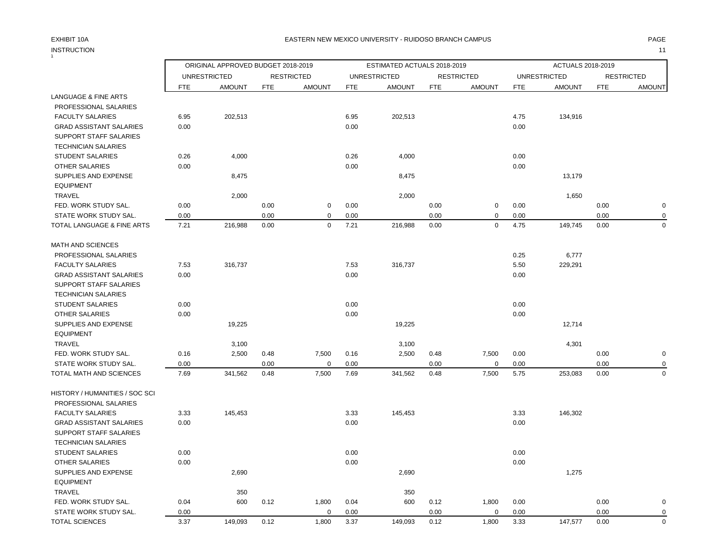## INSTRUCTION 11 INSTRUCTION

### EXHIBIT 10A PAGE EASTERN NEW MEXICO UNIVERSITY - RUIDOSO BRANCH CAMPUS

| ORIGINAL APPROVED BUDGET 2018-2019<br>ESTIMATED ACTUALS 2018-2019<br>ACTUALS 2018-2019<br><b>UNRESTRICTED</b><br><b>UNRESTRICTED</b><br><b>RESTRICTED</b><br><b>RESTRICTED</b><br><b>UNRESTRICTED</b><br><b>RESTRICTED</b><br><b>FTE</b><br><b>AMOUNT</b><br><b>FTE</b><br><b>AMOUNT</b><br><b>AMOUNT</b><br><b>FTE</b><br><b>AMOUNT</b><br><b>AMOUNT</b><br><b>FTE</b><br><b>AMOUNT</b><br><b>FTE</b><br><b>FTE</b><br>LANGUAGE & FINE ARTS<br>PROFESSIONAL SALARIES<br><b>FACULTY SALARIES</b><br>6.95<br>202,513<br>6.95<br>202,513<br>4.75<br>134,916<br>0.00<br>0.00<br><b>GRAD ASSISTANT SALARIES</b><br>0.00<br>SUPPORT STAFF SALARIES<br><b>TECHNICIAN SALARIES</b><br><b>STUDENT SALARIES</b><br>0.26<br>4,000<br>0.26<br>4,000<br>0.00<br>0.00<br>0.00<br>0.00<br>OTHER SALARIES<br>SUPPLIES AND EXPENSE<br>8,475<br>8,475<br>13,179<br><b>EQUIPMENT</b><br><b>TRAVEL</b><br>2,000<br>2,000<br>1,650<br>FED. WORK STUDY SAL.<br>0.00<br>0.00<br>$\mathbf 0$<br>0.00<br>0.00<br>0<br>0.00<br>0.00<br>0.00<br>$\pmb{0}$<br>0.00<br>STATE WORK STUDY SAL.<br>0.00<br>$\mathbf 0$<br>0.00<br>0.00<br>0.00<br>7.21<br>7.21<br>$\Omega$<br>$\Omega$<br>4.75<br>149,745<br>216,988<br>0.00<br>216,988<br>0.00<br>0.00<br>TOTAL LANGUAGE & FINE ARTS<br><b>MATH AND SCIENCES</b><br>PROFESSIONAL SALARIES<br>0.25<br>6,777<br>7.53<br>316,737<br>7.53<br>316,737<br>5.50<br>229,291<br><b>FACULTY SALARIES</b><br>0.00<br>0.00<br>0.00<br><b>GRAD ASSISTANT SALARIES</b><br>SUPPORT STAFF SALARIES<br><b>TECHNICIAN SALARIES</b><br><b>STUDENT SALARIES</b><br>0.00<br>0.00<br>0.00<br>0.00<br>0.00<br>OTHER SALARIES<br>0.00<br>SUPPLIES AND EXPENSE<br>19,225<br>19,225<br>12,714<br><b>EQUIPMENT</b><br><b>TRAVEL</b><br>4,301<br>3,100<br>3,100<br>FED. WORK STUDY SAL.<br>0.16<br>2,500<br>0.48<br>7,500<br>0.16<br>2,500<br>0.48<br>7,500<br>0.00<br>0.00<br>$\pmb{0}$<br>0.00<br>0.00<br>STATE WORK STUDY SAL.<br>0.00<br>$\mathbf 0$<br>0.00<br>0.00<br>$\mathbf 0$<br>0.00<br>0<br>$\mathbf 0$<br>7.69<br>341,562<br>0.48<br>7,500<br>7.69<br>341,562<br>0.48<br>7,500<br>5.75<br>253,083<br>0.00<br>TOTAL MATH AND SCIENCES<br>HISTORY / HUMANITIES / SOC SCI<br>PROFESSIONAL SALARIES<br><b>FACULTY SALARIES</b><br>3.33<br>145,453<br>3.33<br>145,453<br>3.33<br>146,302<br><b>GRAD ASSISTANT SALARIES</b><br>0.00<br>0.00<br>0.00<br>SUPPORT STAFF SALARIES<br><b>TECHNICIAN SALARIES</b><br>STUDENT SALARIES<br>0.00<br>0.00<br>0.00<br>0.00<br>0.00<br>0.00<br><b>OTHER SALARIES</b><br>SUPPLIES AND EXPENSE<br>2,690<br>1,275<br>2,690<br><b>EQUIPMENT</b><br><b>TRAVEL</b><br>350<br>350<br>FED. WORK STUDY SAL.<br>0.04<br>600<br>0.12<br>1,800<br>0.04<br>600<br>0.12<br>1,800<br>0.00<br>0.00<br>$\mathbf 0$<br>STATE WORK STUDY SAL.<br>0.00<br>$\mathbf 0$<br>0.00<br>0.00<br>0<br>0.00<br>0.00<br>$\mathbf 0$<br>3.37<br>149,093<br>0.12<br>1,800<br>3.37<br>149,093<br>0.12<br>1,800<br>3.33<br>147,577<br>0.00<br><b>TOTAL SCIENCES</b> |  |  |  |  |  |  |             |
|--------------------------------------------------------------------------------------------------------------------------------------------------------------------------------------------------------------------------------------------------------------------------------------------------------------------------------------------------------------------------------------------------------------------------------------------------------------------------------------------------------------------------------------------------------------------------------------------------------------------------------------------------------------------------------------------------------------------------------------------------------------------------------------------------------------------------------------------------------------------------------------------------------------------------------------------------------------------------------------------------------------------------------------------------------------------------------------------------------------------------------------------------------------------------------------------------------------------------------------------------------------------------------------------------------------------------------------------------------------------------------------------------------------------------------------------------------------------------------------------------------------------------------------------------------------------------------------------------------------------------------------------------------------------------------------------------------------------------------------------------------------------------------------------------------------------------------------------------------------------------------------------------------------------------------------------------------------------------------------------------------------------------------------------------------------------------------------------------------------------------------------------------------------------------------------------------------------------------------------------------------------------------------------------------------------------------------------------------------------------------------------------------------------------------------------------------------------------------------------------------------------------------------------------------------------------------------------------------------------------------------------------------------------------------------------------------------------------------------------------------------------------------------------------------------------------------------------------------------------------------------------------------------------------------------------------------------------------|--|--|--|--|--|--|-------------|
|                                                                                                                                                                                                                                                                                                                                                                                                                                                                                                                                                                                                                                                                                                                                                                                                                                                                                                                                                                                                                                                                                                                                                                                                                                                                                                                                                                                                                                                                                                                                                                                                                                                                                                                                                                                                                                                                                                                                                                                                                                                                                                                                                                                                                                                                                                                                                                                                                                                                                                                                                                                                                                                                                                                                                                                                                                                                                                                                                                    |  |  |  |  |  |  |             |
|                                                                                                                                                                                                                                                                                                                                                                                                                                                                                                                                                                                                                                                                                                                                                                                                                                                                                                                                                                                                                                                                                                                                                                                                                                                                                                                                                                                                                                                                                                                                                                                                                                                                                                                                                                                                                                                                                                                                                                                                                                                                                                                                                                                                                                                                                                                                                                                                                                                                                                                                                                                                                                                                                                                                                                                                                                                                                                                                                                    |  |  |  |  |  |  |             |
|                                                                                                                                                                                                                                                                                                                                                                                                                                                                                                                                                                                                                                                                                                                                                                                                                                                                                                                                                                                                                                                                                                                                                                                                                                                                                                                                                                                                                                                                                                                                                                                                                                                                                                                                                                                                                                                                                                                                                                                                                                                                                                                                                                                                                                                                                                                                                                                                                                                                                                                                                                                                                                                                                                                                                                                                                                                                                                                                                                    |  |  |  |  |  |  |             |
|                                                                                                                                                                                                                                                                                                                                                                                                                                                                                                                                                                                                                                                                                                                                                                                                                                                                                                                                                                                                                                                                                                                                                                                                                                                                                                                                                                                                                                                                                                                                                                                                                                                                                                                                                                                                                                                                                                                                                                                                                                                                                                                                                                                                                                                                                                                                                                                                                                                                                                                                                                                                                                                                                                                                                                                                                                                                                                                                                                    |  |  |  |  |  |  |             |
|                                                                                                                                                                                                                                                                                                                                                                                                                                                                                                                                                                                                                                                                                                                                                                                                                                                                                                                                                                                                                                                                                                                                                                                                                                                                                                                                                                                                                                                                                                                                                                                                                                                                                                                                                                                                                                                                                                                                                                                                                                                                                                                                                                                                                                                                                                                                                                                                                                                                                                                                                                                                                                                                                                                                                                                                                                                                                                                                                                    |  |  |  |  |  |  |             |
|                                                                                                                                                                                                                                                                                                                                                                                                                                                                                                                                                                                                                                                                                                                                                                                                                                                                                                                                                                                                                                                                                                                                                                                                                                                                                                                                                                                                                                                                                                                                                                                                                                                                                                                                                                                                                                                                                                                                                                                                                                                                                                                                                                                                                                                                                                                                                                                                                                                                                                                                                                                                                                                                                                                                                                                                                                                                                                                                                                    |  |  |  |  |  |  |             |
|                                                                                                                                                                                                                                                                                                                                                                                                                                                                                                                                                                                                                                                                                                                                                                                                                                                                                                                                                                                                                                                                                                                                                                                                                                                                                                                                                                                                                                                                                                                                                                                                                                                                                                                                                                                                                                                                                                                                                                                                                                                                                                                                                                                                                                                                                                                                                                                                                                                                                                                                                                                                                                                                                                                                                                                                                                                                                                                                                                    |  |  |  |  |  |  |             |
|                                                                                                                                                                                                                                                                                                                                                                                                                                                                                                                                                                                                                                                                                                                                                                                                                                                                                                                                                                                                                                                                                                                                                                                                                                                                                                                                                                                                                                                                                                                                                                                                                                                                                                                                                                                                                                                                                                                                                                                                                                                                                                                                                                                                                                                                                                                                                                                                                                                                                                                                                                                                                                                                                                                                                                                                                                                                                                                                                                    |  |  |  |  |  |  |             |
|                                                                                                                                                                                                                                                                                                                                                                                                                                                                                                                                                                                                                                                                                                                                                                                                                                                                                                                                                                                                                                                                                                                                                                                                                                                                                                                                                                                                                                                                                                                                                                                                                                                                                                                                                                                                                                                                                                                                                                                                                                                                                                                                                                                                                                                                                                                                                                                                                                                                                                                                                                                                                                                                                                                                                                                                                                                                                                                                                                    |  |  |  |  |  |  |             |
|                                                                                                                                                                                                                                                                                                                                                                                                                                                                                                                                                                                                                                                                                                                                                                                                                                                                                                                                                                                                                                                                                                                                                                                                                                                                                                                                                                                                                                                                                                                                                                                                                                                                                                                                                                                                                                                                                                                                                                                                                                                                                                                                                                                                                                                                                                                                                                                                                                                                                                                                                                                                                                                                                                                                                                                                                                                                                                                                                                    |  |  |  |  |  |  |             |
|                                                                                                                                                                                                                                                                                                                                                                                                                                                                                                                                                                                                                                                                                                                                                                                                                                                                                                                                                                                                                                                                                                                                                                                                                                                                                                                                                                                                                                                                                                                                                                                                                                                                                                                                                                                                                                                                                                                                                                                                                                                                                                                                                                                                                                                                                                                                                                                                                                                                                                                                                                                                                                                                                                                                                                                                                                                                                                                                                                    |  |  |  |  |  |  |             |
|                                                                                                                                                                                                                                                                                                                                                                                                                                                                                                                                                                                                                                                                                                                                                                                                                                                                                                                                                                                                                                                                                                                                                                                                                                                                                                                                                                                                                                                                                                                                                                                                                                                                                                                                                                                                                                                                                                                                                                                                                                                                                                                                                                                                                                                                                                                                                                                                                                                                                                                                                                                                                                                                                                                                                                                                                                                                                                                                                                    |  |  |  |  |  |  |             |
|                                                                                                                                                                                                                                                                                                                                                                                                                                                                                                                                                                                                                                                                                                                                                                                                                                                                                                                                                                                                                                                                                                                                                                                                                                                                                                                                                                                                                                                                                                                                                                                                                                                                                                                                                                                                                                                                                                                                                                                                                                                                                                                                                                                                                                                                                                                                                                                                                                                                                                                                                                                                                                                                                                                                                                                                                                                                                                                                                                    |  |  |  |  |  |  |             |
|                                                                                                                                                                                                                                                                                                                                                                                                                                                                                                                                                                                                                                                                                                                                                                                                                                                                                                                                                                                                                                                                                                                                                                                                                                                                                                                                                                                                                                                                                                                                                                                                                                                                                                                                                                                                                                                                                                                                                                                                                                                                                                                                                                                                                                                                                                                                                                                                                                                                                                                                                                                                                                                                                                                                                                                                                                                                                                                                                                    |  |  |  |  |  |  | $\pmb{0}$   |
|                                                                                                                                                                                                                                                                                                                                                                                                                                                                                                                                                                                                                                                                                                                                                                                                                                                                                                                                                                                                                                                                                                                                                                                                                                                                                                                                                                                                                                                                                                                                                                                                                                                                                                                                                                                                                                                                                                                                                                                                                                                                                                                                                                                                                                                                                                                                                                                                                                                                                                                                                                                                                                                                                                                                                                                                                                                                                                                                                                    |  |  |  |  |  |  | $\mathbf 0$ |
|                                                                                                                                                                                                                                                                                                                                                                                                                                                                                                                                                                                                                                                                                                                                                                                                                                                                                                                                                                                                                                                                                                                                                                                                                                                                                                                                                                                                                                                                                                                                                                                                                                                                                                                                                                                                                                                                                                                                                                                                                                                                                                                                                                                                                                                                                                                                                                                                                                                                                                                                                                                                                                                                                                                                                                                                                                                                                                                                                                    |  |  |  |  |  |  | $\Omega$    |
|                                                                                                                                                                                                                                                                                                                                                                                                                                                                                                                                                                                                                                                                                                                                                                                                                                                                                                                                                                                                                                                                                                                                                                                                                                                                                                                                                                                                                                                                                                                                                                                                                                                                                                                                                                                                                                                                                                                                                                                                                                                                                                                                                                                                                                                                                                                                                                                                                                                                                                                                                                                                                                                                                                                                                                                                                                                                                                                                                                    |  |  |  |  |  |  |             |
|                                                                                                                                                                                                                                                                                                                                                                                                                                                                                                                                                                                                                                                                                                                                                                                                                                                                                                                                                                                                                                                                                                                                                                                                                                                                                                                                                                                                                                                                                                                                                                                                                                                                                                                                                                                                                                                                                                                                                                                                                                                                                                                                                                                                                                                                                                                                                                                                                                                                                                                                                                                                                                                                                                                                                                                                                                                                                                                                                                    |  |  |  |  |  |  |             |
|                                                                                                                                                                                                                                                                                                                                                                                                                                                                                                                                                                                                                                                                                                                                                                                                                                                                                                                                                                                                                                                                                                                                                                                                                                                                                                                                                                                                                                                                                                                                                                                                                                                                                                                                                                                                                                                                                                                                                                                                                                                                                                                                                                                                                                                                                                                                                                                                                                                                                                                                                                                                                                                                                                                                                                                                                                                                                                                                                                    |  |  |  |  |  |  |             |
|                                                                                                                                                                                                                                                                                                                                                                                                                                                                                                                                                                                                                                                                                                                                                                                                                                                                                                                                                                                                                                                                                                                                                                                                                                                                                                                                                                                                                                                                                                                                                                                                                                                                                                                                                                                                                                                                                                                                                                                                                                                                                                                                                                                                                                                                                                                                                                                                                                                                                                                                                                                                                                                                                                                                                                                                                                                                                                                                                                    |  |  |  |  |  |  |             |
|                                                                                                                                                                                                                                                                                                                                                                                                                                                                                                                                                                                                                                                                                                                                                                                                                                                                                                                                                                                                                                                                                                                                                                                                                                                                                                                                                                                                                                                                                                                                                                                                                                                                                                                                                                                                                                                                                                                                                                                                                                                                                                                                                                                                                                                                                                                                                                                                                                                                                                                                                                                                                                                                                                                                                                                                                                                                                                                                                                    |  |  |  |  |  |  |             |
|                                                                                                                                                                                                                                                                                                                                                                                                                                                                                                                                                                                                                                                                                                                                                                                                                                                                                                                                                                                                                                                                                                                                                                                                                                                                                                                                                                                                                                                                                                                                                                                                                                                                                                                                                                                                                                                                                                                                                                                                                                                                                                                                                                                                                                                                                                                                                                                                                                                                                                                                                                                                                                                                                                                                                                                                                                                                                                                                                                    |  |  |  |  |  |  |             |
|                                                                                                                                                                                                                                                                                                                                                                                                                                                                                                                                                                                                                                                                                                                                                                                                                                                                                                                                                                                                                                                                                                                                                                                                                                                                                                                                                                                                                                                                                                                                                                                                                                                                                                                                                                                                                                                                                                                                                                                                                                                                                                                                                                                                                                                                                                                                                                                                                                                                                                                                                                                                                                                                                                                                                                                                                                                                                                                                                                    |  |  |  |  |  |  |             |
|                                                                                                                                                                                                                                                                                                                                                                                                                                                                                                                                                                                                                                                                                                                                                                                                                                                                                                                                                                                                                                                                                                                                                                                                                                                                                                                                                                                                                                                                                                                                                                                                                                                                                                                                                                                                                                                                                                                                                                                                                                                                                                                                                                                                                                                                                                                                                                                                                                                                                                                                                                                                                                                                                                                                                                                                                                                                                                                                                                    |  |  |  |  |  |  |             |
|                                                                                                                                                                                                                                                                                                                                                                                                                                                                                                                                                                                                                                                                                                                                                                                                                                                                                                                                                                                                                                                                                                                                                                                                                                                                                                                                                                                                                                                                                                                                                                                                                                                                                                                                                                                                                                                                                                                                                                                                                                                                                                                                                                                                                                                                                                                                                                                                                                                                                                                                                                                                                                                                                                                                                                                                                                                                                                                                                                    |  |  |  |  |  |  |             |
|                                                                                                                                                                                                                                                                                                                                                                                                                                                                                                                                                                                                                                                                                                                                                                                                                                                                                                                                                                                                                                                                                                                                                                                                                                                                                                                                                                                                                                                                                                                                                                                                                                                                                                                                                                                                                                                                                                                                                                                                                                                                                                                                                                                                                                                                                                                                                                                                                                                                                                                                                                                                                                                                                                                                                                                                                                                                                                                                                                    |  |  |  |  |  |  |             |
|                                                                                                                                                                                                                                                                                                                                                                                                                                                                                                                                                                                                                                                                                                                                                                                                                                                                                                                                                                                                                                                                                                                                                                                                                                                                                                                                                                                                                                                                                                                                                                                                                                                                                                                                                                                                                                                                                                                                                                                                                                                                                                                                                                                                                                                                                                                                                                                                                                                                                                                                                                                                                                                                                                                                                                                                                                                                                                                                                                    |  |  |  |  |  |  |             |
|                                                                                                                                                                                                                                                                                                                                                                                                                                                                                                                                                                                                                                                                                                                                                                                                                                                                                                                                                                                                                                                                                                                                                                                                                                                                                                                                                                                                                                                                                                                                                                                                                                                                                                                                                                                                                                                                                                                                                                                                                                                                                                                                                                                                                                                                                                                                                                                                                                                                                                                                                                                                                                                                                                                                                                                                                                                                                                                                                                    |  |  |  |  |  |  |             |
|                                                                                                                                                                                                                                                                                                                                                                                                                                                                                                                                                                                                                                                                                                                                                                                                                                                                                                                                                                                                                                                                                                                                                                                                                                                                                                                                                                                                                                                                                                                                                                                                                                                                                                                                                                                                                                                                                                                                                                                                                                                                                                                                                                                                                                                                                                                                                                                                                                                                                                                                                                                                                                                                                                                                                                                                                                                                                                                                                                    |  |  |  |  |  |  |             |
|                                                                                                                                                                                                                                                                                                                                                                                                                                                                                                                                                                                                                                                                                                                                                                                                                                                                                                                                                                                                                                                                                                                                                                                                                                                                                                                                                                                                                                                                                                                                                                                                                                                                                                                                                                                                                                                                                                                                                                                                                                                                                                                                                                                                                                                                                                                                                                                                                                                                                                                                                                                                                                                                                                                                                                                                                                                                                                                                                                    |  |  |  |  |  |  |             |
|                                                                                                                                                                                                                                                                                                                                                                                                                                                                                                                                                                                                                                                                                                                                                                                                                                                                                                                                                                                                                                                                                                                                                                                                                                                                                                                                                                                                                                                                                                                                                                                                                                                                                                                                                                                                                                                                                                                                                                                                                                                                                                                                                                                                                                                                                                                                                                                                                                                                                                                                                                                                                                                                                                                                                                                                                                                                                                                                                                    |  |  |  |  |  |  |             |
|                                                                                                                                                                                                                                                                                                                                                                                                                                                                                                                                                                                                                                                                                                                                                                                                                                                                                                                                                                                                                                                                                                                                                                                                                                                                                                                                                                                                                                                                                                                                                                                                                                                                                                                                                                                                                                                                                                                                                                                                                                                                                                                                                                                                                                                                                                                                                                                                                                                                                                                                                                                                                                                                                                                                                                                                                                                                                                                                                                    |  |  |  |  |  |  |             |
|                                                                                                                                                                                                                                                                                                                                                                                                                                                                                                                                                                                                                                                                                                                                                                                                                                                                                                                                                                                                                                                                                                                                                                                                                                                                                                                                                                                                                                                                                                                                                                                                                                                                                                                                                                                                                                                                                                                                                                                                                                                                                                                                                                                                                                                                                                                                                                                                                                                                                                                                                                                                                                                                                                                                                                                                                                                                                                                                                                    |  |  |  |  |  |  |             |
|                                                                                                                                                                                                                                                                                                                                                                                                                                                                                                                                                                                                                                                                                                                                                                                                                                                                                                                                                                                                                                                                                                                                                                                                                                                                                                                                                                                                                                                                                                                                                                                                                                                                                                                                                                                                                                                                                                                                                                                                                                                                                                                                                                                                                                                                                                                                                                                                                                                                                                                                                                                                                                                                                                                                                                                                                                                                                                                                                                    |  |  |  |  |  |  |             |
|                                                                                                                                                                                                                                                                                                                                                                                                                                                                                                                                                                                                                                                                                                                                                                                                                                                                                                                                                                                                                                                                                                                                                                                                                                                                                                                                                                                                                                                                                                                                                                                                                                                                                                                                                                                                                                                                                                                                                                                                                                                                                                                                                                                                                                                                                                                                                                                                                                                                                                                                                                                                                                                                                                                                                                                                                                                                                                                                                                    |  |  |  |  |  |  |             |
|                                                                                                                                                                                                                                                                                                                                                                                                                                                                                                                                                                                                                                                                                                                                                                                                                                                                                                                                                                                                                                                                                                                                                                                                                                                                                                                                                                                                                                                                                                                                                                                                                                                                                                                                                                                                                                                                                                                                                                                                                                                                                                                                                                                                                                                                                                                                                                                                                                                                                                                                                                                                                                                                                                                                                                                                                                                                                                                                                                    |  |  |  |  |  |  |             |
|                                                                                                                                                                                                                                                                                                                                                                                                                                                                                                                                                                                                                                                                                                                                                                                                                                                                                                                                                                                                                                                                                                                                                                                                                                                                                                                                                                                                                                                                                                                                                                                                                                                                                                                                                                                                                                                                                                                                                                                                                                                                                                                                                                                                                                                                                                                                                                                                                                                                                                                                                                                                                                                                                                                                                                                                                                                                                                                                                                    |  |  |  |  |  |  |             |
|                                                                                                                                                                                                                                                                                                                                                                                                                                                                                                                                                                                                                                                                                                                                                                                                                                                                                                                                                                                                                                                                                                                                                                                                                                                                                                                                                                                                                                                                                                                                                                                                                                                                                                                                                                                                                                                                                                                                                                                                                                                                                                                                                                                                                                                                                                                                                                                                                                                                                                                                                                                                                                                                                                                                                                                                                                                                                                                                                                    |  |  |  |  |  |  |             |
|                                                                                                                                                                                                                                                                                                                                                                                                                                                                                                                                                                                                                                                                                                                                                                                                                                                                                                                                                                                                                                                                                                                                                                                                                                                                                                                                                                                                                                                                                                                                                                                                                                                                                                                                                                                                                                                                                                                                                                                                                                                                                                                                                                                                                                                                                                                                                                                                                                                                                                                                                                                                                                                                                                                                                                                                                                                                                                                                                                    |  |  |  |  |  |  |             |
|                                                                                                                                                                                                                                                                                                                                                                                                                                                                                                                                                                                                                                                                                                                                                                                                                                                                                                                                                                                                                                                                                                                                                                                                                                                                                                                                                                                                                                                                                                                                                                                                                                                                                                                                                                                                                                                                                                                                                                                                                                                                                                                                                                                                                                                                                                                                                                                                                                                                                                                                                                                                                                                                                                                                                                                                                                                                                                                                                                    |  |  |  |  |  |  |             |
|                                                                                                                                                                                                                                                                                                                                                                                                                                                                                                                                                                                                                                                                                                                                                                                                                                                                                                                                                                                                                                                                                                                                                                                                                                                                                                                                                                                                                                                                                                                                                                                                                                                                                                                                                                                                                                                                                                                                                                                                                                                                                                                                                                                                                                                                                                                                                                                                                                                                                                                                                                                                                                                                                                                                                                                                                                                                                                                                                                    |  |  |  |  |  |  |             |
|                                                                                                                                                                                                                                                                                                                                                                                                                                                                                                                                                                                                                                                                                                                                                                                                                                                                                                                                                                                                                                                                                                                                                                                                                                                                                                                                                                                                                                                                                                                                                                                                                                                                                                                                                                                                                                                                                                                                                                                                                                                                                                                                                                                                                                                                                                                                                                                                                                                                                                                                                                                                                                                                                                                                                                                                                                                                                                                                                                    |  |  |  |  |  |  |             |
|                                                                                                                                                                                                                                                                                                                                                                                                                                                                                                                                                                                                                                                                                                                                                                                                                                                                                                                                                                                                                                                                                                                                                                                                                                                                                                                                                                                                                                                                                                                                                                                                                                                                                                                                                                                                                                                                                                                                                                                                                                                                                                                                                                                                                                                                                                                                                                                                                                                                                                                                                                                                                                                                                                                                                                                                                                                                                                                                                                    |  |  |  |  |  |  | $\mathbf 0$ |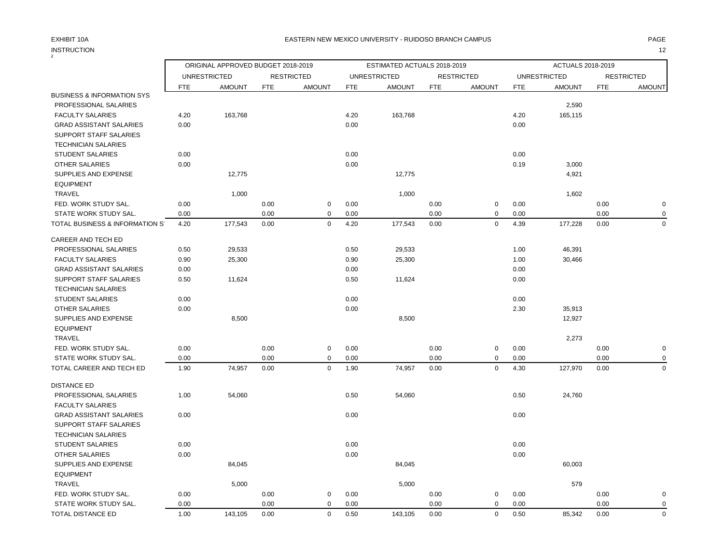|                                       |            | ORIGINAL APPROVED BUDGET 2018-2019 |            |                   |            | ESTIMATED ACTUALS 2018-2019 |            |                   |            | ACTUALS 2018-2019   |            |                   |
|---------------------------------------|------------|------------------------------------|------------|-------------------|------------|-----------------------------|------------|-------------------|------------|---------------------|------------|-------------------|
|                                       |            | <b>UNRESTRICTED</b>                |            | <b>RESTRICTED</b> |            | <b>UNRESTRICTED</b>         |            | <b>RESTRICTED</b> |            | <b>UNRESTRICTED</b> |            | <b>RESTRICTED</b> |
|                                       | <b>FTE</b> | <b>AMOUNT</b>                      | <b>FTE</b> | <b>AMOUNT</b>     | <b>FTE</b> | <b>AMOUNT</b>               | <b>FTE</b> | <b>AMOUNT</b>     | <b>FTE</b> | <b>AMOUNT</b>       | <b>FTE</b> | <b>AMOUNT</b>     |
| <b>BUSINESS &amp; INFORMATION SYS</b> |            |                                    |            |                   |            |                             |            |                   |            |                     |            |                   |
| PROFESSIONAL SALARIES                 |            |                                    |            |                   |            |                             |            |                   |            | 2,590               |            |                   |
| <b>FACULTY SALARIES</b>               | 4.20       | 163,768                            |            |                   | 4.20       | 163,768                     |            |                   | 4.20       | 165,115             |            |                   |
| <b>GRAD ASSISTANT SALARIES</b>        | 0.00       |                                    |            |                   | 0.00       |                             |            |                   | 0.00       |                     |            |                   |
| <b>SUPPORT STAFF SALARIES</b>         |            |                                    |            |                   |            |                             |            |                   |            |                     |            |                   |
| <b>TECHNICIAN SALARIES</b>            |            |                                    |            |                   |            |                             |            |                   |            |                     |            |                   |
| <b>STUDENT SALARIES</b>               | 0.00       |                                    |            |                   | 0.00       |                             |            |                   | 0.00       |                     |            |                   |
| <b>OTHER SALARIES</b>                 | 0.00       |                                    |            |                   | 0.00       |                             |            |                   | 0.19       | 3,000               |            |                   |
| SUPPLIES AND EXPENSE                  |            | 12,775                             |            |                   |            | 12,775                      |            |                   |            | 4,921               |            |                   |
| <b>EQUIPMENT</b>                      |            |                                    |            |                   |            |                             |            |                   |            |                     |            |                   |
| <b>TRAVEL</b>                         |            | 1,000                              |            |                   |            | 1,000                       |            |                   |            | 1,602               |            |                   |
| FED. WORK STUDY SAL.                  | 0.00       |                                    | 0.00       | $\mathbf 0$       | 0.00       |                             | 0.00       | $\mathbf 0$       | 0.00       |                     | 0.00       | $\pmb{0}$         |
| STATE WORK STUDY SAL.                 | 0.00       |                                    | 0.00       | $\mathbf 0$       | 0.00       |                             | 0.00       | 0                 | 0.00       |                     | 0.00       | 0                 |
| TOTAL BUSINESS & INFORMATION S'       | 4.20       | 177,543                            | 0.00       | $\mathbf 0$       | 4.20       | 177,543                     | 0.00       | $\mathbf 0$       | 4.39       | 177,228             | 0.00       | $\mathbf 0$       |
| CAREER AND TECH ED                    |            |                                    |            |                   |            |                             |            |                   |            |                     |            |                   |
| PROFESSIONAL SALARIES                 | 0.50       | 29,533                             |            |                   | 0.50       | 29,533                      |            |                   | 1.00       | 46,391              |            |                   |
| <b>FACULTY SALARIES</b>               | 0.90       | 25,300                             |            |                   | 0.90       | 25,300                      |            |                   | 1.00       | 30,466              |            |                   |
| <b>GRAD ASSISTANT SALARIES</b>        | 0.00       |                                    |            |                   | 0.00       |                             |            |                   | 0.00       |                     |            |                   |
| SUPPORT STAFF SALARIES                | 0.50       | 11,624                             |            |                   | 0.50       | 11,624                      |            |                   | 0.00       |                     |            |                   |
| <b>TECHNICIAN SALARIES</b>            |            |                                    |            |                   |            |                             |            |                   |            |                     |            |                   |
| <b>STUDENT SALARIES</b>               | 0.00       |                                    |            |                   | 0.00       |                             |            |                   | 0.00       |                     |            |                   |
| <b>OTHER SALARIES</b>                 | 0.00       |                                    |            |                   | 0.00       |                             |            |                   | 2.30       | 35,913              |            |                   |
| SUPPLIES AND EXPENSE                  |            | 8,500                              |            |                   |            | 8,500                       |            |                   |            | 12,927              |            |                   |
| <b>EQUIPMENT</b>                      |            |                                    |            |                   |            |                             |            |                   |            |                     |            |                   |
| <b>TRAVEL</b>                         |            |                                    |            |                   |            |                             |            |                   |            | 2,273               |            |                   |
| FED. WORK STUDY SAL.                  | 0.00       |                                    | 0.00       | $\mathbf 0$       | 0.00       |                             | 0.00       | $\mathbf 0$       | 0.00       |                     | 0.00       | $\pmb{0}$         |
| STATE WORK STUDY SAL.                 | 0.00       |                                    | 0.00       | $\mathbf 0$       | 0.00       |                             | 0.00       | $\mathsf 0$       | 0.00       |                     | 0.00       | $\mathbf 0$       |
| TOTAL CAREER AND TECH ED              | 1.90       | 74,957                             | 0.00       | $\mathbf 0$       | 1.90       | 74,957                      | 0.00       | $\mathbf 0$       | 4.30       | 127,970             | 0.00       | $\mathbf 0$       |
| <b>DISTANCE ED</b>                    |            |                                    |            |                   |            |                             |            |                   |            |                     |            |                   |
| PROFESSIONAL SALARIES                 | 1.00       | 54,060                             |            |                   | 0.50       | 54,060                      |            |                   | 0.50       | 24,760              |            |                   |
| <b>FACULTY SALARIES</b>               |            |                                    |            |                   |            |                             |            |                   |            |                     |            |                   |
| <b>GRAD ASSISTANT SALARIES</b>        | 0.00       |                                    |            |                   | 0.00       |                             |            |                   | 0.00       |                     |            |                   |
| SUPPORT STAFF SALARIES                |            |                                    |            |                   |            |                             |            |                   |            |                     |            |                   |
| <b>TECHNICIAN SALARIES</b>            |            |                                    |            |                   |            |                             |            |                   |            |                     |            |                   |
| <b>STUDENT SALARIES</b>               | 0.00       |                                    |            |                   | 0.00       |                             |            |                   | 0.00       |                     |            |                   |
| <b>OTHER SALARIES</b>                 | 0.00       |                                    |            |                   | 0.00       |                             |            |                   | 0.00       |                     |            |                   |
| SUPPLIES AND EXPENSE                  |            | 84,045                             |            |                   |            | 84,045                      |            |                   |            | 60,003              |            |                   |
| <b>EQUIPMENT</b>                      |            |                                    |            |                   |            |                             |            |                   |            |                     |            |                   |
| <b>TRAVEL</b>                         |            | 5,000                              |            |                   |            | 5,000                       |            |                   |            | 579                 |            |                   |
| FED. WORK STUDY SAL.                  | 0.00       |                                    | 0.00       | $\mathbf 0$       | 0.00       |                             | 0.00       | $\mathsf 0$       | 0.00       |                     | 0.00       | $\pmb{0}$         |
| STATE WORK STUDY SAL.                 | 0.00       |                                    | 0.00       | $\mathbf 0$       | 0.00       |                             | 0.00       | $\mathbf 0$       | 0.00       |                     | 0.00       | $\mathbf 0$       |
| TOTAL DISTANCE ED                     | 1.00       | 143,105                            | 0.00       | $\Omega$          | 0.50       | 143,105                     | 0.00       | $\mathbf 0$       | 0.50       | 85,342              | 0.00       | $\mathbf 0$       |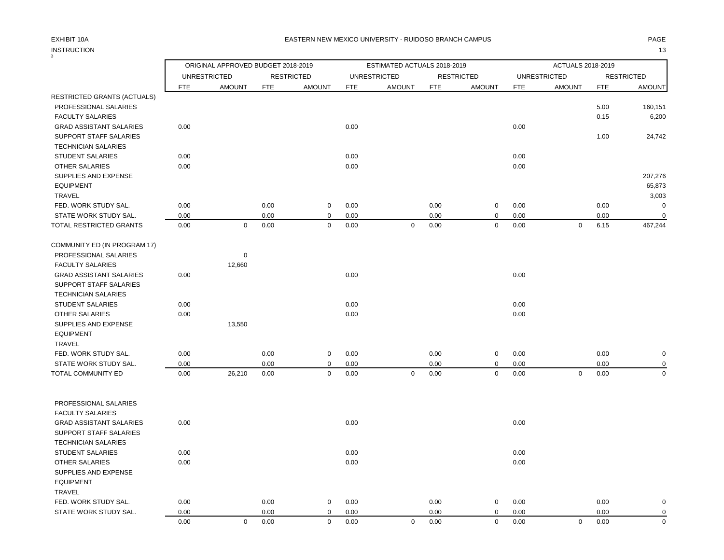3

### EXHIBIT 10A PAGE EASTERN NEW MEXICO UNIVERSITY - RUIDOSO BRANCH CAMPUS

|                                               |              | ORIGINAL APPROVED BUDGET 2018-2019 |              |                   |              | ESTIMATED ACTUALS 2018-2019 |              |                   |              | ACTUALS 2018-2019   |              |                   |
|-----------------------------------------------|--------------|------------------------------------|--------------|-------------------|--------------|-----------------------------|--------------|-------------------|--------------|---------------------|--------------|-------------------|
|                                               |              | <b>UNRESTRICTED</b>                |              | <b>RESTRICTED</b> |              | <b>UNRESTRICTED</b>         |              | <b>RESTRICTED</b> |              | <b>UNRESTRICTED</b> |              | <b>RESTRICTED</b> |
|                                               | <b>FTE</b>   | <b>AMOUNT</b>                      | FTE          | <b>AMOUNT</b>     | <b>FTE</b>   | <b>AMOUNT</b>               | <b>FTE</b>   | <b>AMOUNT</b>     | <b>FTE</b>   | <b>AMOUNT</b>       | <b>FTE</b>   | <b>AMOUNT</b>     |
| RESTRICTED GRANTS (ACTUALS)                   |              |                                    |              |                   |              |                             |              |                   |              |                     |              |                   |
| PROFESSIONAL SALARIES                         |              |                                    |              |                   |              |                             |              |                   |              |                     | 5.00         | 160,151           |
| <b>FACULTY SALARIES</b>                       |              |                                    |              |                   |              |                             |              |                   |              |                     | 0.15         | 6,200             |
| <b>GRAD ASSISTANT SALARIES</b>                | 0.00         |                                    |              |                   | 0.00         |                             |              |                   | 0.00         |                     |              |                   |
| SUPPORT STAFF SALARIES                        |              |                                    |              |                   |              |                             |              |                   |              |                     | 1.00         | 24,742            |
| <b>TECHNICIAN SALARIES</b>                    |              |                                    |              |                   |              |                             |              |                   |              |                     |              |                   |
| STUDENT SALARIES                              | 0.00         |                                    |              |                   | 0.00         |                             |              |                   | 0.00         |                     |              |                   |
| OTHER SALARIES                                | 0.00         |                                    |              |                   | 0.00         |                             |              |                   | 0.00         |                     |              |                   |
| SUPPLIES AND EXPENSE                          |              |                                    |              |                   |              |                             |              |                   |              |                     |              | 207,276           |
| <b>EQUIPMENT</b>                              |              |                                    |              |                   |              |                             |              |                   |              |                     |              | 65,873            |
| TRAVEL                                        |              |                                    |              |                   |              |                             |              |                   |              |                     |              | 3,003             |
| FED. WORK STUDY SAL.<br>STATE WORK STUDY SAL. | 0.00<br>0.00 |                                    | 0.00<br>0.00 | 0<br>0            | 0.00<br>0.00 |                             | 0.00<br>0.00 | 0<br>$\mathbf 0$  | 0.00<br>0.00 |                     | 0.00<br>0.00 | O<br>$\mathbf 0$  |
| TOTAL RESTRICTED GRANTS                       | 0.00         | $\mathbf 0$                        | 0.00         | $\mathbf 0$       | 0.00         | $\mathsf 0$                 | 0.00         | $\mathbf 0$       | 0.00         | $\mathbf 0$         | 6.15         | 467,244           |
|                                               |              |                                    |              |                   |              |                             |              |                   |              |                     |              |                   |
| COMMUNITY ED (IN PROGRAM 17)                  |              |                                    |              |                   |              |                             |              |                   |              |                     |              |                   |
| PROFESSIONAL SALARIES                         |              | 0                                  |              |                   |              |                             |              |                   |              |                     |              |                   |
| <b>FACULTY SALARIES</b>                       |              | 12,660                             |              |                   |              |                             |              |                   |              |                     |              |                   |
| <b>GRAD ASSISTANT SALARIES</b>                | 0.00         |                                    |              |                   | 0.00         |                             |              |                   | 0.00         |                     |              |                   |
| SUPPORT STAFF SALARIES                        |              |                                    |              |                   |              |                             |              |                   |              |                     |              |                   |
| <b>TECHNICIAN SALARIES</b>                    |              |                                    |              |                   |              |                             |              |                   |              |                     |              |                   |
| <b>STUDENT SALARIES</b>                       | 0.00         |                                    |              |                   | 0.00         |                             |              |                   | 0.00         |                     |              |                   |
| OTHER SALARIES                                | 0.00         |                                    |              |                   | 0.00         |                             |              |                   | 0.00         |                     |              |                   |
| SUPPLIES AND EXPENSE                          |              | 13,550                             |              |                   |              |                             |              |                   |              |                     |              |                   |
| <b>EQUIPMENT</b>                              |              |                                    |              |                   |              |                             |              |                   |              |                     |              |                   |
| TRAVEL                                        |              |                                    |              |                   |              |                             |              |                   |              |                     |              |                   |
| FED. WORK STUDY SAL.                          | 0.00         |                                    | 0.00         | 0                 | 0.00         |                             | 0.00         | $\mathbf 0$       | 0.00         |                     | 0.00         | O                 |
| STATE WORK STUDY SAL.                         | 0.00         |                                    | 0.00         | $\mathbf 0$       | 0.00         |                             | 0.00         | $\mathbf 0$       | 0.00         |                     | 0.00         |                   |
| TOTAL COMMUNITY ED                            | 0.00         | 26,210                             | 0.00         | $\mathsf 0$       | 0.00         | $\mathbf 0$                 | 0.00         | $\mathbf 0$       | 0.00         | $\mathbf 0$         | 0.00         | $\Omega$          |
|                                               |              |                                    |              |                   |              |                             |              |                   |              |                     |              |                   |
| PROFESSIONAL SALARIES                         |              |                                    |              |                   |              |                             |              |                   |              |                     |              |                   |
| <b>FACULTY SALARIES</b>                       |              |                                    |              |                   |              |                             |              |                   |              |                     |              |                   |
| <b>GRAD ASSISTANT SALARIES</b>                | 0.00         |                                    |              |                   | 0.00         |                             |              |                   | 0.00         |                     |              |                   |
| SUPPORT STAFF SALARIES                        |              |                                    |              |                   |              |                             |              |                   |              |                     |              |                   |
| <b>TECHNICIAN SALARIES</b>                    |              |                                    |              |                   |              |                             |              |                   |              |                     |              |                   |
| STUDENT SALARIES                              | 0.00         |                                    |              |                   | 0.00         |                             |              |                   | 0.00         |                     |              |                   |
| OTHER SALARIES                                | 0.00         |                                    |              |                   | 0.00         |                             |              |                   | 0.00         |                     |              |                   |
| SUPPLIES AND EXPENSE                          |              |                                    |              |                   |              |                             |              |                   |              |                     |              |                   |
| <b>EQUIPMENT</b><br><b>TRAVEL</b>             |              |                                    |              |                   |              |                             |              |                   |              |                     |              |                   |
| FED. WORK STUDY SAL.                          | 0.00         |                                    | 0.00         | 0                 | 0.00         |                             | 0.00         | $\mathbf 0$       | 0.00         |                     | 0.00         |                   |
| STATE WORK STUDY SAL.                         | 0.00         |                                    | 0.00         | $\mathbf 0$       | 0.00         |                             | 0.00         | $\mathbf 0$       | 0.00         |                     | 0.00         | O<br>$\Omega$     |
|                                               |              |                                    |              |                   |              |                             |              |                   |              |                     |              |                   |

0.00 0 0.00 0 0.00 0 0.00 0 0.00 0 0.00 0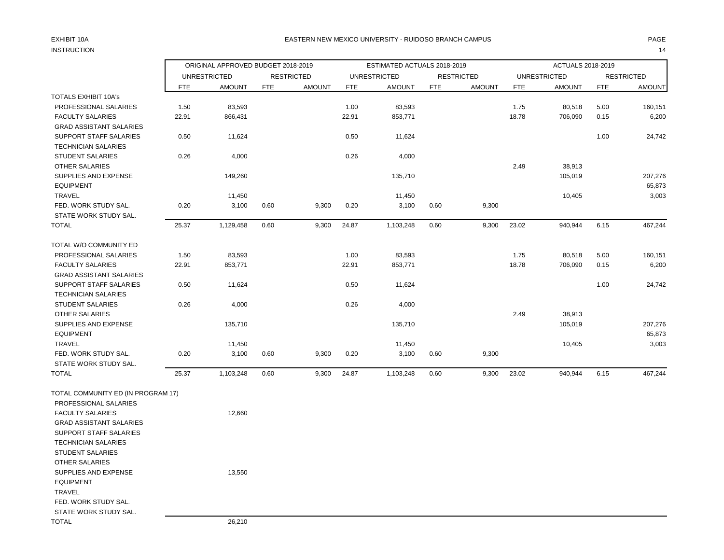# INSTRUCTION 14

### EXHIBIT 10A PAGE EASTERN NEW MEXICO UNIVERSITY - RUIDOSO BRANCH CAMPUS

|                                    |       | ORIGINAL APPROVED BUDGET 2018-2019 |            |                   |            | ESTIMATED ACTUALS 2018-2019 |            |                   |            | ACTUALS 2018-2019   |            |                   |
|------------------------------------|-------|------------------------------------|------------|-------------------|------------|-----------------------------|------------|-------------------|------------|---------------------|------------|-------------------|
|                                    |       | <b>UNRESTRICTED</b>                |            | <b>RESTRICTED</b> |            | <b>UNRESTRICTED</b>         |            | <b>RESTRICTED</b> |            | <b>UNRESTRICTED</b> |            | <b>RESTRICTED</b> |
|                                    | FTE   | <b>AMOUNT</b>                      | <b>FTE</b> | <b>AMOUNT</b>     | <b>FTE</b> | <b>AMOUNT</b>               | <b>FTE</b> | <b>AMOUNT</b>     | <b>FTE</b> | <b>AMOUNT</b>       | <b>FTE</b> | <b>AMOUNT</b>     |
| <b>TOTALS EXHIBIT 10A's</b>        |       |                                    |            |                   |            |                             |            |                   |            |                     |            |                   |
| PROFESSIONAL SALARIES              | 1.50  | 83,593                             |            |                   | 1.00       | 83,593                      |            |                   | 1.75       | 80,518              | 5.00       | 160,151           |
| <b>FACULTY SALARIES</b>            | 22.91 | 866,431                            |            |                   | 22.91      | 853,771                     |            |                   | 18.78      | 706,090             | 0.15       | 6,200             |
| <b>GRAD ASSISTANT SALARIES</b>     |       |                                    |            |                   |            |                             |            |                   |            |                     |            |                   |
| SUPPORT STAFF SALARIES             | 0.50  | 11,624                             |            |                   | 0.50       | 11,624                      |            |                   |            |                     | 1.00       | 24,742            |
| <b>TECHNICIAN SALARIES</b>         |       |                                    |            |                   |            |                             |            |                   |            |                     |            |                   |
| <b>STUDENT SALARIES</b>            | 0.26  | 4,000                              |            |                   | 0.26       | 4,000                       |            |                   |            |                     |            |                   |
| OTHER SALARIES                     |       |                                    |            |                   |            |                             |            |                   | 2.49       | 38,913              |            |                   |
| SUPPLIES AND EXPENSE               |       | 149,260                            |            |                   |            | 135,710                     |            |                   |            | 105,019             |            | 207,276           |
| <b>EQUIPMENT</b>                   |       |                                    |            |                   |            |                             |            |                   |            |                     |            | 65,873            |
| <b>TRAVEL</b>                      |       | 11,450                             |            |                   |            | 11,450                      |            |                   |            | 10,405              |            | 3,003             |
| FED. WORK STUDY SAL.               | 0.20  | 3,100                              | 0.60       | 9,300             | 0.20       | 3,100                       | 0.60       | 9,300             |            |                     |            |                   |
| STATE WORK STUDY SAL.              |       |                                    |            |                   |            |                             |            |                   |            |                     |            |                   |
| <b>TOTAL</b>                       | 25.37 | 1,129,458                          | 0.60       | 9,300             | 24.87      | 1,103,248                   | 0.60       | 9,300             | 23.02      | 940,944             | 6.15       | 467,244           |
| TOTAL W/O COMMUNITY ED             |       |                                    |            |                   |            |                             |            |                   |            |                     |            |                   |
| PROFESSIONAL SALARIES              | 1.50  | 83,593                             |            |                   | 1.00       | 83,593                      |            |                   | 1.75       | 80,518              | 5.00       | 160,151           |
| <b>FACULTY SALARIES</b>            | 22.91 | 853,771                            |            |                   | 22.91      | 853,771                     |            |                   | 18.78      | 706,090             | 0.15       | 6,200             |
| <b>GRAD ASSISTANT SALARIES</b>     |       |                                    |            |                   |            |                             |            |                   |            |                     |            |                   |
| SUPPORT STAFF SALARIES             | 0.50  | 11,624                             |            |                   | 0.50       | 11,624                      |            |                   |            |                     | 1.00       | 24,742            |
| <b>TECHNICIAN SALARIES</b>         |       |                                    |            |                   |            |                             |            |                   |            |                     |            |                   |
| <b>STUDENT SALARIES</b>            | 0.26  | 4,000                              |            |                   | 0.26       | 4,000                       |            |                   |            |                     |            |                   |
| OTHER SALARIES                     |       |                                    |            |                   |            |                             |            |                   | 2.49       | 38,913              |            |                   |
| SUPPLIES AND EXPENSE               |       | 135,710                            |            |                   |            | 135,710                     |            |                   |            | 105,019             |            | 207,276           |
| <b>EQUIPMENT</b>                   |       |                                    |            |                   |            |                             |            |                   |            |                     |            | 65,873            |
| <b>TRAVEL</b>                      |       | 11,450                             |            |                   |            | 11,450                      |            |                   |            | 10,405              |            | 3,003             |
| FED. WORK STUDY SAL.               | 0.20  | 3,100                              | 0.60       | 9,300             | 0.20       | 3,100                       | 0.60       | 9,300             |            |                     |            |                   |
| STATE WORK STUDY SAL.              |       |                                    |            |                   |            |                             |            |                   |            |                     |            |                   |
| <b>TOTAL</b>                       | 25.37 | 1,103,248                          | 0.60       | 9,300             | 24.87      | 1,103,248                   | 0.60       | 9,300             | 23.02      | 940,944             | 6.15       | 467,244           |
| TOTAL COMMUNITY ED (IN PROGRAM 17) |       |                                    |            |                   |            |                             |            |                   |            |                     |            |                   |
| PROFESSIONAL SALARIES              |       |                                    |            |                   |            |                             |            |                   |            |                     |            |                   |
| <b>FACULTY SALARIES</b>            |       | 12,660                             |            |                   |            |                             |            |                   |            |                     |            |                   |
| <b>GRAD ASSISTANT SALARIES</b>     |       |                                    |            |                   |            |                             |            |                   |            |                     |            |                   |
| <b>SUPPORT STAFF SALARIES</b>      |       |                                    |            |                   |            |                             |            |                   |            |                     |            |                   |
| <b>TECHNICIAN SALARIES</b>         |       |                                    |            |                   |            |                             |            |                   |            |                     |            |                   |
| <b>STUDENT SALARIES</b>            |       |                                    |            |                   |            |                             |            |                   |            |                     |            |                   |
| OTHER SALARIES                     |       |                                    |            |                   |            |                             |            |                   |            |                     |            |                   |
| <b>SUPPLIES AND EXPENSE</b>        |       | 13,550                             |            |                   |            |                             |            |                   |            |                     |            |                   |
| <b>EQUIPMENT</b>                   |       |                                    |            |                   |            |                             |            |                   |            |                     |            |                   |
| <b>TRAVEL</b>                      |       |                                    |            |                   |            |                             |            |                   |            |                     |            |                   |
| FED. WORK STUDY SAL.               |       |                                    |            |                   |            |                             |            |                   |            |                     |            |                   |
| STATE WORK STUDY SAL.              |       |                                    |            |                   |            |                             |            |                   |            |                     |            |                   |
| <b>TOTAL</b>                       |       | 26,210                             |            |                   |            |                             |            |                   |            |                     |            |                   |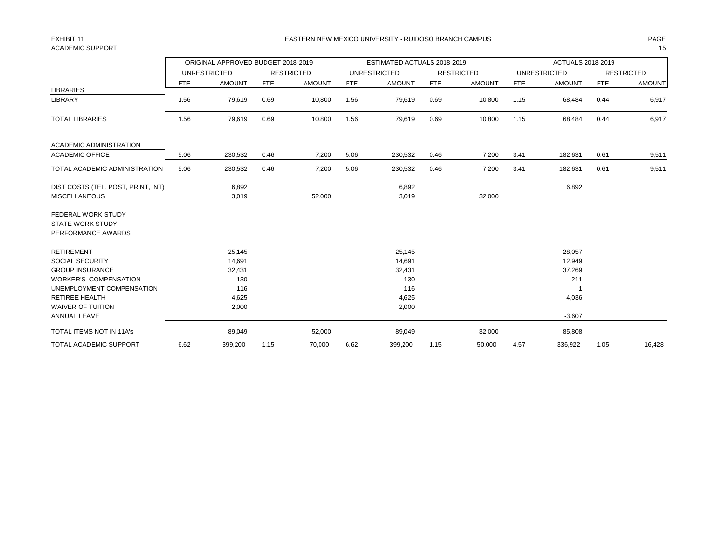## ACADEMIC SUPPORT THE RESERVED OF STRAIGHT AND STRAIGHT AND STRAIGHT AND STRAIGHT AND STRAIGHT AND STRAIGHT AND STRAIGHT AND STRAIGHT AND STRAIGHT AND STRAIGHT AND STRAIGHT AND STRAIGHT AND STRAIGHT AND STRAIGHT AND STRAIGH

### EXHIBIT 11 PAGE EASTERN NEW MEXICO UNIVERSITY - RUIDOSO BRANCH CAMPUS

|                                    |      | ORIGINAL APPROVED BUDGET 2018-2019 |            |                   |            | ESTIMATED ACTUALS 2018-2019 |            |                   |            | ACTUALS 2018-2019   |            |                   |
|------------------------------------|------|------------------------------------|------------|-------------------|------------|-----------------------------|------------|-------------------|------------|---------------------|------------|-------------------|
|                                    |      | <b>UNRESTRICTED</b>                |            | <b>RESTRICTED</b> |            | <b>UNRESTRICTED</b>         |            | <b>RESTRICTED</b> |            | <b>UNRESTRICTED</b> |            | <b>RESTRICTED</b> |
|                                    | FTE  | <b>AMOUNT</b>                      | <b>FTE</b> | <b>AMOUNT</b>     | <b>FTE</b> | <b>AMOUNT</b>               | <b>FTE</b> | <b>AMOUNT</b>     | <b>FTE</b> | <b>AMOUNT</b>       | <b>FTE</b> | <b>AMOUNT</b>     |
| <b>LIBRARIES</b>                   |      |                                    |            |                   |            |                             |            |                   |            |                     |            |                   |
| LIBRARY                            | 1.56 | 79,619                             | 0.69       | 10,800            | 1.56       | 79,619                      | 0.69       | 10,800            | 1.15       | 68,484              | 0.44       | 6,917             |
| <b>TOTAL LIBRARIES</b>             | 1.56 | 79,619                             | 0.69       | 10,800            | 1.56       | 79,619                      | 0.69       | 10,800            | 1.15       | 68,484              | 0.44       | 6,917             |
| <b>ACADEMIC ADMINISTRATION</b>     |      |                                    |            |                   |            |                             |            |                   |            |                     |            |                   |
| <b>ACADEMIC OFFICE</b>             | 5.06 | 230,532                            | 0.46       | 7,200             | 5.06       | 230,532                     | 0.46       | 7,200             | 3.41       | 182,631             | 0.61       | 9,511             |
| TOTAL ACADEMIC ADMINISTRATION      | 5.06 | 230,532                            | 0.46       | 7,200             | 5.06       | 230,532                     | 0.46       | 7,200             | 3.41       | 182,631             | 0.61       | 9,511             |
| DIST COSTS (TEL, POST, PRINT, INT) |      | 6,892                              |            |                   |            | 6,892                       |            |                   |            | 6,892               |            |                   |
| <b>MISCELLANEOUS</b>               |      | 3,019                              |            | 52,000            |            | 3,019                       |            | 32,000            |            |                     |            |                   |
| FEDERAL WORK STUDY                 |      |                                    |            |                   |            |                             |            |                   |            |                     |            |                   |
| <b>STATE WORK STUDY</b>            |      |                                    |            |                   |            |                             |            |                   |            |                     |            |                   |
| PERFORMANCE AWARDS                 |      |                                    |            |                   |            |                             |            |                   |            |                     |            |                   |
| <b>RETIREMENT</b>                  |      | 25,145                             |            |                   |            | 25,145                      |            |                   |            | 28,057              |            |                   |
| <b>SOCIAL SECURITY</b>             |      | 14,691                             |            |                   |            | 14,691                      |            |                   |            | 12,949              |            |                   |
| <b>GROUP INSURANCE</b>             |      | 32,431                             |            |                   |            | 32,431                      |            |                   |            | 37,269              |            |                   |
| <b>WORKER'S COMPENSATION</b>       |      | 130                                |            |                   |            | 130                         |            |                   |            | 211                 |            |                   |
| UNEMPLOYMENT COMPENSATION          |      | 116                                |            |                   |            | 116                         |            |                   |            |                     |            |                   |
| <b>RETIREE HEALTH</b>              |      | 4,625                              |            |                   |            | 4,625                       |            |                   |            | 4,036               |            |                   |
| <b>WAIVER OF TUITION</b>           |      | 2,000                              |            |                   |            | 2,000                       |            |                   |            |                     |            |                   |
| ANNUAL LEAVE                       |      |                                    |            |                   |            |                             |            |                   |            | $-3,607$            |            |                   |
| <b>TOTAL ITEMS NOT IN 11A's</b>    |      | 89,049                             |            | 52,000            |            | 89,049                      |            | 32,000            |            | 85,808              |            |                   |
| <b>TOTAL ACADEMIC SUPPORT</b>      | 6.62 | 399,200                            | 1.15       | 70,000            | 6.62       | 399,200                     | 1.15       | 50,000            | 4.57       | 336,922             | 1.05       | 16,428            |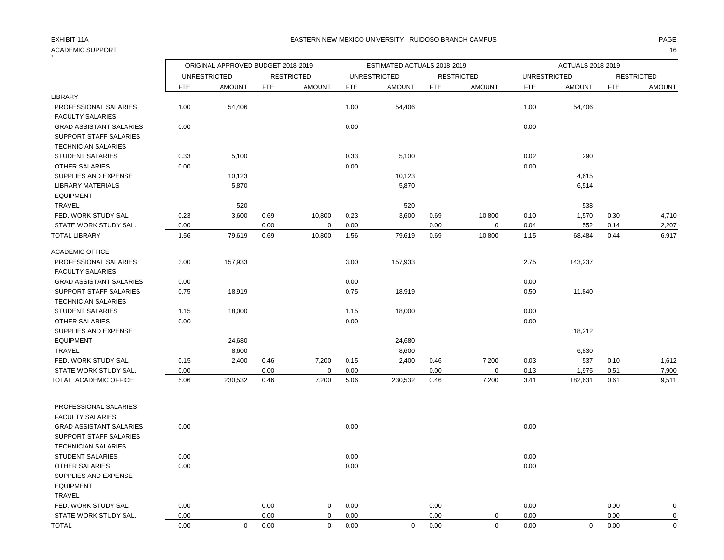## ACADEMIC SUPPORT 16

### EXHIBIT 11A CHANNEL MAGE THE SAN MEXICO UNIVERSITY - RUIDOSO BRANCH CAMPUS AND MAGE THE SAN MAGE THE SAN MAGE

| $\mathbf{1}$                                     |      |                                    |            |                   |            |                             |            |                   |                     |                   |            |                   |
|--------------------------------------------------|------|------------------------------------|------------|-------------------|------------|-----------------------------|------------|-------------------|---------------------|-------------------|------------|-------------------|
|                                                  |      | ORIGINAL APPROVED BUDGET 2018-2019 |            |                   |            | ESTIMATED ACTUALS 2018-2019 |            |                   |                     | ACTUALS 2018-2019 |            |                   |
|                                                  |      | <b>UNRESTRICTED</b>                |            | <b>RESTRICTED</b> |            | <b>UNRESTRICTED</b>         |            | <b>RESTRICTED</b> | <b>UNRESTRICTED</b> |                   |            | <b>RESTRICTED</b> |
|                                                  | FTE  | <b>AMOUNT</b>                      | <b>FTE</b> | <b>AMOUNT</b>     | <b>FTE</b> | <b>AMOUNT</b>               | <b>FTE</b> | <b>AMOUNT</b>     | <b>FTE</b>          | <b>AMOUNT</b>     | <b>FTE</b> | <b>AMOUNT</b>     |
| LIBRARY                                          |      |                                    |            |                   |            |                             |            |                   |                     |                   |            |                   |
| PROFESSIONAL SALARIES<br><b>FACULTY SALARIES</b> | 1.00 | 54,406                             |            |                   | 1.00       | 54,406                      |            |                   | 1.00                | 54,406            |            |                   |
| <b>GRAD ASSISTANT SALARIES</b>                   | 0.00 |                                    |            |                   | 0.00       |                             |            |                   | 0.00                |                   |            |                   |
| SUPPORT STAFF SALARIES                           |      |                                    |            |                   |            |                             |            |                   |                     |                   |            |                   |
| <b>TECHNICIAN SALARIES</b>                       |      |                                    |            |                   |            |                             |            |                   |                     |                   |            |                   |
| <b>STUDENT SALARIES</b>                          | 0.33 | 5,100                              |            |                   | 0.33       | 5,100                       |            |                   | 0.02                | 290               |            |                   |
| <b>OTHER SALARIES</b>                            | 0.00 |                                    |            |                   | 0.00       |                             |            |                   | 0.00                |                   |            |                   |
| SUPPLIES AND EXPENSE                             |      | 10,123                             |            |                   |            | 10,123                      |            |                   |                     | 4,615             |            |                   |
| LIBRARY MATERIALS                                |      | 5,870                              |            |                   |            | 5,870                       |            |                   |                     | 6,514             |            |                   |
| <b>EQUIPMENT</b><br><b>TRAVEL</b>                |      | 520                                |            |                   |            | 520                         |            |                   |                     | 538               |            |                   |
| FED. WORK STUDY SAL.                             | 0.23 | 3,600                              | 0.69       | 10,800            | 0.23       | 3,600                       | 0.69       | 10,800            | 0.10                | 1,570             | 0.30       | 4,710             |
| STATE WORK STUDY SAL.                            | 0.00 |                                    | 0.00       | $\mathbf 0$       | 0.00       |                             | 0.00       | $\mathbf 0$       | 0.04                | 552               | 0.14       | 2,207             |
| <b>TOTAL LIBRARY</b>                             | 1.56 | 79,619                             | 0.69       | 10,800            | 1.56       | 79,619                      | 0.69       | 10,800            | 1.15                | 68,484            | 0.44       | 6,917             |
| <b>ACADEMIC OFFICE</b>                           |      |                                    |            |                   |            |                             |            |                   |                     |                   |            |                   |
| PROFESSIONAL SALARIES                            | 3.00 | 157,933                            |            |                   | 3.00       | 157,933                     |            |                   | 2.75                | 143,237           |            |                   |
| <b>FACULTY SALARIES</b>                          |      |                                    |            |                   |            |                             |            |                   |                     |                   |            |                   |
| <b>GRAD ASSISTANT SALARIES</b>                   | 0.00 |                                    |            |                   | 0.00       |                             |            |                   | 0.00                |                   |            |                   |
| SUPPORT STAFF SALARIES                           | 0.75 | 18,919                             |            |                   | 0.75       | 18,919                      |            |                   | 0.50                | 11,840            |            |                   |
| <b>TECHNICIAN SALARIES</b>                       |      |                                    |            |                   |            |                             |            |                   |                     |                   |            |                   |
| <b>STUDENT SALARIES</b>                          | 1.15 | 18,000                             |            |                   | 1.15       | 18,000                      |            |                   | 0.00                |                   |            |                   |
| <b>OTHER SALARIES</b>                            | 0.00 |                                    |            |                   | 0.00       |                             |            |                   | 0.00                |                   |            |                   |
| SUPPLIES AND EXPENSE                             |      |                                    |            |                   |            |                             |            |                   |                     | 18,212            |            |                   |
| <b>EQUIPMENT</b>                                 |      | 24,680                             |            |                   |            | 24,680                      |            |                   |                     |                   |            |                   |
| <b>TRAVEL</b>                                    |      | 8,600                              |            |                   |            | 8,600                       |            |                   |                     | 6,830             |            |                   |
| FED. WORK STUDY SAL.                             | 0.15 | 2,400                              | 0.46       | 7,200             | 0.15       | 2,400                       | 0.46       | 7,200             | 0.03                | 537               | 0.10       | 1,612             |
| STATE WORK STUDY SAL.                            | 0.00 |                                    | 0.00       | $\mathbf 0$       | 0.00       |                             | 0.00       | $\mathbf 0$       | 0.13                | 1,975             | 0.51       | 7,900             |
| TOTAL ACADEMIC OFFICE                            | 5.06 | 230,532                            | 0.46       | 7,200             | 5.06       | 230,532                     | 0.46       | 7,200             | 3.41                | 182,631           | 0.61       | 9,511             |
| PROFESSIONAL SALARIES                            |      |                                    |            |                   |            |                             |            |                   |                     |                   |            |                   |
| <b>FACULTY SALARIES</b>                          |      |                                    |            |                   |            |                             |            |                   |                     |                   |            |                   |
| <b>GRAD ASSISTANT SALARIES</b>                   | 0.00 |                                    |            |                   | 0.00       |                             |            |                   | 0.00                |                   |            |                   |
| SUPPORT STAFF SALARIES                           |      |                                    |            |                   |            |                             |            |                   |                     |                   |            |                   |
| <b>TECHNICIAN SALARIES</b>                       |      |                                    |            |                   |            |                             |            |                   |                     |                   |            |                   |
| <b>STUDENT SALARIES</b>                          | 0.00 |                                    |            |                   | 0.00       |                             |            |                   | 0.00                |                   |            |                   |
| <b>OTHER SALARIES</b>                            | 0.00 |                                    |            |                   | 0.00       |                             |            |                   | 0.00                |                   |            |                   |
| SUPPLIES AND EXPENSE                             |      |                                    |            |                   |            |                             |            |                   |                     |                   |            |                   |
| <b>EQUIPMENT</b>                                 |      |                                    |            |                   |            |                             |            |                   |                     |                   |            |                   |
| <b>TRAVEL</b>                                    |      |                                    |            |                   |            |                             |            |                   |                     |                   |            |                   |
| FED. WORK STUDY SAL.                             | 0.00 |                                    | 0.00       | $\mathbf 0$       | 0.00       |                             | 0.00       |                   | 0.00                |                   | 0.00       | $\mathbf 0$       |
| STATE WORK STUDY SAL.                            | 0.00 |                                    | 0.00       | $\mathbf 0$       | 0.00       |                             | 0.00       | $\mathbf 0$       | 0.00                |                   | 0.00       | $\mathbf 0$       |
| <b>TOTAL</b>                                     | 0.00 | $\mathbf 0$                        | 0.00       | $\mathbf 0$       | 0.00       | $\mathbf 0$                 | 0.00       | $\mathbf 0$       | 0.00                | $\mathbf 0$       | 0.00       | $\mathbf 0$       |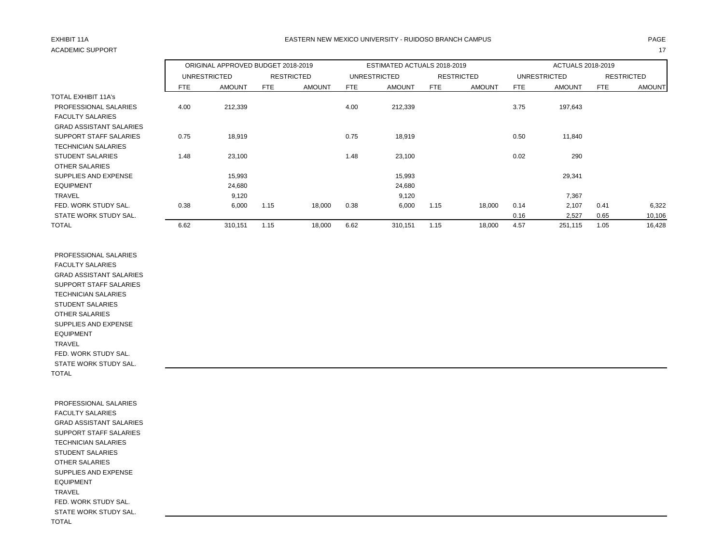# ACADEMIC SUPPORT And the contract of the contract of the contract of the contract of the contract of the contract of the contract of the contract of the contract of the contract of the contract of the contract of the contr

### EXHIBIT 11A PAGE EASTERN NEW MEXICO UNIVERSITY - RUIDOSO BRANCH CAMPUS

|                                |      | ORIGINAL APPROVED BUDGET 2018-2019 |      |                   |      | ESTIMATED ACTUALS 2018-2019 |      |                   |      | <b>ACTUALS 2018-2019</b> |      |                   |
|--------------------------------|------|------------------------------------|------|-------------------|------|-----------------------------|------|-------------------|------|--------------------------|------|-------------------|
|                                |      | <b>UNRESTRICTED</b>                |      | <b>RESTRICTED</b> |      | <b>UNRESTRICTED</b>         |      | <b>RESTRICTED</b> |      | <b>UNRESTRICTED</b>      |      | <b>RESTRICTED</b> |
|                                | FTE  | <b>AMOUNT</b>                      | FTE  | <b>AMOUNT</b>     | FTE  | <b>AMOUNT</b>               | FTE  | <b>AMOUNT</b>     | FTE  | <b>AMOUNT</b>            | FTE  | <b>AMOUNT</b>     |
| <b>TOTAL EXHIBIT 11A's</b>     |      |                                    |      |                   |      |                             |      |                   |      |                          |      |                   |
| PROFESSIONAL SALARIES          | 4.00 | 212,339                            |      |                   | 4.00 | 212,339                     |      |                   | 3.75 | 197,643                  |      |                   |
| <b>FACULTY SALARIES</b>        |      |                                    |      |                   |      |                             |      |                   |      |                          |      |                   |
| <b>GRAD ASSISTANT SALARIES</b> |      |                                    |      |                   |      |                             |      |                   |      |                          |      |                   |
| SUPPORT STAFF SALARIES         | 0.75 | 18,919                             |      |                   | 0.75 | 18,919                      |      |                   | 0.50 | 11,840                   |      |                   |
| <b>TECHNICIAN SALARIES</b>     |      |                                    |      |                   |      |                             |      |                   |      |                          |      |                   |
| <b>STUDENT SALARIES</b>        | 1.48 | 23,100                             |      |                   | 1.48 | 23,100                      |      |                   | 0.02 | 290                      |      |                   |
| OTHER SALARIES                 |      |                                    |      |                   |      |                             |      |                   |      |                          |      |                   |
| SUPPLIES AND EXPENSE           |      | 15,993                             |      |                   |      | 15,993                      |      |                   |      | 29,341                   |      |                   |
| <b>EQUIPMENT</b>               |      | 24,680                             |      |                   |      | 24,680                      |      |                   |      |                          |      |                   |
| <b>TRAVEL</b>                  |      | 9,120                              |      |                   |      | 9,120                       |      |                   |      | 7,367                    |      |                   |
| FED. WORK STUDY SAL.           | 0.38 | 6,000                              | 1.15 | 18,000            | 0.38 | 6,000                       | 1.15 | 18,000            | 0.14 | 2,107                    | 0.41 | 6,322             |
| STATE WORK STUDY SAL.          |      |                                    |      |                   |      |                             |      |                   | 0.16 | 2,527                    | 0.65 | 10,106            |
| <b>TOTAL</b>                   | 6.62 | 310,151                            | 1.15 | 18,000            | 6.62 | 310,151                     | 1.15 | 18,000            | 4.57 | 251,115                  | 1.05 | 16,428            |

 PROFESSIONAL SALARIES FACULTY SALARIES GRAD ASSISTANT SALARIES SUPPORT STAFF SALARIES TECHNICIAN SALARIES STUDENT SALARIES OTHER SALARIES SUPPLIES AND EXPENSE EQUIPMENT TRAVEL FED. WORK STUDY SAL. STATE WORK STUDY SAL. TOTAL

 PROFESSIONAL SALARIES FACULTY SALARIES GRAD ASSISTANT SALARIES SUPPORT STAFF SALARIES TECHNICIAN SALARIES STUDENT SALARIES OTHER SALARIES SUPPLIES AND EXPENSE EQUIPMENT TRAVEL FED. WORK STUDY SAL. STATE WORK STUDY SAL. TOTAL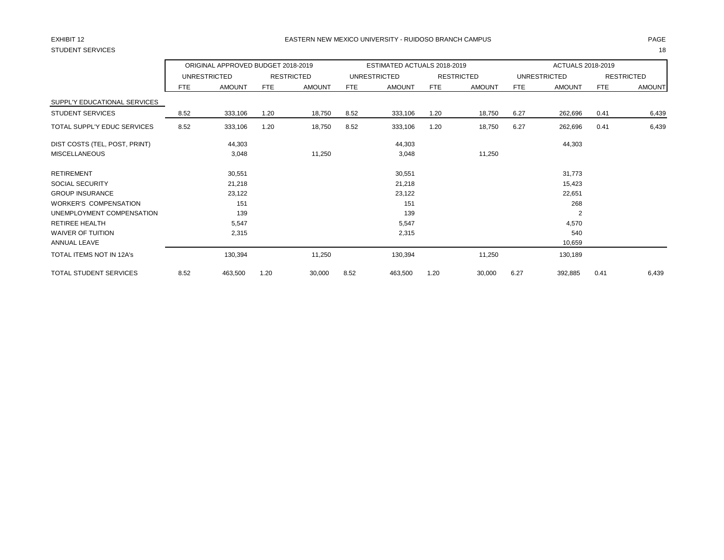# STUDENT SERVICES 18

### EXHIBIT 12 PAGE EASTERN NEW MEXICO UNIVERSITY - RUIDOSO BRANCH CAMPUS

|                                    |            | ORIGINAL APPROVED BUDGET 2018-2019 |            |                   |            | ESTIMATED ACTUALS 2018-2019 |            |                   |      | ACTUALS 2018-2019   |            |                   |
|------------------------------------|------------|------------------------------------|------------|-------------------|------------|-----------------------------|------------|-------------------|------|---------------------|------------|-------------------|
|                                    |            | <b>UNRESTRICTED</b>                |            | <b>RESTRICTED</b> |            | <b>UNRESTRICTED</b>         |            | <b>RESTRICTED</b> |      | <b>UNRESTRICTED</b> |            | <b>RESTRICTED</b> |
|                                    | <b>FTE</b> | <b>AMOUNT</b>                      | <b>FTE</b> | <b>AMOUNT</b>     | <b>FTE</b> | <b>AMOUNT</b>               | <b>FTE</b> | <b>AMOUNT</b>     | FTE  | <b>AMOUNT</b>       | <b>FTE</b> | <b>AMOUNT</b>     |
| SUPPL'Y EDUCATIONAL SERVICES       |            |                                    |            |                   |            |                             |            |                   |      |                     |            |                   |
| <b>STUDENT SERVICES</b>            | 8.52       | 333,106                            | 1.20       | 18,750            | 8.52       | 333,106                     | 1.20       | 18,750            | 6.27 | 262,696             | 0.41       | 6,439             |
| <b>TOTAL SUPPL'Y EDUC SERVICES</b> | 8.52       | 333,106                            | 1.20       | 18,750            | 8.52       | 333,106                     | 1.20       | 18,750            | 6.27 | 262,696             | 0.41       | 6,439             |
| DIST COSTS (TEL, POST, PRINT)      |            | 44,303                             |            |                   |            | 44,303                      |            |                   |      | 44,303              |            |                   |
| <b>MISCELLANEOUS</b>               |            | 3,048                              |            | 11,250            |            | 3,048                       |            | 11,250            |      |                     |            |                   |
| <b>RETIREMENT</b>                  |            | 30,551                             |            |                   |            | 30,551                      |            |                   |      | 31,773              |            |                   |
| <b>SOCIAL SECURITY</b>             |            | 21,218                             |            |                   |            | 21,218                      |            |                   |      | 15,423              |            |                   |
| <b>GROUP INSURANCE</b>             |            | 23,122                             |            |                   |            | 23,122                      |            |                   |      | 22,651              |            |                   |
| <b>WORKER'S COMPENSATION</b>       |            | 151                                |            |                   |            | 151                         |            |                   |      | 268                 |            |                   |
| UNEMPLOYMENT COMPENSATION          |            | 139                                |            |                   |            | 139                         |            |                   |      | $\overline{2}$      |            |                   |
| RETIREE HEALTH                     |            | 5,547                              |            |                   |            | 5,547                       |            |                   |      | 4,570               |            |                   |
| <b>WAIVER OF TUITION</b>           |            | 2,315                              |            |                   |            | 2,315                       |            |                   |      | 540                 |            |                   |
| <b>ANNUAL LEAVE</b>                |            |                                    |            |                   |            |                             |            |                   |      | 10,659              |            |                   |
| TOTAL ITEMS NOT IN 12A's           |            | 130,394                            |            | 11,250            |            | 130,394                     |            | 11,250            |      | 130,189             |            |                   |
| <b>TOTAL STUDENT SERVICES</b>      | 8.52       | 463,500                            | 1.20       | 30,000            | 8.52       | 463,500                     | 1.20       | 30,000            | 6.27 | 392,885             | 0.41       | 6,439             |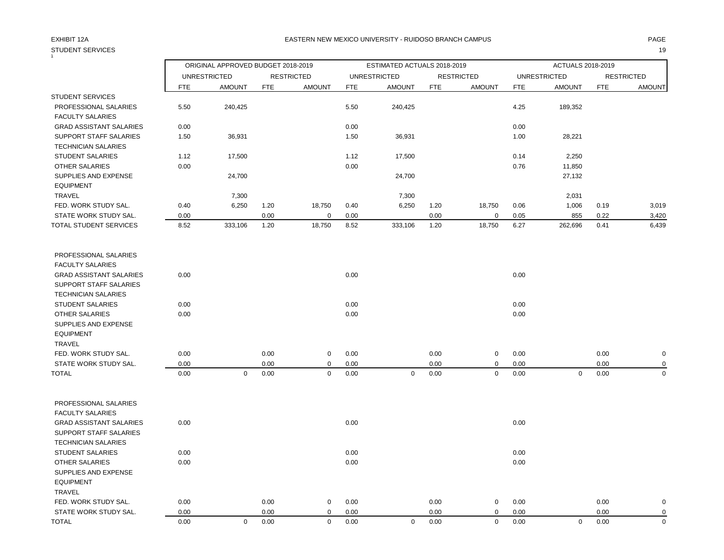# STUDENT SERVICES **19**

### EXHIBIT 12A PAGE EASTERN NEW MEXICO UNIVERSITY - RUIDOSO BRANCH CAMPUS

| $\mathbf{1}$                                             |              | ORIGINAL APPROVED BUDGET 2018-2019 |              |                            |              | ESTIMATED ACTUALS 2018-2019 |              |                   |              | ACTUALS 2018-2019   |              |                          |
|----------------------------------------------------------|--------------|------------------------------------|--------------|----------------------------|--------------|-----------------------------|--------------|-------------------|--------------|---------------------|--------------|--------------------------|
|                                                          |              | <b>UNRESTRICTED</b>                |              | <b>RESTRICTED</b>          |              | <b>UNRESTRICTED</b>         |              | <b>RESTRICTED</b> |              | <b>UNRESTRICTED</b> |              | <b>RESTRICTED</b>        |
|                                                          | FTE          | <b>AMOUNT</b>                      | <b>FTE</b>   | <b>AMOUNT</b>              | <b>FTE</b>   | <b>AMOUNT</b>               | <b>FTE</b>   | <b>AMOUNT</b>     | <b>FTE</b>   | <b>AMOUNT</b>       | <b>FTE</b>   | <b>AMOUNT</b>            |
| <b>STUDENT SERVICES</b>                                  |              |                                    |              |                            |              |                             |              |                   |              |                     |              |                          |
| PROFESSIONAL SALARIES                                    | 5.50         | 240,425                            |              |                            | 5.50         | 240,425                     |              |                   | 4.25         | 189,352             |              |                          |
| <b>FACULTY SALARIES</b>                                  |              |                                    |              |                            |              |                             |              |                   |              |                     |              |                          |
| <b>GRAD ASSISTANT SALARIES</b>                           | 0.00         |                                    |              |                            | 0.00         |                             |              |                   | 0.00         |                     |              |                          |
| SUPPORT STAFF SALARIES<br><b>TECHNICIAN SALARIES</b>     | 1.50         | 36,931                             |              |                            | 1.50         | 36,931                      |              |                   | 1.00         | 28,221              |              |                          |
| STUDENT SALARIES                                         | 1.12         | 17,500                             |              |                            | 1.12         | 17,500                      |              |                   | 0.14         | 2,250               |              |                          |
| <b>OTHER SALARIES</b>                                    | 0.00         |                                    |              |                            | 0.00         |                             |              |                   | 0.76         | 11,850              |              |                          |
| SUPPLIES AND EXPENSE<br><b>EQUIPMENT</b>                 |              | 24,700                             |              |                            |              | 24,700                      |              |                   |              | 27,132              |              |                          |
| <b>TRAVEL</b>                                            |              | 7,300                              |              |                            |              | 7,300                       |              |                   |              | 2,031               |              |                          |
| FED. WORK STUDY SAL.                                     | 0.40         | 6,250                              | 1.20         | 18,750                     | 0.40         | 6,250                       | 1.20         | 18,750            | 0.06         | 1,006               | 0.19         | 3,019                    |
| STATE WORK STUDY SAL.                                    | 0.00         |                                    | 0.00         | $\mathbf 0$                | 0.00         |                             | 0.00         | 0                 | 0.05         | 855                 | 0.22         | 3,420                    |
| TOTAL STUDENT SERVICES                                   | 8.52         | 333,106                            | 1.20         | 18,750                     | 8.52         | 333,106                     | 1.20         | 18,750            | 6.27         | 262,696             | 0.41         | 6,439                    |
| PROFESSIONAL SALARIES<br><b>FACULTY SALARIES</b>         |              |                                    |              |                            |              |                             |              |                   |              |                     |              |                          |
| <b>GRAD ASSISTANT SALARIES</b>                           | 0.00         |                                    |              |                            | 0.00         |                             |              |                   | 0.00         |                     |              |                          |
| SUPPORT STAFF SALARIES<br><b>TECHNICIAN SALARIES</b>     |              |                                    |              |                            |              |                             |              |                   |              |                     |              |                          |
| <b>STUDENT SALARIES</b>                                  | 0.00         |                                    |              |                            | 0.00         |                             |              |                   | 0.00         |                     |              |                          |
| <b>OTHER SALARIES</b>                                    | 0.00         |                                    |              |                            | 0.00         |                             |              |                   | 0.00         |                     |              |                          |
| SUPPLIES AND EXPENSE<br><b>EQUIPMENT</b>                 |              |                                    |              |                            |              |                             |              |                   |              |                     |              |                          |
| <b>TRAVEL</b>                                            |              |                                    |              |                            |              |                             |              |                   |              |                     |              |                          |
| FED. WORK STUDY SAL.                                     | 0.00         |                                    | 0.00         | $\mathbf 0$                | 0.00         |                             | 0.00         | 0                 | 0.00         |                     | 0.00         | $\pmb{0}$                |
| STATE WORK STUDY SAL.<br><b>TOTAL</b>                    | 0.00<br>0.00 | $\mathbf 0$                        | 0.00<br>0.00 | $\mathbf 0$<br>$\mathsf 0$ | 0.00<br>0.00 | $\mathbf 0$                 | 0.00<br>0.00 | 0<br>0            | 0.00<br>0.00 | $\pmb{0}$           | 0.00<br>0.00 | $\mathbf 0$<br>$\pmb{0}$ |
|                                                          |              |                                    |              |                            |              |                             |              |                   |              |                     |              |                          |
| PROFESSIONAL SALARIES<br><b>FACULTY SALARIES</b>         |              |                                    |              |                            |              |                             |              |                   |              |                     |              |                          |
| <b>GRAD ASSISTANT SALARIES</b><br>SUPPORT STAFF SALARIES | 0.00         |                                    |              |                            | 0.00         |                             |              |                   | 0.00         |                     |              |                          |
| <b>TECHNICIAN SALARIES</b>                               |              |                                    |              |                            |              |                             |              |                   |              |                     |              |                          |
| <b>STUDENT SALARIES</b>                                  | 0.00         |                                    |              |                            | 0.00         |                             |              |                   | 0.00         |                     |              |                          |
| <b>OTHER SALARIES</b>                                    | 0.00         |                                    |              |                            | 0.00         |                             |              |                   | 0.00         |                     |              |                          |
| <b>SUPPLIES AND EXPENSE</b>                              |              |                                    |              |                            |              |                             |              |                   |              |                     |              |                          |
| <b>EQUIPMENT</b><br><b>TRAVEL</b>                        |              |                                    |              |                            |              |                             |              |                   |              |                     |              |                          |
| FED. WORK STUDY SAL.                                     | 0.00         |                                    | 0.00         | $\mathbf 0$                | 0.00         |                             | 0.00         | 0                 | 0.00         |                     | 0.00         | $\mathbf 0$              |
| STATE WORK STUDY SAL.                                    | 0.00         |                                    | 0.00         | $\mathbf 0$                | 0.00         |                             | 0.00         | 0                 | 0.00         |                     | 0.00         | $\mathbf 0$              |
|                                                          |              |                                    |              |                            |              |                             |              |                   |              |                     |              |                          |

TOTAL 0.00 0 0.00 0 0.00 0 0.00 0 0.00 0 0.00 0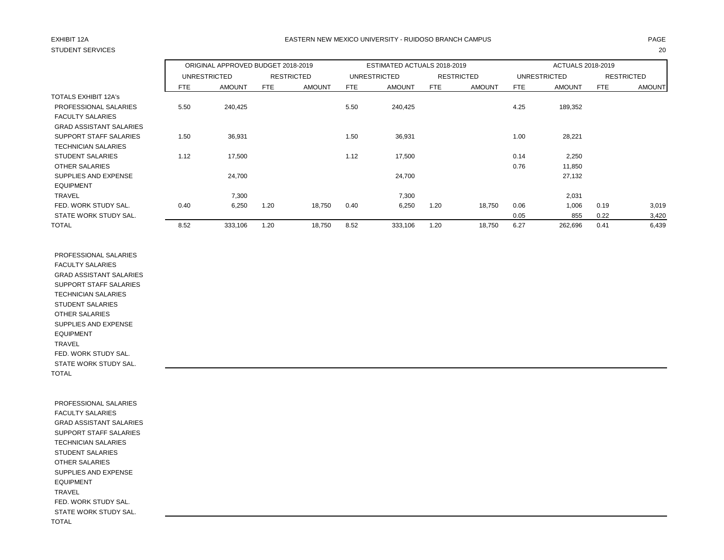# STUDENT SERVICES 20

### EXHIBIT 12A PAGE EASTERN NEW MEXICO UNIVERSITY - RUIDOSO BRANCH CAMPUS

|                                |      | ORIGINAL APPROVED BUDGET 2018-2019 |      |                   |      | ESTIMATED ACTUALS 2018-2019 |      |                   |      | ACTUALS 2018-2019 |      |                   |
|--------------------------------|------|------------------------------------|------|-------------------|------|-----------------------------|------|-------------------|------|-------------------|------|-------------------|
|                                |      | UNRESTRICTED                       |      | <b>RESTRICTED</b> |      | UNRESTRICTED                |      | <b>RESTRICTED</b> |      | UNRESTRICTED      |      | <b>RESTRICTED</b> |
|                                | FTE. | <b>AMOUNT</b>                      | FTE  | <b>AMOUNT</b>     | FTE  | <b>AMOUNT</b>               | FTE  | <b>AMOUNT</b>     | FTE  | <b>AMOUNT</b>     | FTE  | <b>AMOUNT</b>     |
| TOTALS EXHIBIT 12A's           |      |                                    |      |                   |      |                             |      |                   |      |                   |      |                   |
| PROFESSIONAL SALARIES          | 5.50 | 240,425                            |      |                   | 5.50 | 240,425                     |      |                   | 4.25 | 189,352           |      |                   |
| <b>FACULTY SALARIES</b>        |      |                                    |      |                   |      |                             |      |                   |      |                   |      |                   |
| <b>GRAD ASSISTANT SALARIES</b> |      |                                    |      |                   |      |                             |      |                   |      |                   |      |                   |
| <b>SUPPORT STAFF SALARIES</b>  | 1.50 | 36,931                             |      |                   | 1.50 | 36,931                      |      |                   | 1.00 | 28,221            |      |                   |
| <b>TECHNICIAN SALARIES</b>     |      |                                    |      |                   |      |                             |      |                   |      |                   |      |                   |
| <b>STUDENT SALARIES</b>        | 1.12 | 17,500                             |      |                   | 1.12 | 17,500                      |      |                   | 0.14 | 2,250             |      |                   |
| OTHER SALARIES                 |      |                                    |      |                   |      |                             |      |                   | 0.76 | 11,850            |      |                   |
| SUPPLIES AND EXPENSE           |      | 24,700                             |      |                   |      | 24,700                      |      |                   |      | 27,132            |      |                   |
| <b>EQUIPMENT</b>               |      |                                    |      |                   |      |                             |      |                   |      |                   |      |                   |
| <b>TRAVEL</b>                  |      | 7,300                              |      |                   |      | 7,300                       |      |                   |      | 2,031             |      |                   |
| FED. WORK STUDY SAL.           | 0.40 | 6,250                              | 1.20 | 18,750            | 0.40 | 6,250                       | 1.20 | 18,750            | 0.06 | 1,006             | 0.19 | 3,019             |
| STATE WORK STUDY SAL.          |      |                                    |      |                   |      |                             |      |                   | 0.05 | 855               | 0.22 | 3,420             |
| <b>TOTAL</b>                   | 8.52 | 333,106                            | 1.20 | 18,750            | 8.52 | 333,106                     | 1.20 | 18,750            | 6.27 | 262,696           | 0.41 | 6,439             |

 PROFESSIONAL SALARIES FACULTY SALARIES GRAD ASSISTANT SALARIES SUPPORT STAFF SALARIES TECHNICIAN SALARIES STUDENT SALARIES OTHER SALARIES SUPPLIES AND EXPENSE EQUIPMENT TRAVEL FED. WORK STUDY SAL. STATE WORK STUDY SAL. TOTAL

 PROFESSIONAL SALARIES FACULTY SALARIES GRAD ASSISTANT SALARIES SUPPORT STAFF SALARIES TECHNICIAN SALARIES STUDENT SALARIES OTHER SALARIES SUPPLIES AND EXPENSE EQUIPMENT TRAVEL FED. WORK STUDY SAL. STATE WORK STUDY SAL. TOTAL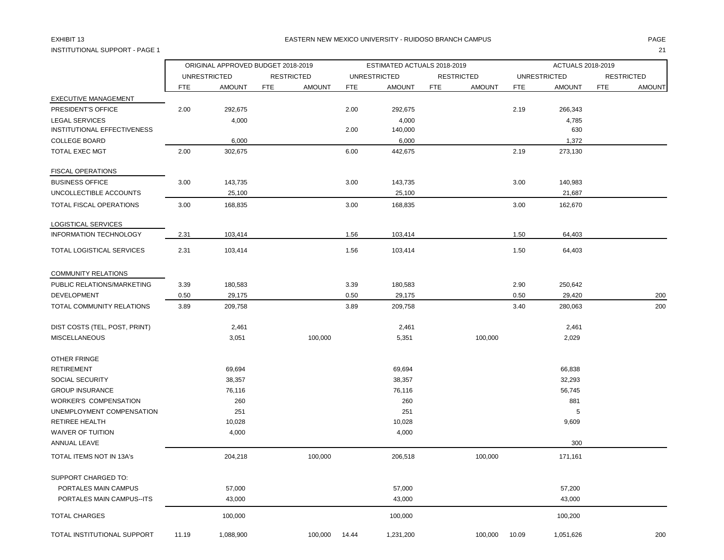## INSTITUTIONAL SUPPORT - PAGE 1 21

### EXHIBIT 13 PAGE EASTERN NEW MEXICO UNIVERSITY - RUIDOSO BRANCH CAMPUS

|                                    |            | ORIGINAL APPROVED BUDGET 2018-2019 |     |                   |            | ESTIMATED ACTUALS 2018-2019 |            |                   |            | ACTUALS 2018-2019   |            |                   |
|------------------------------------|------------|------------------------------------|-----|-------------------|------------|-----------------------------|------------|-------------------|------------|---------------------|------------|-------------------|
|                                    |            | <b>UNRESTRICTED</b>                |     | <b>RESTRICTED</b> |            | <b>UNRESTRICTED</b>         |            | <b>RESTRICTED</b> |            | <b>UNRESTRICTED</b> |            | <b>RESTRICTED</b> |
|                                    | <b>FTE</b> | <b>AMOUNT</b>                      | FTE | <b>AMOUNT</b>     | <b>FTE</b> | <b>AMOUNT</b>               | <b>FTE</b> | <b>AMOUNT</b>     | <b>FTE</b> | <b>AMOUNT</b>       | <b>FTE</b> | <b>AMOUNT</b>     |
| <b>EXECUTIVE MANAGEMENT</b>        |            |                                    |     |                   |            |                             |            |                   |            |                     |            |                   |
| PRESIDENT'S OFFICE                 | 2.00       | 292,675                            |     |                   | 2.00       | 292,675                     |            |                   | 2.19       | 266,343             |            |                   |
| <b>LEGAL SERVICES</b>              |            | 4,000                              |     |                   |            | 4,000                       |            |                   |            | 4,785               |            |                   |
| <b>INSTITUTIONAL EFFECTIVENESS</b> |            |                                    |     |                   | 2.00       | 140,000                     |            |                   |            | 630                 |            |                   |
| <b>COLLEGE BOARD</b>               |            | 6,000                              |     |                   |            | 6,000                       |            |                   |            | 1,372               |            |                   |
| <b>TOTAL EXEC MGT</b>              | 2.00       | 302,675                            |     |                   | 6.00       | 442,675                     |            |                   | 2.19       | 273,130             |            |                   |
| <b>FISCAL OPERATIONS</b>           |            |                                    |     |                   |            |                             |            |                   |            |                     |            |                   |
| <b>BUSINESS OFFICE</b>             | 3.00       | 143,735                            |     |                   | 3.00       | 143,735                     |            |                   | 3.00       | 140,983             |            |                   |
| UNCOLLECTIBLE ACCOUNTS             |            | 25,100                             |     |                   |            | 25,100                      |            |                   |            | 21,687              |            |                   |
| TOTAL FISCAL OPERATIONS            | 3.00       | 168,835                            |     |                   | 3.00       | 168,835                     |            |                   | 3.00       | 162,670             |            |                   |
| LOGISTICAL SERVICES                |            |                                    |     |                   |            |                             |            |                   |            |                     |            |                   |
| INFORMATION TECHNOLOGY             | 2.31       | 103,414                            |     |                   | 1.56       | 103,414                     |            |                   | 1.50       | 64,403              |            |                   |
| TOTAL LOGISTICAL SERVICES          | 2.31       | 103,414                            |     |                   | 1.56       | 103,414                     |            |                   | 1.50       | 64,403              |            |                   |
| COMMUNITY RELATIONS                |            |                                    |     |                   |            |                             |            |                   |            |                     |            |                   |
| PUBLIC RELATIONS/MARKETING         | 3.39       | 180,583                            |     |                   | 3.39       | 180,583                     |            |                   | 2.90       | 250,642             |            |                   |
| DEVELOPMENT                        | 0.50       | 29,175                             |     |                   | 0.50       | 29,175                      |            |                   | 0.50       | 29,420              |            | 200               |
| TOTAL COMMUNITY RELATIONS          | 3.89       | 209,758                            |     |                   | 3.89       | 209,758                     |            |                   | 3.40       | 280,063             |            | 200               |
| DIST COSTS (TEL, POST, PRINT)      |            | 2,461                              |     |                   |            | 2,461                       |            |                   |            | 2,461               |            |                   |
| <b>MISCELLANEOUS</b>               |            | 3,051                              |     | 100,000           |            | 5,351                       |            | 100,000           |            | 2,029               |            |                   |
| OTHER FRINGE                       |            |                                    |     |                   |            |                             |            |                   |            |                     |            |                   |
| <b>RETIREMENT</b>                  |            | 69,694                             |     |                   |            | 69,694                      |            |                   |            | 66,838              |            |                   |
| <b>SOCIAL SECURITY</b>             |            | 38,357                             |     |                   |            | 38,357                      |            |                   |            | 32,293              |            |                   |
| <b>GROUP INSURANCE</b>             |            | 76,116                             |     |                   |            | 76,116                      |            |                   |            | 56,745              |            |                   |
| <b>WORKER'S COMPENSATION</b>       |            | 260                                |     |                   |            | 260                         |            |                   |            | 881                 |            |                   |
| UNEMPLOYMENT COMPENSATION          |            | 251                                |     |                   |            | 251                         |            |                   |            | 5                   |            |                   |
| <b>RETIREE HEALTH</b>              |            | 10,028                             |     |                   |            | 10,028                      |            |                   |            | 9,609               |            |                   |
| <b>WAIVER OF TUITION</b>           |            | 4,000                              |     |                   |            | 4,000                       |            |                   |            |                     |            |                   |
| ANNUAL LEAVE                       |            |                                    |     |                   |            |                             |            |                   |            | 300                 |            |                   |
| <b>TOTAL ITEMS NOT IN 13A's</b>    |            | 204,218                            |     | 100,000           |            | 206,518                     |            | 100,000           |            | 171,161             |            |                   |
| SUPPORT CHARGED TO:                |            |                                    |     |                   |            |                             |            |                   |            |                     |            |                   |
| PORTALES MAIN CAMPUS               |            | 57,000                             |     |                   |            | 57,000                      |            |                   |            | 57,200              |            |                   |
| PORTALES MAIN CAMPUS--ITS          |            | 43,000                             |     |                   |            | 43,000                      |            |                   |            | 43,000              |            |                   |
| <b>TOTAL CHARGES</b>               |            | 100,000                            |     |                   |            | 100,000                     |            |                   |            | 100,200             |            |                   |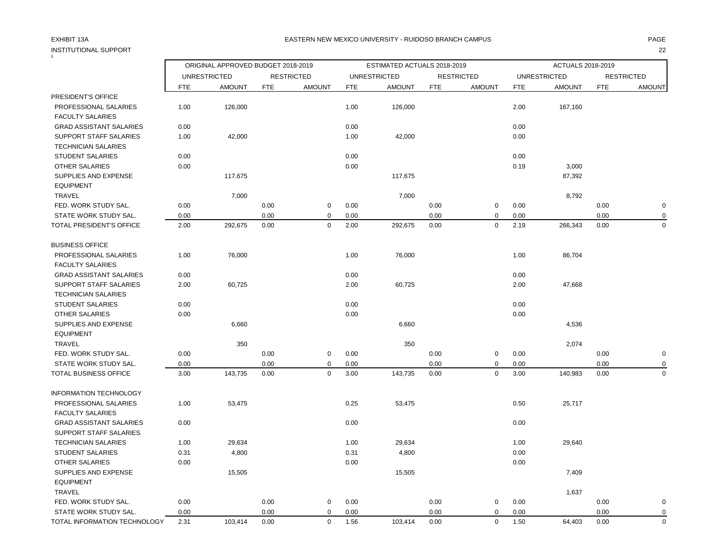## INSTITUTIONAL SUPPORT 22 1

### EXHIBIT 13A PAGE EASTERN NEW MEXICO UNIVERSITY - RUIDOSO BRANCH CAMPUS

|                                                             |            | ORIGINAL APPROVED BUDGET 2018-2019 |            |                   |            | ESTIMATED ACTUALS 2018-2019 |            |                   |            | ACTUALS 2018-2019   |            |                   |
|-------------------------------------------------------------|------------|------------------------------------|------------|-------------------|------------|-----------------------------|------------|-------------------|------------|---------------------|------------|-------------------|
|                                                             |            | <b>UNRESTRICTED</b>                |            | <b>RESTRICTED</b> |            | <b>UNRESTRICTED</b>         |            | <b>RESTRICTED</b> |            | <b>UNRESTRICTED</b> |            | <b>RESTRICTED</b> |
|                                                             | <b>FTE</b> | <b>AMOUNT</b>                      | <b>FTE</b> | <b>AMOUNT</b>     | <b>FTE</b> | <b>AMOUNT</b>               | <b>FTE</b> | <b>AMOUNT</b>     | <b>FTE</b> | <b>AMOUNT</b>       | <b>FTE</b> | <b>AMOUNT</b>     |
| PRESIDENT'S OFFICE                                          |            |                                    |            |                   |            |                             |            |                   |            |                     |            |                   |
| PROFESSIONAL SALARIES<br><b>FACULTY SALARIES</b>            | 1.00       | 126,000                            |            |                   | 1.00       | 126,000                     |            |                   | 2.00       | 167,160             |            |                   |
| <b>GRAD ASSISTANT SALARIES</b>                              | 0.00       |                                    |            |                   | 0.00       |                             |            |                   | 0.00       |                     |            |                   |
| <b>SUPPORT STAFF SALARIES</b><br><b>TECHNICIAN SALARIES</b> | 1.00       | 42,000                             |            |                   | 1.00       | 42,000                      |            |                   | 0.00       |                     |            |                   |
| <b>STUDENT SALARIES</b>                                     | 0.00       |                                    |            |                   | 0.00       |                             |            |                   | 0.00       |                     |            |                   |
| <b>OTHER SALARIES</b>                                       | 0.00       |                                    |            |                   | 0.00       |                             |            |                   | 0.19       | 3,000               |            |                   |
| SUPPLIES AND EXPENSE<br><b>EQUIPMENT</b>                    |            | 117,675                            |            |                   |            | 117,675                     |            |                   |            | 87,392              |            |                   |
| TRAVEL                                                      |            | 7,000                              |            |                   |            | 7,000                       |            |                   |            | 8,792               |            |                   |
| FED. WORK STUDY SAL.                                        | 0.00       |                                    | 0.00       | $\mathsf 0$       | 0.00       |                             | 0.00       | $\mathsf 0$       | 0.00       |                     | 0.00       | $\mathbf 0$       |
| STATE WORK STUDY SAL.                                       | 0.00       |                                    | 0.00       | $\mathbf 0$       | 0.00       |                             | 0.00       | $\mathbf 0$       | 0.00       |                     | 0.00       | $\mathbf 0$       |
| TOTAL PRESIDENT'S OFFICE                                    | 2.00       | 292,675                            | 0.00       | $\mathbf 0$       | 2.00       | 292,675                     | 0.00       | $\mathbf 0$       | 2.19       | 266,343             | 0.00       | $\Omega$          |
| <b>BUSINESS OFFICE</b>                                      |            |                                    |            |                   |            |                             |            |                   |            |                     |            |                   |
| PROFESSIONAL SALARIES<br><b>FACULTY SALARIES</b>            | 1.00       | 76,000                             |            |                   | 1.00       | 76,000                      |            |                   | 1.00       | 86,704              |            |                   |
| <b>GRAD ASSISTANT SALARIES</b>                              | 0.00       |                                    |            |                   | 0.00       |                             |            |                   | 0.00       |                     |            |                   |
| <b>SUPPORT STAFF SALARIES</b><br><b>TECHNICIAN SALARIES</b> | 2.00       | 60,725                             |            |                   | 2.00       | 60,725                      |            |                   | 2.00       | 47,668              |            |                   |
| <b>STUDENT SALARIES</b>                                     | 0.00       |                                    |            |                   | 0.00       |                             |            |                   | 0.00       |                     |            |                   |
| <b>OTHER SALARIES</b>                                       | 0.00       |                                    |            |                   | 0.00       |                             |            |                   | 0.00       |                     |            |                   |
| SUPPLIES AND EXPENSE                                        |            | 6,660                              |            |                   |            | 6,660                       |            |                   |            | 4,536               |            |                   |
| <b>EQUIPMENT</b>                                            |            |                                    |            |                   |            |                             |            |                   |            |                     |            |                   |
| <b>TRAVEL</b>                                               |            | 350                                |            |                   |            | 350                         |            |                   |            | 2,074               |            |                   |
| FED. WORK STUDY SAL.                                        | 0.00       |                                    | 0.00       | $\mathbf 0$       | 0.00       |                             | 0.00       | 0                 | 0.00       |                     | 0.00       | $\mathbf 0$       |
| STATE WORK STUDY SAL.                                       | 0.00       |                                    | 0.00       | 0                 | 0.00       |                             | 0.00       | 0                 | 0.00       |                     | 0.00       | 0                 |
| TOTAL BUSINESS OFFICE                                       | 3.00       | 143,735                            | 0.00       | $\mathbf 0$       | 3.00       | 143,735                     | 0.00       | $\mathbf 0$       | 3.00       | 140,983             | 0.00       | $\mathbf 0$       |
| <b>INFORMATION TECHNOLOGY</b>                               |            |                                    |            |                   |            |                             |            |                   |            |                     |            |                   |
| PROFESSIONAL SALARIES                                       | 1.00       | 53,475                             |            |                   | 0.25       | 53,475                      |            |                   | 0.50       | 25,717              |            |                   |
| <b>FACULTY SALARIES</b>                                     |            |                                    |            |                   |            |                             |            |                   |            |                     |            |                   |
| <b>GRAD ASSISTANT SALARIES</b>                              | 0.00       |                                    |            |                   | 0.00       |                             |            |                   | 0.00       |                     |            |                   |
| <b>SUPPORT STAFF SALARIES</b>                               |            |                                    |            |                   |            |                             |            |                   |            |                     |            |                   |
| <b>TECHNICIAN SALARIES</b>                                  | 1.00       | 29,634                             |            |                   | 1.00       | 29,634                      |            |                   | 1.00       | 29,640              |            |                   |
| <b>STUDENT SALARIES</b>                                     | 0.31       | 4,800                              |            |                   | 0.31       | 4,800                       |            |                   | 0.00       |                     |            |                   |
| <b>OTHER SALARIES</b>                                       | 0.00       |                                    |            |                   | 0.00       |                             |            |                   | 0.00       |                     |            |                   |
| SUPPLIES AND EXPENSE                                        |            | 15,505                             |            |                   |            | 15,505                      |            |                   |            | 7,409               |            |                   |
| <b>EQUIPMENT</b>                                            |            |                                    |            |                   |            |                             |            |                   |            |                     |            |                   |
| <b>TRAVEL</b>                                               |            |                                    |            |                   |            |                             |            |                   |            | 1,637               |            |                   |
| FED. WORK STUDY SAL.                                        | 0.00       |                                    | 0.00       | $\mathbf 0$       | 0.00       |                             | 0.00       | $\mathbf 0$       | 0.00       |                     | 0.00       | $\mathbf 0$       |
| STATE WORK STUDY SAL.                                       | 0.00       |                                    | 0.00       | $\mathbf 0$       | 0.00       |                             | 0.00       | 0                 | 0.00       |                     | 0.00       | $\mathbf 0$       |
| TOTAL INFORMATION TECHNOLOGY                                | 2.31       | 103,414                            | 0.00       | $\mathbf 0$       | 1.56       | 103,414                     | 0.00       | $\mathbf 0$       | 1.50       | 64,403              | 0.00       | $\mathbf 0$       |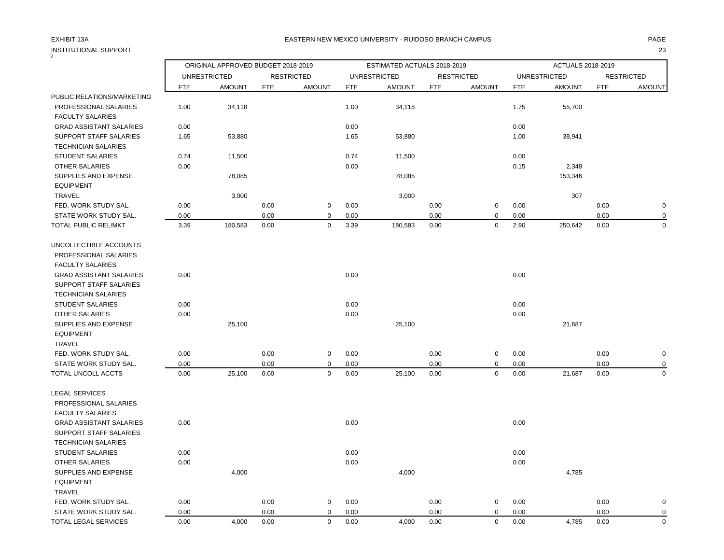| INSTITUTIONAL SUPPORT          |            |                                    |            |                   |            |                             |            |                   |            |                     |            | 23                |
|--------------------------------|------------|------------------------------------|------------|-------------------|------------|-----------------------------|------------|-------------------|------------|---------------------|------------|-------------------|
|                                |            | ORIGINAL APPROVED BUDGET 2018-2019 |            |                   |            | ESTIMATED ACTUALS 2018-2019 |            |                   |            | ACTUALS 2018-2019   |            |                   |
|                                |            | <b>UNRESTRICTED</b>                |            | <b>RESTRICTED</b> |            | <b>UNRESTRICTED</b>         |            | <b>RESTRICTED</b> |            | <b>UNRESTRICTED</b> |            | <b>RESTRICTED</b> |
|                                | <b>FTE</b> | <b>AMOUNT</b>                      | <b>FTE</b> | <b>AMOUNT</b>     | <b>FTE</b> | <b>AMOUNT</b>               | <b>FTE</b> | <b>AMOUNT</b>     | <b>FTE</b> | <b>AMOUNT</b>       | <b>FTE</b> | <b>AMOUNT</b>     |
| PUBLIC RELATIONS/MARKETING     |            |                                    |            |                   |            |                             |            |                   |            |                     |            |                   |
| PROFESSIONAL SALARIES          | 1.00       | 34,118                             |            |                   | 1.00       | 34,118                      |            |                   | 1.75       | 55,700              |            |                   |
| <b>FACULTY SALARIES</b>        |            |                                    |            |                   |            |                             |            |                   |            |                     |            |                   |
| <b>GRAD ASSISTANT SALARIES</b> | 0.00       |                                    |            |                   | 0.00       |                             |            |                   | 0.00       |                     |            |                   |
| <b>SUPPORT STAFF SALARIES</b>  | 1.65       | 53,880                             |            |                   | 1.65       | 53,880                      |            |                   | 1.00       | 38,941              |            |                   |
| <b>TECHNICIAN SALARIES</b>     |            |                                    |            |                   |            |                             |            |                   |            |                     |            |                   |
| <b>STUDENT SALARIES</b>        | 0.74       | 11,500                             |            |                   | 0.74       | 11,500                      |            |                   | 0.00       |                     |            |                   |
| OTHER SALARIES                 | 0.00       |                                    |            |                   | 0.00       |                             |            |                   | 0.15       | 2,348               |            |                   |
| SUPPLIES AND EXPENSE           |            | 78,085                             |            |                   |            | 78,085                      |            |                   |            | 153,346             |            |                   |
| <b>EQUIPMENT</b>               |            |                                    |            |                   |            |                             |            |                   |            |                     |            |                   |
| <b>TRAVEL</b>                  |            | 3,000                              |            |                   |            | 3,000                       |            |                   |            | 307                 |            |                   |
| FED. WORK STUDY SAL.           | 0.00       |                                    | 0.00       | $\mathbf 0$       | 0.00       |                             | 0.00       | $\boldsymbol{0}$  | 0.00       |                     | 0.00       | $\pmb{0}$         |
| STATE WORK STUDY SAL.          | 0.00       |                                    | 0.00       | $\mathbf 0$       | 0.00       |                             | 0.00       | 0                 | 0.00       |                     | 0.00       | $\mathbf 0$       |
| TOTAL PUBLIC REL/MKT           | 3.39       | 180,583                            | 0.00       | $\mathbf 0$       | 3.39       | 180,583                     | 0.00       | $\mathbf 0$       | 2.90       | 250,642             | 0.00       | $\mathbf 0$       |
| UNCOLLECTIBLE ACCOUNTS         |            |                                    |            |                   |            |                             |            |                   |            |                     |            |                   |
| PROFESSIONAL SALARIES          |            |                                    |            |                   |            |                             |            |                   |            |                     |            |                   |
| <b>FACULTY SALARIES</b>        |            |                                    |            |                   |            |                             |            |                   |            |                     |            |                   |
| <b>GRAD ASSISTANT SALARIES</b> | 0.00       |                                    |            |                   | 0.00       |                             |            |                   | 0.00       |                     |            |                   |
| <b>SUPPORT STAFF SALARIES</b>  |            |                                    |            |                   |            |                             |            |                   |            |                     |            |                   |
| <b>TECHNICIAN SALARIES</b>     |            |                                    |            |                   |            |                             |            |                   |            |                     |            |                   |
| <b>STUDENT SALARIES</b>        | 0.00       |                                    |            |                   | 0.00       |                             |            |                   | 0.00       |                     |            |                   |
| OTHER SALARIES                 | 0.00       |                                    |            |                   | 0.00       |                             |            |                   | 0.00       |                     |            |                   |
| SUPPLIES AND EXPENSE           |            | 25,100                             |            |                   |            | 25,100                      |            |                   |            | 21,687              |            |                   |
| <b>EQUIPMENT</b>               |            |                                    |            |                   |            |                             |            |                   |            |                     |            |                   |
| <b>TRAVEL</b>                  |            |                                    |            |                   |            |                             |            |                   |            |                     |            |                   |
| FED. WORK STUDY SAL.           | 0.00       |                                    | 0.00       | $\mathbf 0$       | 0.00       |                             | 0.00       | $\mathbf 0$       | 0.00       |                     | 0.00       | $\mathbf 0$       |
| STATE WORK STUDY SAL.          | 0.00       |                                    | 0.00       | $\mathbf 0$       | 0.00       |                             | 0.00       | $\mathbf 0$       | 0.00       |                     | 0.00       | 0                 |
| TOTAL UNCOLL ACCTS             | 0.00       | 25,100                             | 0.00       | $\mathbf 0$       | 0.00       | 25,100                      | 0.00       | $\mathbf 0$       | 0.00       | 21,687              | 0.00       | $\mathbf 0$       |
| <b>LEGAL SERVICES</b>          |            |                                    |            |                   |            |                             |            |                   |            |                     |            |                   |
| PROFESSIONAL SALARIES          |            |                                    |            |                   |            |                             |            |                   |            |                     |            |                   |
| <b>FACULTY SALARIES</b>        |            |                                    |            |                   |            |                             |            |                   |            |                     |            |                   |
| <b>GRAD ASSISTANT SALARIES</b> | 0.00       |                                    |            |                   | 0.00       |                             |            |                   | 0.00       |                     |            |                   |
| <b>SUPPORT STAFF SALARIES</b>  |            |                                    |            |                   |            |                             |            |                   |            |                     |            |                   |
| <b>TECHNICIAN SALARIES</b>     |            |                                    |            |                   |            |                             |            |                   |            |                     |            |                   |
| <b>STUDENT SALARIES</b>        | 0.00       |                                    |            |                   | 0.00       |                             |            |                   | 0.00       |                     |            |                   |
| <b>OTHER SALARIES</b>          | 0.00       |                                    |            |                   | 0.00       |                             |            |                   | 0.00       |                     |            |                   |
| SUPPLIES AND EXPENSE           |            | 4,000                              |            |                   |            | 4,000                       |            |                   |            | 4,785               |            |                   |
| <b>EQUIPMENT</b>               |            |                                    |            |                   |            |                             |            |                   |            |                     |            |                   |
| <b>TRAVEL</b>                  |            |                                    |            |                   |            |                             |            |                   |            |                     |            |                   |
| FED. WORK STUDY SAL.           | 0.00       |                                    | 0.00       | $\mathbf 0$       | 0.00       |                             | 0.00       | $\mathbf 0$       | 0.00       |                     | 0.00       | $\mathbf 0$       |
| STATE WORK STUDY SAL.          | 0.00       |                                    | 0.00       | $\mathbf 0$       | 0.00       |                             | 0.00       | $\mathbf 0$       | 0.00       |                     | 0.00       | $\mathbf 0$       |
| TOTAL LEGAL SERVICES           | 0.00       | 4,000                              | 0.00       | $\mathbf 0$       | 0.00       | 4,000                       | 0.00       | $\mathbf 0$       | 0.00       | 4,785               | 0.00       | $\mathbf 0$       |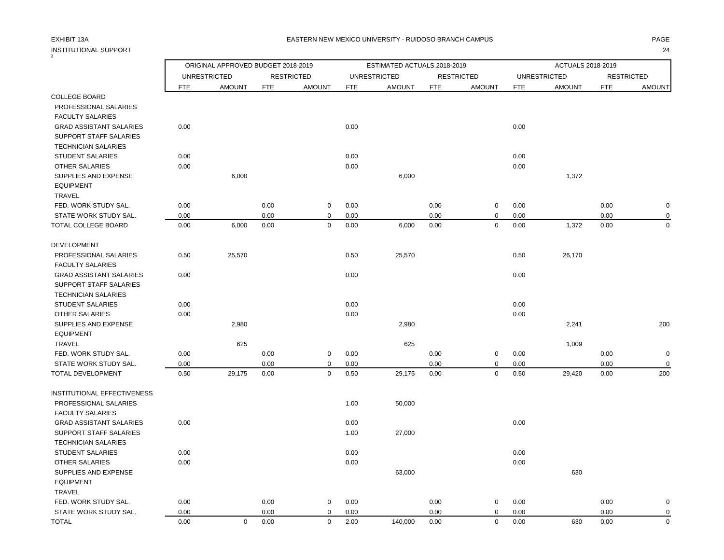# INSTITUTIONAL SUPPORT 24

3

### EXHIBIT 13A PAGE EASTERN NEW MEXICO UNIVERSITY - RUIDOSO BRANCH CAMPUS

|                                               |              | ORIGINAL APPROVED BUDGET 2018-2019 |              |                       |              | ESTIMATED ACTUALS 2018-2019 |              |                         |              | ACTUALS 2018-2019   |              |                            |
|-----------------------------------------------|--------------|------------------------------------|--------------|-----------------------|--------------|-----------------------------|--------------|-------------------------|--------------|---------------------|--------------|----------------------------|
|                                               |              | <b>UNRESTRICTED</b>                |              | <b>RESTRICTED</b>     |              | <b>UNRESTRICTED</b>         |              | <b>RESTRICTED</b>       |              | <b>UNRESTRICTED</b> |              | <b>RESTRICTED</b>          |
|                                               | <b>FTE</b>   | <b>AMOUNT</b>                      | <b>FTE</b>   | <b>AMOUNT</b>         | <b>FTE</b>   | <b>AMOUNT</b>               | <b>FTE</b>   | <b>AMOUNT</b>           | <b>FTE</b>   | <b>AMOUNT</b>       | <b>FTE</b>   | <b>AMOUNT</b>              |
| <b>COLLEGE BOARD</b>                          |              |                                    |              |                       |              |                             |              |                         |              |                     |              |                            |
| PROFESSIONAL SALARIES                         |              |                                    |              |                       |              |                             |              |                         |              |                     |              |                            |
| <b>FACULTY SALARIES</b>                       |              |                                    |              |                       |              |                             |              |                         |              |                     |              |                            |
| <b>GRAD ASSISTANT SALARIES</b>                | 0.00         |                                    |              |                       | 0.00         |                             |              |                         | 0.00         |                     |              |                            |
| SUPPORT STAFF SALARIES                        |              |                                    |              |                       |              |                             |              |                         |              |                     |              |                            |
| <b>TECHNICIAN SALARIES</b>                    |              |                                    |              |                       |              |                             |              |                         |              |                     |              |                            |
| <b>STUDENT SALARIES</b>                       | 0.00         |                                    |              |                       | 0.00         |                             |              |                         | 0.00         |                     |              |                            |
| <b>OTHER SALARIES</b>                         | 0.00         |                                    |              |                       | 0.00         |                             |              |                         | 0.00         |                     |              |                            |
| SUPPLIES AND EXPENSE                          |              | 6,000                              |              |                       |              | 6,000                       |              |                         |              | 1,372               |              |                            |
| <b>EQUIPMENT</b><br>TRAVEL                    |              |                                    |              |                       |              |                             |              |                         |              |                     |              |                            |
| FED. WORK STUDY SAL.                          | 0.00         |                                    | 0.00         | $\mathbf 0$           | 0.00         |                             | 0.00         | $\mathbf 0$             | 0.00         |                     | 0.00         | $\mathbf 0$                |
| STATE WORK STUDY SAL.                         | 0.00         |                                    | 0.00         | $\mathbf 0$           | 0.00         |                             | 0.00         | $\mathbf 0$             | 0.00         |                     | 0.00         | $\mathbf 0$                |
| TOTAL COLLEGE BOARD                           | 0.00         | 6,000                              | 0.00         | $\mathbf 0$           | 0.00         | 6,000                       | 0.00         | $\mathbf 0$             | 0.00         | 1,372               | 0.00         | $\mathbf 0$                |
|                                               |              |                                    |              |                       |              |                             |              |                         |              |                     |              |                            |
| <b>DEVELOPMENT</b>                            |              |                                    |              |                       |              |                             |              |                         |              |                     |              |                            |
| PROFESSIONAL SALARIES                         | 0.50         | 25,570                             |              |                       | 0.50         | 25,570                      |              |                         | 0.50         | 26,170              |              |                            |
| <b>FACULTY SALARIES</b>                       |              |                                    |              |                       |              |                             |              |                         |              |                     |              |                            |
| <b>GRAD ASSISTANT SALARIES</b>                | 0.00         |                                    |              |                       | 0.00         |                             |              |                         | 0.00         |                     |              |                            |
| <b>SUPPORT STAFF SALARIES</b>                 |              |                                    |              |                       |              |                             |              |                         |              |                     |              |                            |
| <b>TECHNICIAN SALARIES</b>                    |              |                                    |              |                       |              |                             |              |                         |              |                     |              |                            |
| <b>STUDENT SALARIES</b>                       | 0.00         |                                    |              |                       | 0.00         |                             |              |                         | 0.00         |                     |              |                            |
| <b>OTHER SALARIES</b>                         | 0.00         |                                    |              |                       | 0.00         |                             |              |                         | 0.00         |                     |              |                            |
| SUPPLIES AND EXPENSE                          |              | 2,980                              |              |                       |              | 2,980                       |              |                         |              | 2,241               |              | 200                        |
| <b>EQUIPMENT</b>                              |              |                                    |              |                       |              |                             |              |                         |              |                     |              |                            |
| TRAVEL<br>FED. WORK STUDY SAL.                | 0.00         | 625                                | 0.00         | $\mathbf 0$           | 0.00         | 625                         | 0.00         | $\mathbf 0$             | 0.00         | 1,009               | 0.00         | $\mathbf 0$                |
| STATE WORK STUDY SAL.                         | 0.00         |                                    | 0.00         | 0                     | 0.00         |                             | 0.00         | 0                       | 0.00         |                     | 0.00         | $\mathbf 0$                |
| TOTAL DEVELOPMENT                             | 0.50         | 29,175                             | 0.00         | $\mathsf 0$           | 0.50         | 29,175                      | 0.00         | $\mathbf 0$             | 0.50         | 29,420              | 0.00         | 200                        |
|                                               |              |                                    |              |                       |              |                             |              |                         |              |                     |              |                            |
| <b>INSTITUTIONAL EFFECTIVENESS</b>            |              |                                    |              |                       |              |                             |              |                         |              |                     |              |                            |
| PROFESSIONAL SALARIES                         |              |                                    |              |                       | 1.00         | 50,000                      |              |                         |              |                     |              |                            |
| <b>FACULTY SALARIES</b>                       |              |                                    |              |                       |              |                             |              |                         |              |                     |              |                            |
| <b>GRAD ASSISTANT SALARIES</b>                | 0.00         |                                    |              |                       | 0.00         |                             |              |                         | 0.00         |                     |              |                            |
| SUPPORT STAFF SALARIES                        |              |                                    |              |                       | 1.00         | 27,000                      |              |                         |              |                     |              |                            |
| <b>TECHNICIAN SALARIES</b>                    |              |                                    |              |                       |              |                             |              |                         |              |                     |              |                            |
| <b>STUDENT SALARIES</b>                       | 0.00         |                                    |              |                       | 0.00         |                             |              |                         | 0.00         |                     |              |                            |
| <b>OTHER SALARIES</b>                         | 0.00         |                                    |              |                       | 0.00         |                             |              |                         | 0.00         |                     |              |                            |
| SUPPLIES AND EXPENSE                          |              |                                    |              |                       |              | 63,000                      |              |                         |              | 630                 |              |                            |
| <b>EQUIPMENT</b>                              |              |                                    |              |                       |              |                             |              |                         |              |                     |              |                            |
| TRAVEL                                        |              |                                    |              |                       |              |                             |              |                         |              |                     |              |                            |
| FED. WORK STUDY SAL.<br>STATE WORK STUDY SAL. | 0.00<br>0.00 |                                    | 0.00<br>0.00 | $\pmb{0}$<br>$\Omega$ | 0.00<br>0.00 |                             | 0.00<br>0.00 | $\mathbf 0$<br>$\Omega$ | 0.00<br>0.00 |                     | 0.00<br>0.00 | $\mathbf 0$<br>$\mathbf 0$ |
| TOTAL                                         | 0.00         | $\mathbf 0$                        | 0.00         | $\mathbf 0$           | 2.00         | 140,000                     | 0.00         | $\mathbf 0$             | 0.00         | 630                 | 0.00         | $\mathbf 0$                |
|                                               |              |                                    |              |                       |              |                             |              |                         |              |                     |              |                            |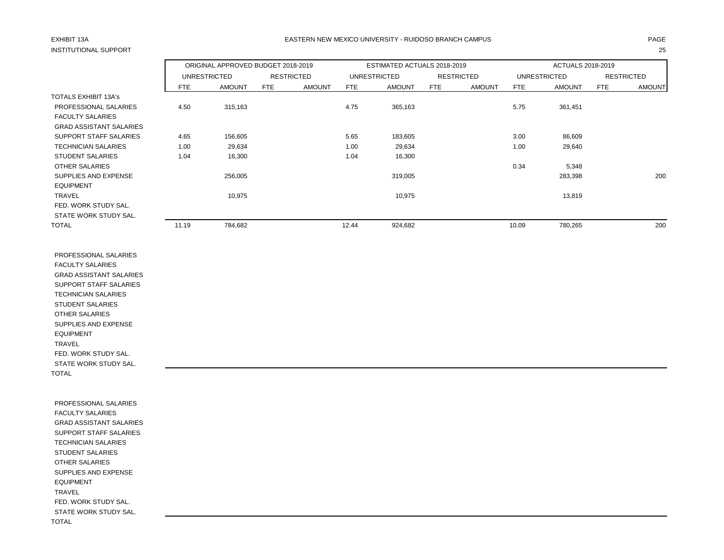# INSTITUTIONAL SUPPORT 25

### EXHIBIT 13A PAGE EASTERN NEW MEXICO UNIVERSITY - RUIDOSO BRANCH CAMPUS

|                                |       | ORIGINAL APPROVED BUDGET 2018-2019 |                   |               |       | ESTIMATED ACTUALS 2018-2019 |     |                   |       | ACTUALS 2018-2019   |     |                   |
|--------------------------------|-------|------------------------------------|-------------------|---------------|-------|-----------------------------|-----|-------------------|-------|---------------------|-----|-------------------|
|                                |       | <b>UNRESTRICTED</b>                | <b>RESTRICTED</b> |               |       | <b>UNRESTRICTED</b>         |     | <b>RESTRICTED</b> |       | <b>UNRESTRICTED</b> |     | <b>RESTRICTED</b> |
|                                | FTE   | <b>AMOUNT</b>                      | FTE               | <b>AMOUNT</b> | FTE   | <b>AMOUNT</b>               | FTE | <b>AMOUNT</b>     | FTE   | <b>AMOUNT</b>       | FTE | <b>AMOUNT</b>     |
| <b>TOTALS EXHIBIT 13A's</b>    |       |                                    |                   |               |       |                             |     |                   |       |                     |     |                   |
| PROFESSIONAL SALARIES          | 4.50  | 315,163                            |                   |               | 4.75  | 365,163                     |     |                   | 5.75  | 361,451             |     |                   |
| <b>FACULTY SALARIES</b>        |       |                                    |                   |               |       |                             |     |                   |       |                     |     |                   |
| <b>GRAD ASSISTANT SALARIES</b> |       |                                    |                   |               |       |                             |     |                   |       |                     |     |                   |
| SUPPORT STAFF SALARIES         | 4.65  | 156,605                            |                   |               | 5.65  | 183,605                     |     |                   | 3.00  | 86,609              |     |                   |
| <b>TECHNICIAN SALARIES</b>     | 1.00  | 29,634                             |                   |               | 1.00  | 29,634                      |     |                   | 1.00  | 29,640              |     |                   |
| <b>STUDENT SALARIES</b>        | 1.04  | 16,300                             |                   |               | 1.04  | 16,300                      |     |                   |       |                     |     |                   |
| OTHER SALARIES                 |       |                                    |                   |               |       |                             |     |                   | 0.34  | 5,348               |     |                   |
| SUPPLIES AND EXPENSE           |       | 256,005                            |                   |               |       | 319,005                     |     |                   |       | 283,398             |     | 200               |
| <b>EQUIPMENT</b>               |       |                                    |                   |               |       |                             |     |                   |       |                     |     |                   |
| <b>TRAVEL</b>                  |       | 10,975                             |                   |               |       | 10,975                      |     |                   |       | 13,819              |     |                   |
| FED. WORK STUDY SAL.           |       |                                    |                   |               |       |                             |     |                   |       |                     |     |                   |
| STATE WORK STUDY SAL.          |       |                                    |                   |               |       |                             |     |                   |       |                     |     |                   |
| <b>TOTAL</b>                   | 11.19 | 784,682                            |                   |               | 12.44 | 924,682                     |     |                   | 10.09 | 780,265             |     | 200               |

 PROFESSIONAL SALARIES FACULTY SALARIES GRAD ASSISTANT SALARIES SUPPORT STAFF SALARIES TECHNICIAN SALARIES STUDENT SALARIES OTHER SALARIES SUPPLIES AND EXPENSE EQUIPMENT TRAVEL FED. WORK STUDY SAL. STATE WORK STUDY SAL. TOTAL

 PROFESSIONAL SALARIES FACULTY SALARIES GRAD ASSISTANT SALARIES SUPPORT STAFF SALARIES TECHNICIAN SALARIES STUDENT SALARIES OTHER SALARIES SUPPLIES AND EXPENSE EQUIPMENT TRAVEL FED. WORK STUDY SAL. STATE WORK STUDY SAL. TOTAL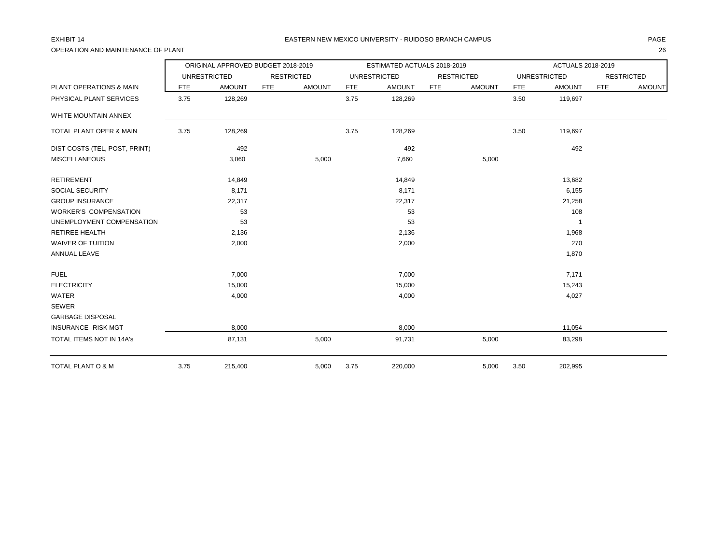OPERATION AND MAINTENANCE OF PLANT 26

|                               |            | ORIGINAL APPROVED BUDGET 2018-2019 |                   |               |            | ESTIMATED ACTUALS 2018-2019 |            |                   |            | ACTUALS 2018-2019   |            |                   |
|-------------------------------|------------|------------------------------------|-------------------|---------------|------------|-----------------------------|------------|-------------------|------------|---------------------|------------|-------------------|
|                               |            | <b>UNRESTRICTED</b>                | <b>RESTRICTED</b> |               |            | <b>UNRESTRICTED</b>         |            | <b>RESTRICTED</b> |            | <b>UNRESTRICTED</b> |            | <b>RESTRICTED</b> |
| PLANT OPERATIONS & MAIN       | <b>FTE</b> | <b>AMOUNT</b>                      | <b>FTE</b>        | <b>AMOUNT</b> | <b>FTE</b> | <b>AMOUNT</b>               | <b>FTE</b> | <b>AMOUNT</b>     | <b>FTE</b> | <b>AMOUNT</b>       | <b>FTE</b> | <b>AMOUNT</b>     |
| PHYSICAL PLANT SERVICES       | 3.75       | 128,269                            |                   |               | 3.75       | 128,269                     |            |                   | 3.50       | 119,697             |            |                   |
| WHITE MOUNTAIN ANNEX          |            |                                    |                   |               |            |                             |            |                   |            |                     |            |                   |
| TOTAL PLANT OPER & MAIN       | 3.75       | 128,269                            |                   |               | 3.75       | 128,269                     |            |                   | 3.50       | 119,697             |            |                   |
| DIST COSTS (TEL, POST, PRINT) |            | 492                                |                   |               |            | 492                         |            |                   |            | 492                 |            |                   |
| <b>MISCELLANEOUS</b>          |            | 3,060                              |                   | 5,000         |            | 7,660                       |            | 5,000             |            |                     |            |                   |
| <b>RETIREMENT</b>             |            | 14,849                             |                   |               |            | 14,849                      |            |                   |            | 13,682              |            |                   |
| SOCIAL SECURITY               |            | 8,171                              |                   |               |            | 8,171                       |            |                   |            | 6,155               |            |                   |
| <b>GROUP INSURANCE</b>        |            | 22,317                             |                   |               |            | 22,317                      |            |                   |            | 21,258              |            |                   |
| <b>WORKER'S COMPENSATION</b>  |            | 53                                 |                   |               |            | 53                          |            |                   |            | 108                 |            |                   |
| UNEMPLOYMENT COMPENSATION     |            | 53                                 |                   |               |            | 53                          |            |                   |            |                     |            |                   |
| <b>RETIREE HEALTH</b>         |            | 2,136                              |                   |               |            | 2,136                       |            |                   |            | 1,968               |            |                   |
| <b>WAIVER OF TUITION</b>      |            | 2,000                              |                   |               |            | 2,000                       |            |                   |            | 270                 |            |                   |
| ANNUAL LEAVE                  |            |                                    |                   |               |            |                             |            |                   |            | 1,870               |            |                   |
| <b>FUEL</b>                   |            | 7,000                              |                   |               |            | 7,000                       |            |                   |            | 7,171               |            |                   |
| <b>ELECTRICITY</b>            |            | 15,000                             |                   |               |            | 15,000                      |            |                   |            | 15,243              |            |                   |
| WATER                         |            | 4,000                              |                   |               |            | 4,000                       |            |                   |            | 4,027               |            |                   |
| <b>SEWER</b>                  |            |                                    |                   |               |            |                             |            |                   |            |                     |            |                   |
| <b>GARBAGE DISPOSAL</b>       |            |                                    |                   |               |            |                             |            |                   |            |                     |            |                   |
| <b>INSURANCE--RISK MGT</b>    |            | 8,000                              |                   |               |            | 8,000                       |            |                   |            | 11,054              |            |                   |
| TOTAL ITEMS NOT IN 14A's      |            | 87,131                             |                   | 5,000         |            | 91,731                      |            | 5,000             |            | 83,298              |            |                   |
| TOTAL PLANT O & M             | 3.75       | 215,400                            |                   | 5,000         | 3.75       | 220,000                     |            | 5,000             | 3.50       | 202,995             |            |                   |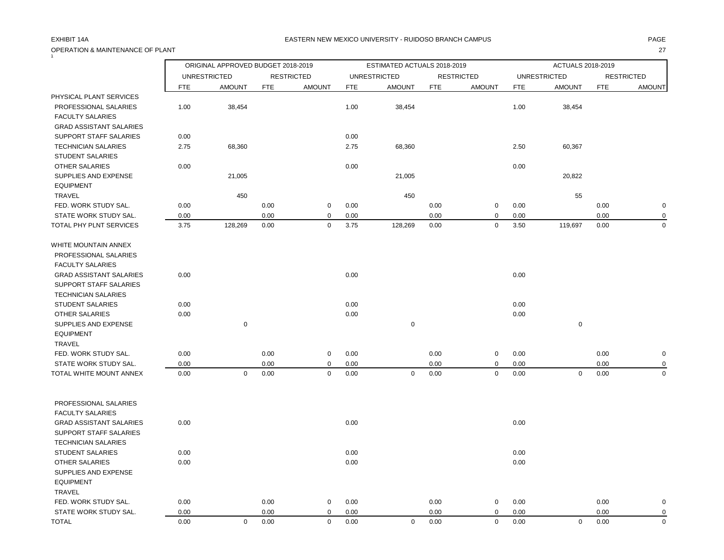# OPERATION & MAINTENANCE OF PLANT 27

### EXHIBIT 14A PAGE EASTERN NEW MEXICO UNIVERSITY - RUIDOSO BRANCH CAMPUS

|                                |            | ORIGINAL APPROVED BUDGET 2018-2019 |      |                   |            | ESTIMATED ACTUALS 2018-2019 |            |                   |            | ACTUALS 2018-2019   |      |                   |
|--------------------------------|------------|------------------------------------|------|-------------------|------------|-----------------------------|------------|-------------------|------------|---------------------|------|-------------------|
|                                |            | <b>UNRESTRICTED</b>                |      | <b>RESTRICTED</b> |            | <b>UNRESTRICTED</b>         |            | <b>RESTRICTED</b> |            | <b>UNRESTRICTED</b> |      | <b>RESTRICTED</b> |
|                                | <b>FTE</b> | <b>AMOUNT</b>                      | FTE  | <b>AMOUNT</b>     | <b>FTE</b> | <b>AMOUNT</b>               | <b>FTE</b> | <b>AMOUNT</b>     | <b>FTE</b> | <b>AMOUNT</b>       | FTE  | <b>AMOUNT</b>     |
| PHYSICAL PLANT SERVICES        |            |                                    |      |                   |            |                             |            |                   |            |                     |      |                   |
| PROFESSIONAL SALARIES          | 1.00       | 38,454                             |      |                   | 1.00       | 38,454                      |            |                   | 1.00       | 38,454              |      |                   |
| <b>FACULTY SALARIES</b>        |            |                                    |      |                   |            |                             |            |                   |            |                     |      |                   |
| <b>GRAD ASSISTANT SALARIES</b> |            |                                    |      |                   |            |                             |            |                   |            |                     |      |                   |
| SUPPORT STAFF SALARIES         | 0.00       |                                    |      |                   | 0.00       |                             |            |                   |            |                     |      |                   |
| <b>TECHNICIAN SALARIES</b>     | 2.75       | 68,360                             |      |                   | 2.75       | 68,360                      |            |                   | 2.50       | 60,367              |      |                   |
| <b>STUDENT SALARIES</b>        |            |                                    |      |                   |            |                             |            |                   |            |                     |      |                   |
| OTHER SALARIES                 | 0.00       |                                    |      |                   | 0.00       |                             |            |                   | 0.00       |                     |      |                   |
| SUPPLIES AND EXPENSE           |            | 21,005                             |      |                   |            | 21,005                      |            |                   |            | 20,822              |      |                   |
| <b>EQUIPMENT</b>               |            |                                    |      |                   |            |                             |            |                   |            |                     |      |                   |
| <b>TRAVEL</b>                  |            | 450                                |      |                   |            | 450                         |            |                   |            | 55                  |      |                   |
| FED. WORK STUDY SAL.           | 0.00       |                                    | 0.00 | 0                 | 0.00       |                             | 0.00       | $\mathbf 0$       | 0.00       |                     | 0.00 | $\mathbf 0$       |
| STATE WORK STUDY SAL.          | 0.00       |                                    | 0.00 | $\mathbf 0$       | 0.00       |                             | 0.00       | $\pmb{0}$         | 0.00       |                     | 0.00 | $\mathbf 0$       |
| TOTAL PHY PLNT SERVICES        | 3.75       | 128,269                            | 0.00 | 0                 | 3.75       | 128,269                     | 0.00       | $\mathbf 0$       | 3.50       | 119,697             | 0.00 | $\mathbf 0$       |
| WHITE MOUNTAIN ANNEX           |            |                                    |      |                   |            |                             |            |                   |            |                     |      |                   |
| PROFESSIONAL SALARIES          |            |                                    |      |                   |            |                             |            |                   |            |                     |      |                   |
| <b>FACULTY SALARIES</b>        |            |                                    |      |                   |            |                             |            |                   |            |                     |      |                   |
| <b>GRAD ASSISTANT SALARIES</b> | 0.00       |                                    |      |                   | 0.00       |                             |            |                   | 0.00       |                     |      |                   |
| <b>SUPPORT STAFF SALARIES</b>  |            |                                    |      |                   |            |                             |            |                   |            |                     |      |                   |
| <b>TECHNICIAN SALARIES</b>     |            |                                    |      |                   |            |                             |            |                   |            |                     |      |                   |
| STUDENT SALARIES               | 0.00       |                                    |      |                   | 0.00       |                             |            |                   | 0.00       |                     |      |                   |
| <b>OTHER SALARIES</b>          | 0.00       |                                    |      |                   | 0.00       |                             |            |                   | 0.00       |                     |      |                   |
| SUPPLIES AND EXPENSE           |            | $\mathbf 0$                        |      |                   |            | 0                           |            |                   |            | $\mathbf 0$         |      |                   |
| <b>EQUIPMENT</b>               |            |                                    |      |                   |            |                             |            |                   |            |                     |      |                   |
| <b>TRAVEL</b>                  |            |                                    |      |                   |            |                             |            |                   |            |                     |      |                   |
| FED. WORK STUDY SAL.           | 0.00       |                                    | 0.00 | 0                 | 0.00       |                             | 0.00       | $\pmb{0}$         | 0.00       |                     | 0.00 | $\mathbf 0$       |
| STATE WORK STUDY SAL.          | 0.00       |                                    | 0.00 | $\Omega$          | 0.00       |                             | 0.00       | $\pmb{0}$         | 0.00       |                     | 0.00 | $\Omega$          |
| TOTAL WHITE MOUNT ANNEX        | 0.00       | $\mathbf 0$                        | 0.00 | $\mathbf 0$       | 0.00       | $\mathbf 0$                 | 0.00       | $\pmb{0}$         | 0.00       | $\mathbf 0$         | 0.00 | $\Omega$          |
|                                |            |                                    |      |                   |            |                             |            |                   |            |                     |      |                   |
| PROFESSIONAL SALARIES          |            |                                    |      |                   |            |                             |            |                   |            |                     |      |                   |
| <b>FACULTY SALARIES</b>        |            |                                    |      |                   |            |                             |            |                   |            |                     |      |                   |
| <b>GRAD ASSISTANT SALARIES</b> | 0.00       |                                    |      |                   | 0.00       |                             |            |                   | 0.00       |                     |      |                   |
| SUPPORT STAFF SALARIES         |            |                                    |      |                   |            |                             |            |                   |            |                     |      |                   |
| <b>TECHNICIAN SALARIES</b>     |            |                                    |      |                   |            |                             |            |                   |            |                     |      |                   |
| <b>STUDENT SALARIES</b>        | 0.00       |                                    |      |                   | 0.00       |                             |            |                   | 0.00       |                     |      |                   |
| OTHER SALARIES                 | 0.00       |                                    |      |                   | 0.00       |                             |            |                   | 0.00       |                     |      |                   |
| SUPPLIES AND EXPENSE           |            |                                    |      |                   |            |                             |            |                   |            |                     |      |                   |
| <b>EQUIPMENT</b>               |            |                                    |      |                   |            |                             |            |                   |            |                     |      |                   |
| <b>TRAVEL</b>                  |            |                                    |      |                   |            |                             |            |                   |            |                     |      |                   |
| FED. WORK STUDY SAL.           | 0.00       |                                    | 0.00 | 0                 | 0.00       |                             | 0.00       | $\mathbf 0$       | 0.00       |                     | 0.00 | $\mathbf 0$       |
| STATE WORK STUDY SAL.          | 0.00       |                                    | 0.00 | $\mathbf 0$       | 0.00       |                             | 0.00       | $\mathbf 0$       | 0.00       |                     | 0.00 | 0                 |
| <b>TOTAL</b>                   | 0.00       | $\Omega$                           | 0.00 | $\Omega$          | 0.00       | $\mathbf 0$                 | 0.00       | $\mathbf 0$       | 0.00       | $\mathbf 0$         | 0.00 | $\Omega$          |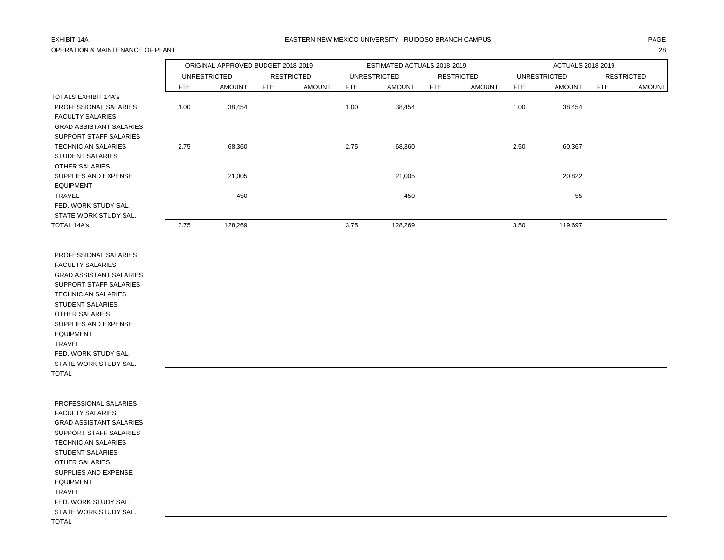## OPERATION & MAINTENANCE OF PLANT 28

### EXHIBIT 14A PAGE EASTERN NEW MEXICO UNIVERSITY - RUIDOSO BRANCH CAMPUS

|                                |      | ORIGINAL APPROVED BUDGET 2018-2019 |                   |               |      | ESTIMATED ACTUALS 2018-2019 |     |                   |            | ACTUALS 2018-2019   |            |                   |
|--------------------------------|------|------------------------------------|-------------------|---------------|------|-----------------------------|-----|-------------------|------------|---------------------|------------|-------------------|
|                                |      | <b>UNRESTRICTED</b>                | <b>RESTRICTED</b> |               |      | <b>UNRESTRICTED</b>         |     | <b>RESTRICTED</b> |            | <b>UNRESTRICTED</b> |            | <b>RESTRICTED</b> |
|                                | FTE  | <b>AMOUNT</b>                      | <b>FTE</b>        | <b>AMOUNT</b> | FTE  | <b>AMOUNT</b>               | FTE | <b>AMOUNT</b>     | <b>FTE</b> | <b>AMOUNT</b>       | <b>FTE</b> | <b>AMOUNT</b>     |
| <b>TOTALS EXHIBIT 14A's</b>    |      |                                    |                   |               |      |                             |     |                   |            |                     |            |                   |
| PROFESSIONAL SALARIES          | 1.00 | 38,454                             |                   |               | 1.00 | 38,454                      |     |                   | 1.00       | 38,454              |            |                   |
| <b>FACULTY SALARIES</b>        |      |                                    |                   |               |      |                             |     |                   |            |                     |            |                   |
| <b>GRAD ASSISTANT SALARIES</b> |      |                                    |                   |               |      |                             |     |                   |            |                     |            |                   |
| SUPPORT STAFF SALARIES         |      |                                    |                   |               |      |                             |     |                   |            |                     |            |                   |
| <b>TECHNICIAN SALARIES</b>     | 2.75 | 68,360                             |                   |               | 2.75 | 68,360                      |     |                   | 2.50       | 60,367              |            |                   |
| <b>STUDENT SALARIES</b>        |      |                                    |                   |               |      |                             |     |                   |            |                     |            |                   |
| <b>OTHER SALARIES</b>          |      |                                    |                   |               |      |                             |     |                   |            |                     |            |                   |
| SUPPLIES AND EXPENSE           |      | 21,005                             |                   |               |      | 21,005                      |     |                   |            | 20,822              |            |                   |
| <b>EQUIPMENT</b>               |      |                                    |                   |               |      |                             |     |                   |            |                     |            |                   |
| <b>TRAVEL</b>                  |      | 450                                |                   |               |      | 450                         |     |                   |            | 55                  |            |                   |
| FED. WORK STUDY SAL.           |      |                                    |                   |               |      |                             |     |                   |            |                     |            |                   |
| STATE WORK STUDY SAL.          |      |                                    |                   |               |      |                             |     |                   |            |                     |            |                   |
| TOTAL 14A's                    | 3.75 | 128,269                            |                   |               | 3.75 | 128,269                     |     |                   | 3.50       | 119,697             |            |                   |

 PROFESSIONAL SALARIES FACULTY SALARIES GRAD ASSISTANT SALARIES SUPPORT STAFF SALARIES TECHNICIAN SALARIES STUDENT SALARIES OTHER SALARIES SUPPLIES AND EXPENSE EQUIPMENT TRAVEL FED. WORK STUDY SAL. STATE WORK STUDY SAL. TOTAL

 PROFESSIONAL SALARIES FACULTY SALARIES GRAD ASSISTANT SALARIES SUPPORT STAFF SALARIES TECHNICIAN SALARIES STUDENT SALARIES OTHER SALARIES SUPPLIES AND EXPENSE EQUIPMENT TRAVEL FED. WORK STUDY SAL. STATE WORK STUDY SAL. TOTAL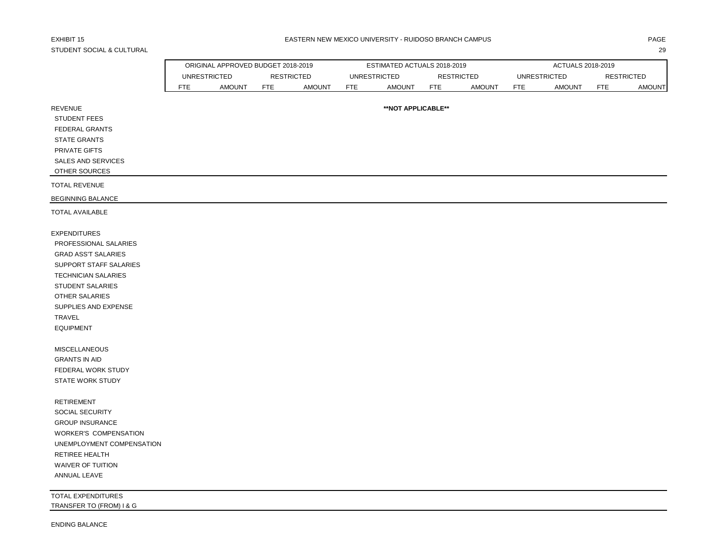# STUDENT SOCIAL & CULTURAL 29

|                              |            | ORIGINAL APPROVED BUDGET 2018-2019 |            |                   |            | ESTIMATED ACTUALS 2018-2019 |     |                   |            | ACTUALS 2018-2019   |            |                   |
|------------------------------|------------|------------------------------------|------------|-------------------|------------|-----------------------------|-----|-------------------|------------|---------------------|------------|-------------------|
|                              |            | <b>UNRESTRICTED</b>                |            | <b>RESTRICTED</b> |            | <b>UNRESTRICTED</b>         |     | <b>RESTRICTED</b> |            | <b>UNRESTRICTED</b> |            | <b>RESTRICTED</b> |
|                              | <b>FTE</b> | <b>AMOUNT</b>                      | <b>FTE</b> | <b>AMOUNT</b>     | <b>FTE</b> | <b>AMOUNT</b>               | FTE | <b>AMOUNT</b>     | <b>FTE</b> | <b>AMOUNT</b>       | <b>FTE</b> | <b>AMOUNT</b>     |
| <b>REVENUE</b>               |            |                                    |            |                   |            | **NOT APPLICABLE**          |     |                   |            |                     |            |                   |
| <b>STUDENT FEES</b>          |            |                                    |            |                   |            |                             |     |                   |            |                     |            |                   |
| <b>FEDERAL GRANTS</b>        |            |                                    |            |                   |            |                             |     |                   |            |                     |            |                   |
| <b>STATE GRANTS</b>          |            |                                    |            |                   |            |                             |     |                   |            |                     |            |                   |
| PRIVATE GIFTS                |            |                                    |            |                   |            |                             |     |                   |            |                     |            |                   |
| <b>SALES AND SERVICES</b>    |            |                                    |            |                   |            |                             |     |                   |            |                     |            |                   |
| OTHER SOURCES                |            |                                    |            |                   |            |                             |     |                   |            |                     |            |                   |
| <b>TOTAL REVENUE</b>         |            |                                    |            |                   |            |                             |     |                   |            |                     |            |                   |
| <b>BEGINNING BALANCE</b>     |            |                                    |            |                   |            |                             |     |                   |            |                     |            |                   |
| <b>TOTAL AVAILABLE</b>       |            |                                    |            |                   |            |                             |     |                   |            |                     |            |                   |
| <b>EXPENDITURES</b>          |            |                                    |            |                   |            |                             |     |                   |            |                     |            |                   |
| PROFESSIONAL SALARIES        |            |                                    |            |                   |            |                             |     |                   |            |                     |            |                   |
| <b>GRAD ASS'T SALARIES</b>   |            |                                    |            |                   |            |                             |     |                   |            |                     |            |                   |
| SUPPORT STAFF SALARIES       |            |                                    |            |                   |            |                             |     |                   |            |                     |            |                   |
| <b>TECHNICIAN SALARIES</b>   |            |                                    |            |                   |            |                             |     |                   |            |                     |            |                   |
| STUDENT SALARIES             |            |                                    |            |                   |            |                             |     |                   |            |                     |            |                   |
| <b>OTHER SALARIES</b>        |            |                                    |            |                   |            |                             |     |                   |            |                     |            |                   |
| SUPPLIES AND EXPENSE         |            |                                    |            |                   |            |                             |     |                   |            |                     |            |                   |
| TRAVEL                       |            |                                    |            |                   |            |                             |     |                   |            |                     |            |                   |
| <b>EQUIPMENT</b>             |            |                                    |            |                   |            |                             |     |                   |            |                     |            |                   |
| <b>MISCELLANEOUS</b>         |            |                                    |            |                   |            |                             |     |                   |            |                     |            |                   |
| <b>GRANTS IN AID</b>         |            |                                    |            |                   |            |                             |     |                   |            |                     |            |                   |
| FEDERAL WORK STUDY           |            |                                    |            |                   |            |                             |     |                   |            |                     |            |                   |
| <b>STATE WORK STUDY</b>      |            |                                    |            |                   |            |                             |     |                   |            |                     |            |                   |
| <b>RETIREMENT</b>            |            |                                    |            |                   |            |                             |     |                   |            |                     |            |                   |
| SOCIAL SECURITY              |            |                                    |            |                   |            |                             |     |                   |            |                     |            |                   |
| <b>GROUP INSURANCE</b>       |            |                                    |            |                   |            |                             |     |                   |            |                     |            |                   |
| <b>WORKER'S COMPENSATION</b> |            |                                    |            |                   |            |                             |     |                   |            |                     |            |                   |
| UNEMPLOYMENT COMPENSATION    |            |                                    |            |                   |            |                             |     |                   |            |                     |            |                   |
| RETIREE HEALTH               |            |                                    |            |                   |            |                             |     |                   |            |                     |            |                   |
| WAIVER OF TUITION            |            |                                    |            |                   |            |                             |     |                   |            |                     |            |                   |
| ANNUAL LEAVE                 |            |                                    |            |                   |            |                             |     |                   |            |                     |            |                   |

TOTAL EXPENDITURES TRANSFER TO (FROM) I & G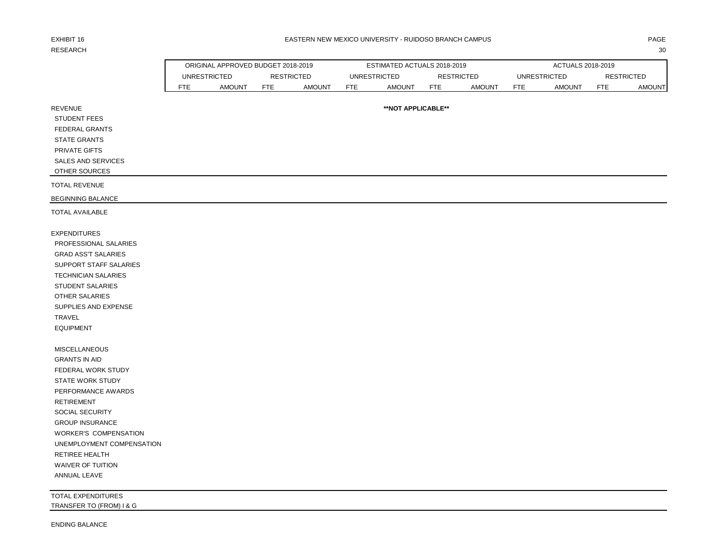# RESEARCH 2008 and 2008 and 2008 and 2008 and 2008 and 2008 and 2008 and 2008 and 2008 and 2008 and 2008 and 200

### EXHIBIT 16 PAGE PAGE IN THE SEASTERN NEW MEXICO UNIVERSITY - RUIDOSO BRANCH CAMPUS AND THE SEASTERN ONLY ANGE

| ×<br>٠<br>- - |  |
|---------------|--|
|---------------|--|

|                                                                                                                                                                                                                                                                                                           |                     | ORIGINAL APPROVED BUDGET 2018-2019 |                   |               |            | ESTIMATED ACTUALS 2018-2019 |                   |               |            | ACTUALS 2018-2019   |                   |               |
|-----------------------------------------------------------------------------------------------------------------------------------------------------------------------------------------------------------------------------------------------------------------------------------------------------------|---------------------|------------------------------------|-------------------|---------------|------------|-----------------------------|-------------------|---------------|------------|---------------------|-------------------|---------------|
|                                                                                                                                                                                                                                                                                                           | <b>UNRESTRICTED</b> |                                    | <b>RESTRICTED</b> |               |            | <b>UNRESTRICTED</b>         | <b>RESTRICTED</b> |               |            | <b>UNRESTRICTED</b> | <b>RESTRICTED</b> |               |
|                                                                                                                                                                                                                                                                                                           | <b>FTE</b>          | <b>AMOUNT</b>                      | <b>FTE</b>        | <b>AMOUNT</b> | <b>FTE</b> | <b>AMOUNT</b>               | <b>FTE</b>        | <b>AMOUNT</b> | <b>FTE</b> | <b>AMOUNT</b>       | <b>FTE</b>        | <b>AMOUNT</b> |
| <b>REVENUE</b><br><b>STUDENT FEES</b><br>FEDERAL GRANTS<br><b>STATE GRANTS</b><br>PRIVATE GIFTS<br>SALES AND SERVICES<br>OTHER SOURCES                                                                                                                                                                    |                     |                                    |                   |               |            | **NOT APPLICABLE**          |                   |               |            |                     |                   |               |
| <b>TOTAL REVENUE</b>                                                                                                                                                                                                                                                                                      |                     |                                    |                   |               |            |                             |                   |               |            |                     |                   |               |
| <b>BEGINNING BALANCE</b>                                                                                                                                                                                                                                                                                  |                     |                                    |                   |               |            |                             |                   |               |            |                     |                   |               |
| <b>TOTAL AVAILABLE</b>                                                                                                                                                                                                                                                                                    |                     |                                    |                   |               |            |                             |                   |               |            |                     |                   |               |
| <b>EXPENDITURES</b><br>PROFESSIONAL SALARIES<br><b>GRAD ASS'T SALARIES</b><br>SUPPORT STAFF SALARIES<br><b>TECHNICIAN SALARIES</b><br><b>STUDENT SALARIES</b><br>OTHER SALARIES<br>SUPPLIES AND EXPENSE<br>TRAVEL<br><b>EQUIPMENT</b>                                                                     |                     |                                    |                   |               |            |                             |                   |               |            |                     |                   |               |
| <b>MISCELLANEOUS</b><br><b>GRANTS IN AID</b><br>FEDERAL WORK STUDY<br><b>STATE WORK STUDY</b><br>PERFORMANCE AWARDS<br><b>RETIREMENT</b><br>SOCIAL SECURITY<br><b>GROUP INSURANCE</b><br><b>WORKER'S COMPENSATION</b><br>UNEMPLOYMENT COMPENSATION<br>RETIREE HEALTH<br>WAIVER OF TUITION<br>ANNUAL LEAVE |                     |                                    |                   |               |            |                             |                   |               |            |                     |                   |               |
| <b>TOTAL EXPENDITURES</b><br>TRANSFER TO (FROM) I & G                                                                                                                                                                                                                                                     |                     |                                    |                   |               |            |                             |                   |               |            |                     |                   |               |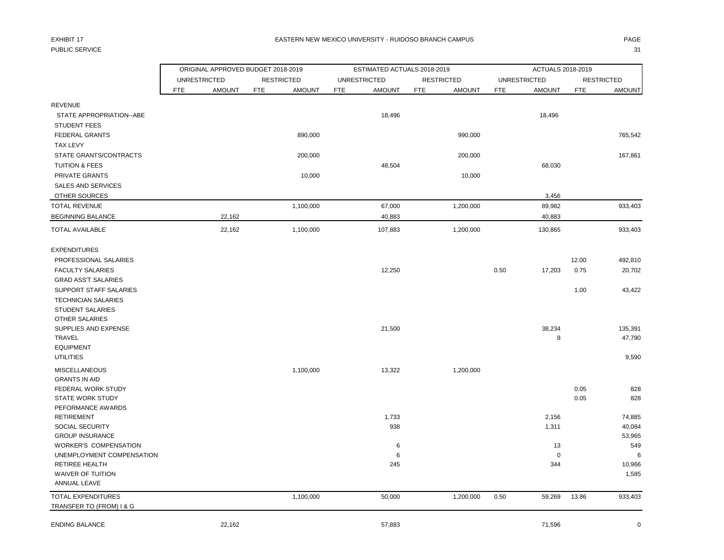# PUBLIC SERVICE And the state of the state of the state of the state of the state of the state of the state of the state of the state of the state of the state of the state of the state of the state of the state of the stat

|                                   | ORIGINAL APPROVED BUDGET 2018-2019 |        |                      | ESTIMATED ACTUALS 2018-2019 |            |                   |            | ACTUALS 2018-2019   |            |                   |
|-----------------------------------|------------------------------------|--------|----------------------|-----------------------------|------------|-------------------|------------|---------------------|------------|-------------------|
|                                   | <b>UNRESTRICTED</b>                |        | <b>RESTRICTED</b>    | <b>UNRESTRICTED</b>         |            | <b>RESTRICTED</b> |            | <b>UNRESTRICTED</b> |            | <b>RESTRICTED</b> |
|                                   | <b>FTE</b><br><b>AMOUNT</b>        |        | FTE<br><b>AMOUNT</b> | <b>AMOUNT</b><br><b>FTE</b> | <b>FTE</b> | <b>AMOUNT</b>     | <b>FTE</b> | <b>AMOUNT</b>       | <b>FTE</b> | <b>AMOUNT</b>     |
| <b>REVENUE</b>                    |                                    |        |                      |                             |            |                   |            |                     |            |                   |
| STATE APPROPRIATION--ABE          |                                    |        |                      | 18,496                      |            |                   |            | 18,496              |            |                   |
| <b>STUDENT FEES</b>               |                                    |        |                      |                             |            |                   |            |                     |            |                   |
| <b>FEDERAL GRANTS</b>             |                                    |        | 890,000              |                             |            | 990,000           |            |                     |            | 765,542           |
| <b>TAX LEVY</b>                   |                                    |        |                      |                             |            |                   |            |                     |            |                   |
| STATE GRANTS/CONTRACTS            |                                    |        | 200,000              |                             |            | 200,000           |            |                     |            | 167,861           |
| <b>TUITION &amp; FEES</b>         |                                    |        |                      | 48,504                      |            |                   |            | 68,030              |            |                   |
| PRIVATE GRANTS                    |                                    |        | 10,000               |                             |            | 10,000            |            |                     |            |                   |
| <b>SALES AND SERVICES</b>         |                                    |        |                      |                             |            |                   |            |                     |            |                   |
| OTHER SOURCES                     |                                    |        |                      |                             |            |                   |            | 3,456               |            |                   |
| <b>TOTAL REVENUE</b>              |                                    |        | 1,100,000            | 67,000                      |            | 1,200,000         |            | 89,982              |            | 933,403           |
| <b>BEGINNING BALANCE</b>          |                                    | 22,162 |                      | 40,883                      |            |                   |            | 40,883              |            |                   |
| <b>TOTAL AVAILABLE</b>            |                                    | 22,162 | 1,100,000            | 107,883                     |            | 1,200,000         |            | 130,865             |            | 933,403           |
| <b>EXPENDITURES</b>               |                                    |        |                      |                             |            |                   |            |                     |            |                   |
| PROFESSIONAL SALARIES             |                                    |        |                      |                             |            |                   |            |                     | 12.00      | 492,810           |
| <b>FACULTY SALARIES</b>           |                                    |        |                      | 12,250                      |            |                   | 0.50       | 17,203              | 0.75       | 20,702            |
| <b>GRAD ASS'T SALARIES</b>        |                                    |        |                      |                             |            |                   |            |                     |            |                   |
| SUPPORT STAFF SALARIES            |                                    |        |                      |                             |            |                   |            |                     | 1.00       | 43,422            |
| <b>TECHNICIAN SALARIES</b>        |                                    |        |                      |                             |            |                   |            |                     |            |                   |
| <b>STUDENT SALARIES</b>           |                                    |        |                      |                             |            |                   |            |                     |            |                   |
| <b>OTHER SALARIES</b>             |                                    |        |                      |                             |            |                   |            |                     |            |                   |
| SUPPLIES AND EXPENSE              |                                    |        |                      | 21,500                      |            |                   |            | 38,234              |            | 135,391           |
| TRAVEL                            |                                    |        |                      |                             |            |                   |            | 8                   |            | 47,790            |
| <b>EQUIPMENT</b>                  |                                    |        |                      |                             |            |                   |            |                     |            |                   |
| <b>UTILITIES</b>                  |                                    |        |                      |                             |            |                   |            |                     |            | 9,590             |
| <b>MISCELLANEOUS</b>              |                                    |        | 1,100,000            | 13,322                      |            | 1,200,000         |            |                     |            |                   |
| <b>GRANTS IN AID</b>              |                                    |        |                      |                             |            |                   |            |                     |            |                   |
| FEDERAL WORK STUDY                |                                    |        |                      |                             |            |                   |            |                     | 0.05       | 828               |
| <b>STATE WORK STUDY</b>           |                                    |        |                      |                             |            |                   |            |                     | 0.05       | 828               |
| PEFORMANCE AWARDS                 |                                    |        |                      |                             |            |                   |            |                     |            |                   |
| <b>RETIREMENT</b>                 |                                    |        |                      | 1,733                       |            |                   |            | 2,156               |            | 74,885            |
| <b>SOCIAL SECURITY</b>            |                                    |        |                      | 938                         |            |                   |            | 1,311               |            | 40,084            |
| <b>GROUP INSURANCE</b>            |                                    |        |                      |                             |            |                   |            |                     |            | 53,965            |
| <b>WORKER'S COMPENSATION</b>      |                                    |        |                      | 6                           |            |                   |            | 13                  |            | 549               |
| UNEMPLOYMENT COMPENSATION         |                                    |        |                      | 6                           |            |                   |            | $\mathbf 0$         |            | 6                 |
| <b>RETIREE HEALTH</b>             |                                    |        |                      | 245                         |            |                   |            | 344                 |            | 10,966            |
| WAIVER OF TUITION<br>ANNUAL LEAVE |                                    |        |                      |                             |            |                   |            |                     |            | 1,585             |
| <b>TOTAL EXPENDITURES</b>         |                                    |        | 1,100,000            | 50,000                      |            | 1,200,000         | 0.50       | 59,269              | 13.86      | 933,403           |
| TRANSFER TO (FROM) I & G          |                                    |        |                      |                             |            |                   |            |                     |            |                   |
| <b>ENDING BALANCE</b>             |                                    | 22,162 |                      | 57,883                      |            |                   |            | 71,596              |            | $\mathbf 0$       |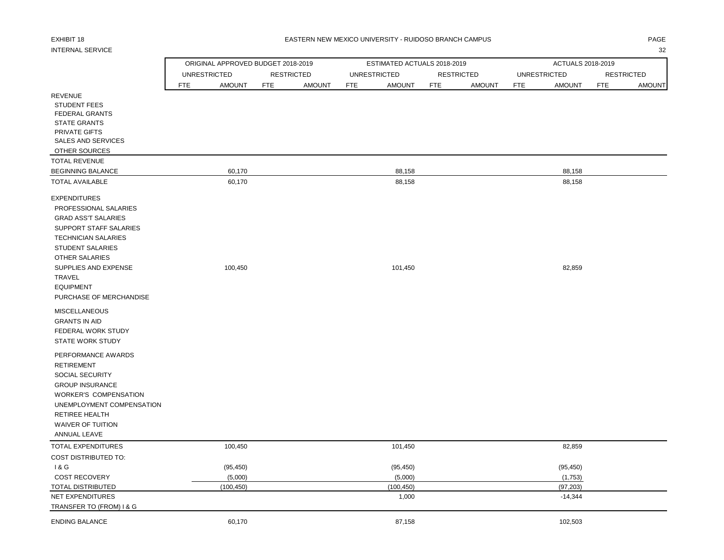# INTERNAL SERVICE 32

### EXHIBIT 18 PAGE EASTERN NEW MEXICO UNIVERSITY - RUIDOSO BRANCH CAMPUS

|                                                          | ORIGINAL APPROVED BUDGET 2018-2019 |            |                   |                     | ESTIMATED ACTUALS 2018-2019 |            |                   |            | ACTUALS 2018-2019   |            |                   |
|----------------------------------------------------------|------------------------------------|------------|-------------------|---------------------|-----------------------------|------------|-------------------|------------|---------------------|------------|-------------------|
|                                                          | <b>UNRESTRICTED</b>                |            | <b>RESTRICTED</b> | <b>UNRESTRICTED</b> |                             |            | <b>RESTRICTED</b> |            | <b>UNRESTRICTED</b> |            | <b>RESTRICTED</b> |
|                                                          | <b>FTE</b><br><b>AMOUNT</b>        | <b>FTE</b> | <b>AMOUNT</b>     | <b>FTE</b>          | <b>AMOUNT</b>               | <b>FTE</b> | <b>AMOUNT</b>     | <b>FTE</b> | <b>AMOUNT</b>       | <b>FTE</b> | <b>AMOUNT</b>     |
| <b>REVENUE</b>                                           |                                    |            |                   |                     |                             |            |                   |            |                     |            |                   |
| <b>STUDENT FEES</b>                                      |                                    |            |                   |                     |                             |            |                   |            |                     |            |                   |
| <b>FEDERAL GRANTS</b>                                    |                                    |            |                   |                     |                             |            |                   |            |                     |            |                   |
| <b>STATE GRANTS</b>                                      |                                    |            |                   |                     |                             |            |                   |            |                     |            |                   |
| PRIVATE GIFTS                                            |                                    |            |                   |                     |                             |            |                   |            |                     |            |                   |
| SALES AND SERVICES                                       |                                    |            |                   |                     |                             |            |                   |            |                     |            |                   |
| OTHER SOURCES                                            |                                    |            |                   |                     |                             |            |                   |            |                     |            |                   |
| <b>TOTAL REVENUE</b>                                     |                                    |            |                   |                     |                             |            |                   |            |                     |            |                   |
| <b>BEGINNING BALANCE</b>                                 | 60,170                             |            |                   |                     | 88,158                      |            |                   |            | 88,158              |            |                   |
| <b>TOTAL AVAILABLE</b>                                   | 60,170                             |            |                   |                     | 88,158                      |            |                   |            | 88,158              |            |                   |
| <b>EXPENDITURES</b>                                      |                                    |            |                   |                     |                             |            |                   |            |                     |            |                   |
| PROFESSIONAL SALARIES                                    |                                    |            |                   |                     |                             |            |                   |            |                     |            |                   |
| <b>GRAD ASS'T SALARIES</b>                               |                                    |            |                   |                     |                             |            |                   |            |                     |            |                   |
| SUPPORT STAFF SALARIES                                   |                                    |            |                   |                     |                             |            |                   |            |                     |            |                   |
| <b>TECHNICIAN SALARIES</b>                               |                                    |            |                   |                     |                             |            |                   |            |                     |            |                   |
| <b>STUDENT SALARIES</b>                                  |                                    |            |                   |                     |                             |            |                   |            |                     |            |                   |
| OTHER SALARIES                                           |                                    |            |                   |                     |                             |            |                   |            |                     |            |                   |
| SUPPLIES AND EXPENSE                                     | 100,450                            |            |                   |                     | 101,450                     |            |                   |            | 82,859              |            |                   |
| TRAVEL                                                   |                                    |            |                   |                     |                             |            |                   |            |                     |            |                   |
| <b>EQUIPMENT</b>                                         |                                    |            |                   |                     |                             |            |                   |            |                     |            |                   |
| PURCHASE OF MERCHANDISE                                  |                                    |            |                   |                     |                             |            |                   |            |                     |            |                   |
| <b>MISCELLANEOUS</b>                                     |                                    |            |                   |                     |                             |            |                   |            |                     |            |                   |
| <b>GRANTS IN AID</b>                                     |                                    |            |                   |                     |                             |            |                   |            |                     |            |                   |
| FEDERAL WORK STUDY                                       |                                    |            |                   |                     |                             |            |                   |            |                     |            |                   |
| <b>STATE WORK STUDY</b>                                  |                                    |            |                   |                     |                             |            |                   |            |                     |            |                   |
| PERFORMANCE AWARDS                                       |                                    |            |                   |                     |                             |            |                   |            |                     |            |                   |
| <b>RETIREMENT</b>                                        |                                    |            |                   |                     |                             |            |                   |            |                     |            |                   |
|                                                          |                                    |            |                   |                     |                             |            |                   |            |                     |            |                   |
| SOCIAL SECURITY                                          |                                    |            |                   |                     |                             |            |                   |            |                     |            |                   |
| <b>GROUP INSURANCE</b>                                   |                                    |            |                   |                     |                             |            |                   |            |                     |            |                   |
| <b>WORKER'S COMPENSATION</b>                             |                                    |            |                   |                     |                             |            |                   |            |                     |            |                   |
| UNEMPLOYMENT COMPENSATION                                |                                    |            |                   |                     |                             |            |                   |            |                     |            |                   |
| <b>RETIREE HEALTH</b>                                    |                                    |            |                   |                     |                             |            |                   |            |                     |            |                   |
| WAIVER OF TUITION                                        |                                    |            |                   |                     |                             |            |                   |            |                     |            |                   |
| ANNUAL LEAVE                                             |                                    |            |                   |                     |                             |            |                   |            |                     |            |                   |
| <b>TOTAL EXPENDITURES</b><br><b>COST DISTRIBUTED TO:</b> | 100,450                            |            |                   |                     | 101,450                     |            |                   |            | 82,859              |            |                   |
| 18G                                                      | (95, 450)                          |            |                   |                     | (95, 450)                   |            |                   |            | (95, 450)           |            |                   |
| <b>COST RECOVERY</b>                                     | (5,000)                            |            |                   |                     | (5,000)                     |            |                   |            | (1,753)             |            |                   |
| TOTAL DISTRIBUTED                                        | (100, 450)                         |            |                   |                     | (100, 450)                  |            |                   |            | (97, 203)           |            |                   |
| <b>NET EXPENDITURES</b>                                  |                                    |            |                   |                     | 1,000                       |            |                   |            | $-14,344$           |            |                   |
| TRANSFER TO (FROM) I & G                                 |                                    |            |                   |                     |                             |            |                   |            |                     |            |                   |
| <b>ENDING BALANCE</b>                                    | 60,170                             |            |                   |                     | 87,158                      |            |                   |            | 102,503             |            |                   |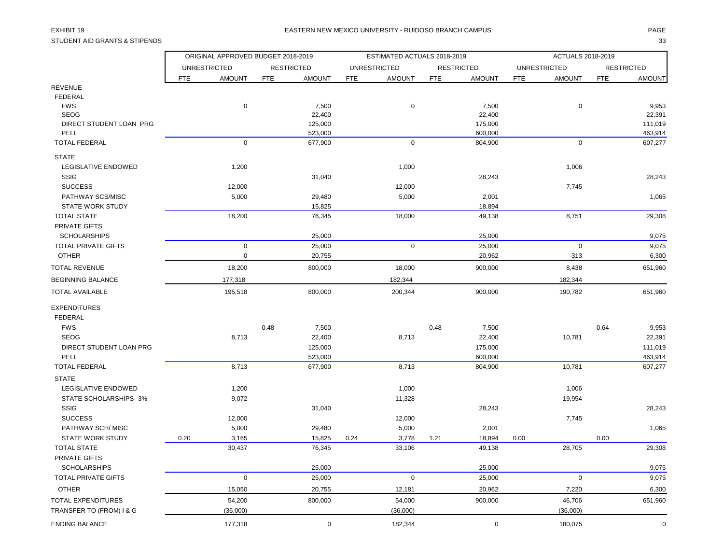STUDENT AID GRANTS & STIPENDS 33

|                            |                     | ORIGINAL APPROVED BUDGET 2018-2019 |            |                   |            | ESTIMATED ACTUALS 2018-2019 |            |                   |            | ACTUALS 2018-2019   |            |                   |
|----------------------------|---------------------|------------------------------------|------------|-------------------|------------|-----------------------------|------------|-------------------|------------|---------------------|------------|-------------------|
|                            | <b>UNRESTRICTED</b> |                                    |            | <b>RESTRICTED</b> |            | <b>UNRESTRICTED</b>         |            | <b>RESTRICTED</b> |            | <b>UNRESTRICTED</b> |            | <b>RESTRICTED</b> |
|                            | <b>FTE</b>          | <b>AMOUNT</b>                      | <b>FTE</b> | <b>AMOUNT</b>     | <b>FTE</b> | <b>AMOUNT</b>               | <b>FTE</b> | <b>AMOUNT</b>     | <b>FTE</b> | <b>AMOUNT</b>       | <b>FTE</b> | <b>AMOUNT</b>     |
| <b>REVENUE</b>             |                     |                                    |            |                   |            |                             |            |                   |            |                     |            |                   |
| <b>FEDERAL</b>             |                     |                                    |            |                   |            |                             |            |                   |            |                     |            |                   |
| <b>FWS</b>                 |                     | $\pmb{0}$                          |            | 7,500             |            | $\mathbf 0$                 |            | 7,500             |            | $\pmb{0}$           |            | 9,953             |
| <b>SEOG</b>                |                     |                                    |            | 22,400            |            |                             |            | 22,400            |            |                     |            | 22,391            |
| DIRECT STUDENT LOAN PRG    |                     |                                    |            | 125,000           |            |                             |            | 175,000           |            |                     |            | 111,019           |
| PELL                       |                     |                                    |            | 523,000           |            |                             |            | 600,000           |            |                     |            | 463,914           |
| <b>TOTAL FEDERAL</b>       |                     | $\mathbf 0$                        |            | 677,900           |            | $\mathbf 0$                 |            | 804,900           |            | $\mathbf 0$         |            | 607,277           |
| <b>STATE</b>               |                     |                                    |            |                   |            |                             |            |                   |            |                     |            |                   |
| LEGISLATIVE ENDOWED        |                     | 1,200                              |            |                   |            | 1,000                       |            |                   |            | 1,006               |            |                   |
| SSIG                       |                     |                                    |            | 31,040            |            |                             |            | 28,243            |            |                     |            | 28,243            |
| <b>SUCCESS</b>             |                     | 12,000                             |            |                   |            | 12,000                      |            |                   |            | 7,745               |            |                   |
| PATHWAY SCS/MISC           |                     | 5,000                              |            | 29,480            |            | 5,000                       |            | 2,001             |            |                     |            | 1,065             |
| <b>STATE WORK STUDY</b>    |                     |                                    |            | 15,825            |            |                             |            | 18,894            |            |                     |            |                   |
| <b>TOTAL STATE</b>         |                     | 18,200                             |            | 76,345            |            | 18,000                      |            | 49,138            |            | 8,751               |            | 29,308            |
| PRIVATE GIFTS              |                     |                                    |            |                   |            |                             |            |                   |            |                     |            |                   |
| <b>SCHOLARSHIPS</b>        |                     |                                    |            | 25,000            |            |                             |            | 25,000            |            |                     |            | 9,075             |
| <b>TOTAL PRIVATE GIFTS</b> |                     | $\pmb{0}$                          |            | 25,000            |            | $\mathsf 0$                 |            | 25,000            |            | $\boldsymbol{0}$    |            | 9,075             |
| <b>OTHER</b>               |                     | $\pmb{0}$                          |            | 20,755            |            |                             |            | 20,962            |            | $-313$              |            | 6,300             |
| <b>TOTAL REVENUE</b>       |                     | 18,200                             |            | 800,000           |            | 18,000                      |            | 900,000           |            | 8,438               |            | 651,960           |
| <b>BEGINNING BALANCE</b>   |                     | 177,318                            |            |                   |            | 182,344                     |            |                   |            | 182,344             |            |                   |
| <b>TOTAL AVAILABLE</b>     |                     | 195,518                            |            | 800,000           |            | 200,344                     |            | 900,000           |            | 190,782             |            | 651,960           |
| <b>EXPENDITURES</b>        |                     |                                    |            |                   |            |                             |            |                   |            |                     |            |                   |
| <b>FEDERAL</b>             |                     |                                    |            |                   |            |                             |            |                   |            |                     |            |                   |
| <b>FWS</b>                 |                     |                                    | 0.48       | 7,500             |            |                             | 0.48       | 7,500             |            |                     | 0.64       | 9,953             |
| <b>SEOG</b>                |                     | 8,713                              |            | 22,400            |            | 8,713                       |            | 22,400            |            | 10,781              |            | 22,391            |
| DIRECT STUDENT LOAN PRG    |                     |                                    |            | 125,000           |            |                             |            | 175,000           |            |                     |            | 111,019           |
| PELL                       |                     |                                    |            | 523,000           |            |                             |            | 600,000           |            |                     |            | 463,914           |
| <b>TOTAL FEDERAL</b>       |                     | 8,713                              |            | 677,900           |            | 8,713                       |            | 804,900           |            | 10,781              |            | 607,277           |
| <b>STATE</b>               |                     |                                    |            |                   |            |                             |            |                   |            |                     |            |                   |
| LEGISLATIVE ENDOWED        |                     | 1,200                              |            |                   |            | 1,000                       |            |                   |            | 1,006               |            |                   |
| STATE SCHOLARSHIPS--3%     |                     | 9,072                              |            |                   |            | 11,328                      |            |                   |            | 19,954              |            |                   |
| <b>SSIG</b>                |                     |                                    |            | 31,040            |            |                             |            | 28,243            |            |                     |            | 28,243            |
| <b>SUCCESS</b>             |                     | 12,000                             |            |                   |            | 12,000                      |            |                   |            | 7,745               |            |                   |
| PATHWAY SCH/ MISC          |                     | 5,000                              |            | 29,480            |            | 5,000                       |            | 2,001             |            |                     |            | 1,065             |
| <b>STATE WORK STUDY</b>    | 0.20                | 3,165                              |            | 15,825            | 0.24       | 3,778                       | 1.21       | 18,894            | 0.00       |                     | 0.00       |                   |
| <b>TOTAL STATE</b>         |                     | 30,437                             |            | 76,345            |            | 33,106                      |            | 49,138            |            | 28,705              |            | 29,308            |
| <b>PRIVATE GIFTS</b>       |                     |                                    |            |                   |            |                             |            |                   |            |                     |            |                   |
| <b>SCHOLARSHIPS</b>        |                     |                                    |            | 25,000            |            |                             |            | 25,000            |            |                     |            | 9,075             |
| <b>TOTAL PRIVATE GIFTS</b> |                     | $\mathbf 0$                        |            | 25,000            |            | $\mathbf 0$                 |            | 25,000            |            | $\mathbf 0$         |            | 9,075             |
| <b>OTHER</b>               |                     | 15,050                             |            | 20,755            |            | 12,181                      |            | 20,962            |            | 7,220               |            | 6,300             |
| <b>TOTAL EXPENDITURES</b>  |                     | 54,200                             |            | 800,000           |            | 54,000                      |            | 900,000           |            | 46,706              |            | 651,960           |
| TRANSFER TO (FROM) I & G   |                     | (36,000)                           |            |                   |            | (36,000)                    |            |                   |            | (36,000)            |            |                   |
| <b>ENDING BALANCE</b>      |                     | 177,318                            |            | $\mathbf 0$       |            | 182,344                     |            | 0                 |            | 180,075             |            | $\mathbf 0$       |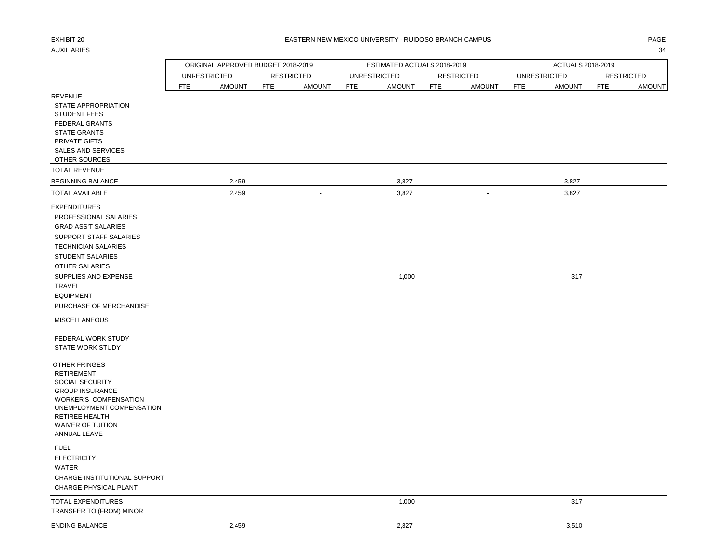### EXHIBIT 20 PAGE PAGE IN THE SEASTERN NEW MEXICO UNIVERSITY - RUIDOSO BRANCH CAMPUS AND THE SEASTERN ONLY ANGE

AUXILIARIES 34

|                                                                                                                                                                                                                                                                                                                                                         | ORIGINAL APPROVED BUDGET 2018-2019 |                             | ESTIMATED ACTUALS 2018-2019 |                             | ACTUALS 2018-2019           |                             |
|---------------------------------------------------------------------------------------------------------------------------------------------------------------------------------------------------------------------------------------------------------------------------------------------------------------------------------------------------------|------------------------------------|-----------------------------|-----------------------------|-----------------------------|-----------------------------|-----------------------------|
|                                                                                                                                                                                                                                                                                                                                                         | <b>UNRESTRICTED</b>                | <b>RESTRICTED</b>           | <b>UNRESTRICTED</b>         | <b>RESTRICTED</b>           | <b>UNRESTRICTED</b>         | <b>RESTRICTED</b>           |
|                                                                                                                                                                                                                                                                                                                                                         | <b>FTE</b><br><b>AMOUNT</b>        | <b>FTE</b><br><b>AMOUNT</b> | <b>FTE</b><br><b>AMOUNT</b> | <b>FTE</b><br><b>AMOUNT</b> | <b>FTE</b><br><b>AMOUNT</b> | <b>FTE</b><br><b>AMOUNT</b> |
| <b>REVENUE</b><br>STATE APPROPRIATION<br><b>STUDENT FEES</b><br><b>FEDERAL GRANTS</b><br><b>STATE GRANTS</b><br>PRIVATE GIFTS<br><b>SALES AND SERVICES</b><br>OTHER SOURCES                                                                                                                                                                             |                                    |                             |                             |                             |                             |                             |
| <b>TOTAL REVENUE</b>                                                                                                                                                                                                                                                                                                                                    |                                    |                             |                             |                             |                             |                             |
| <b>BEGINNING BALANCE</b>                                                                                                                                                                                                                                                                                                                                | 2,459                              |                             | 3,827                       |                             | 3,827                       |                             |
| <b>TOTAL AVAILABLE</b>                                                                                                                                                                                                                                                                                                                                  | 2,459                              | $\blacksquare$              | 3,827                       | $\sim$                      | 3,827                       |                             |
| <b>EXPENDITURES</b><br>PROFESSIONAL SALARIES<br><b>GRAD ASS'T SALARIES</b><br>SUPPORT STAFF SALARIES<br><b>TECHNICIAN SALARIES</b><br><b>STUDENT SALARIES</b><br><b>OTHER SALARIES</b><br>SUPPLIES AND EXPENSE<br><b>TRAVEL</b><br><b>EQUIPMENT</b><br>PURCHASE OF MERCHANDISE<br><b>MISCELLANEOUS</b><br>FEDERAL WORK STUDY<br><b>STATE WORK STUDY</b> |                                    |                             | 1,000                       |                             | 317                         |                             |
| OTHER FRINGES<br><b>RETIREMENT</b><br>SOCIAL SECURITY<br><b>GROUP INSURANCE</b><br><b>WORKER'S COMPENSATION</b><br>UNEMPLOYMENT COMPENSATION<br>RETIREE HEALTH<br><b>WAIVER OF TUITION</b><br>ANNUAL LEAVE                                                                                                                                              |                                    |                             |                             |                             |                             |                             |
| <b>FUEL</b><br><b>ELECTRICITY</b><br><b>WATER</b><br>CHARGE-INSTITUTIONAL SUPPORT<br>CHARGE-PHYSICAL PLANT                                                                                                                                                                                                                                              |                                    |                             |                             |                             |                             |                             |
| TOTAL EXPENDITURES<br>TRANSFER TO (FROM) MINOR                                                                                                                                                                                                                                                                                                          |                                    |                             | 1,000                       |                             | 317                         |                             |
| <b>ENDING BALANCE</b>                                                                                                                                                                                                                                                                                                                                   | 2,459                              |                             | 2,827                       |                             | 3,510                       |                             |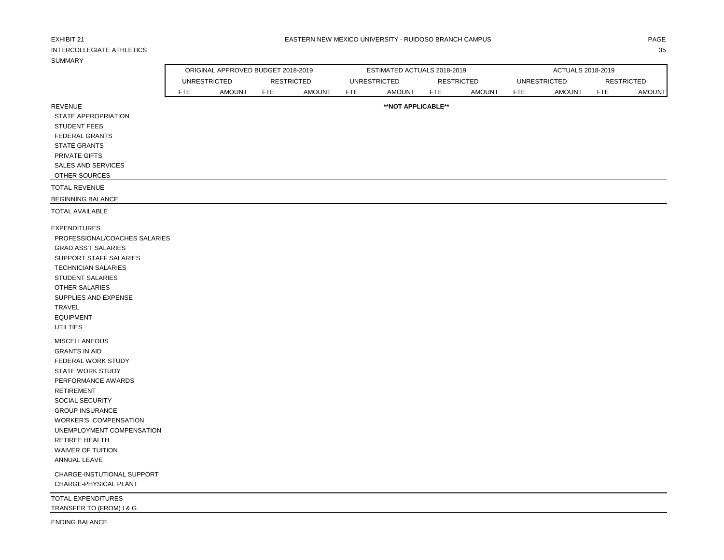| EXHIBIT 21<br><b>INTERCOLLEGIATE ATHLETICS</b>        |                     |                                    |                   |               |            | EASTERN NEW MEXICO UNIVERSITY - RUIDOSO BRANCH CAMPUS |                   |               |            |                     |                   | PAGE<br>35    |
|-------------------------------------------------------|---------------------|------------------------------------|-------------------|---------------|------------|-------------------------------------------------------|-------------------|---------------|------------|---------------------|-------------------|---------------|
| <b>SUMMARY</b>                                        |                     |                                    |                   |               |            |                                                       |                   |               |            |                     |                   |               |
|                                                       |                     | ORIGINAL APPROVED BUDGET 2018-2019 |                   |               |            | ESTIMATED ACTUALS 2018-2019                           |                   |               |            | ACTUALS 2018-2019   |                   |               |
|                                                       | <b>UNRESTRICTED</b> |                                    | <b>RESTRICTED</b> |               |            | <b>UNRESTRICTED</b>                                   | <b>RESTRICTED</b> |               |            | <b>UNRESTRICTED</b> | <b>RESTRICTED</b> |               |
|                                                       | <b>FTE</b>          | <b>AMOUNT</b>                      | <b>FTE</b>        | <b>AMOUNT</b> | <b>FTE</b> | <b>AMOUNT</b>                                         | <b>FTE</b>        | <b>AMOUNT</b> | <b>FTE</b> | <b>AMOUNT</b>       | <b>FTE</b>        | <b>AMOUNT</b> |
| <b>REVENUE</b>                                        |                     |                                    |                   |               |            | **NOT APPLICABLE**                                    |                   |               |            |                     |                   |               |
| STATE APPROPRIATION                                   |                     |                                    |                   |               |            |                                                       |                   |               |            |                     |                   |               |
| <b>STUDENT FEES</b>                                   |                     |                                    |                   |               |            |                                                       |                   |               |            |                     |                   |               |
| FEDERAL GRANTS                                        |                     |                                    |                   |               |            |                                                       |                   |               |            |                     |                   |               |
| <b>STATE GRANTS</b>                                   |                     |                                    |                   |               |            |                                                       |                   |               |            |                     |                   |               |
| PRIVATE GIFTS                                         |                     |                                    |                   |               |            |                                                       |                   |               |            |                     |                   |               |
| <b>SALES AND SERVICES</b>                             |                     |                                    |                   |               |            |                                                       |                   |               |            |                     |                   |               |
| OTHER SOURCES                                         |                     |                                    |                   |               |            |                                                       |                   |               |            |                     |                   |               |
| <b>TOTAL REVENUE</b>                                  |                     |                                    |                   |               |            |                                                       |                   |               |            |                     |                   |               |
| <b>BEGINNING BALANCE</b>                              |                     |                                    |                   |               |            |                                                       |                   |               |            |                     |                   |               |
| <b>TOTAL AVAILABLE</b>                                |                     |                                    |                   |               |            |                                                       |                   |               |            |                     |                   |               |
| <b>EXPENDITURES</b>                                   |                     |                                    |                   |               |            |                                                       |                   |               |            |                     |                   |               |
| PROFESSIONAL/COACHES SALARIES                         |                     |                                    |                   |               |            |                                                       |                   |               |            |                     |                   |               |
| <b>GRAD ASS'T SALARIES</b>                            |                     |                                    |                   |               |            |                                                       |                   |               |            |                     |                   |               |
| SUPPORT STAFF SALARIES                                |                     |                                    |                   |               |            |                                                       |                   |               |            |                     |                   |               |
| <b>TECHNICIAN SALARIES</b>                            |                     |                                    |                   |               |            |                                                       |                   |               |            |                     |                   |               |
| STUDENT SALARIES                                      |                     |                                    |                   |               |            |                                                       |                   |               |            |                     |                   |               |
| OTHER SALARIES                                        |                     |                                    |                   |               |            |                                                       |                   |               |            |                     |                   |               |
| SUPPLIES AND EXPENSE                                  |                     |                                    |                   |               |            |                                                       |                   |               |            |                     |                   |               |
| TRAVEL                                                |                     |                                    |                   |               |            |                                                       |                   |               |            |                     |                   |               |
| <b>EQUIPMENT</b>                                      |                     |                                    |                   |               |            |                                                       |                   |               |            |                     |                   |               |
| <b>UTILTIES</b>                                       |                     |                                    |                   |               |            |                                                       |                   |               |            |                     |                   |               |
| <b>MISCELLANEOUS</b>                                  |                     |                                    |                   |               |            |                                                       |                   |               |            |                     |                   |               |
| <b>GRANTS IN AID</b>                                  |                     |                                    |                   |               |            |                                                       |                   |               |            |                     |                   |               |
| FEDERAL WORK STUDY                                    |                     |                                    |                   |               |            |                                                       |                   |               |            |                     |                   |               |
| <b>STATE WORK STUDY</b>                               |                     |                                    |                   |               |            |                                                       |                   |               |            |                     |                   |               |
| PERFORMANCE AWARDS                                    |                     |                                    |                   |               |            |                                                       |                   |               |            |                     |                   |               |
| <b>RETIREMENT</b>                                     |                     |                                    |                   |               |            |                                                       |                   |               |            |                     |                   |               |
| SOCIAL SECURITY                                       |                     |                                    |                   |               |            |                                                       |                   |               |            |                     |                   |               |
| <b>GROUP INSURANCE</b>                                |                     |                                    |                   |               |            |                                                       |                   |               |            |                     |                   |               |
| <b>WORKER'S COMPENSATION</b>                          |                     |                                    |                   |               |            |                                                       |                   |               |            |                     |                   |               |
| UNEMPLOYMENT COMPENSATION                             |                     |                                    |                   |               |            |                                                       |                   |               |            |                     |                   |               |
| RETIREE HEALTH                                        |                     |                                    |                   |               |            |                                                       |                   |               |            |                     |                   |               |
| WAIVER OF TUITION                                     |                     |                                    |                   |               |            |                                                       |                   |               |            |                     |                   |               |
| ANNUAL LEAVE                                          |                     |                                    |                   |               |            |                                                       |                   |               |            |                     |                   |               |
| CHARGE-INSTUTIONAL SUPPORT                            |                     |                                    |                   |               |            |                                                       |                   |               |            |                     |                   |               |
| CHARGE-PHYSICAL PLANT                                 |                     |                                    |                   |               |            |                                                       |                   |               |            |                     |                   |               |
| <b>TOTAL EXPENDITURES</b><br>TRANSFER TO (FROM) I & G |                     |                                    |                   |               |            |                                                       |                   |               |            |                     |                   |               |

ENDING BALANCE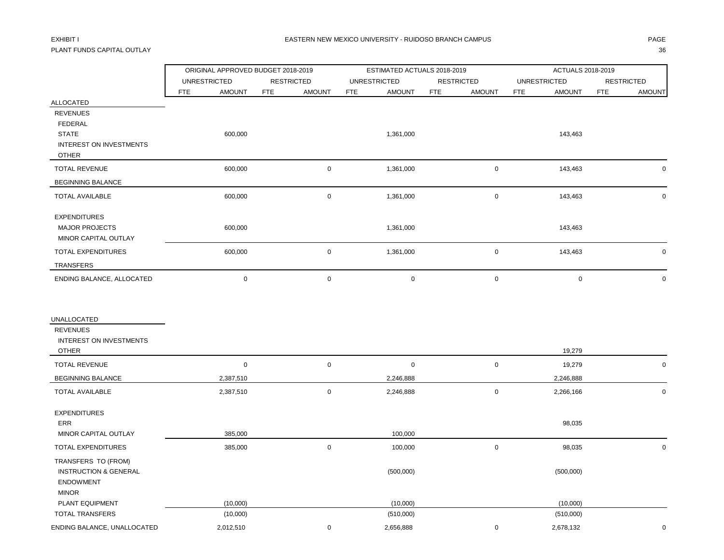## PLANT FUNDS CAPITAL OUTLAY 36

|                                                                                                                  | ORIGINAL APPROVED BUDGET 2018-2019 |                             | ESTIMATED ACTUALS 2018-2019 |                             | ACTUALS 2018-2019           |                             |
|------------------------------------------------------------------------------------------------------------------|------------------------------------|-----------------------------|-----------------------------|-----------------------------|-----------------------------|-----------------------------|
|                                                                                                                  | <b>UNRESTRICTED</b>                | <b>RESTRICTED</b>           | <b>UNRESTRICTED</b>         | <b>RESTRICTED</b>           | <b>UNRESTRICTED</b>         | <b>RESTRICTED</b>           |
|                                                                                                                  | <b>FTE</b><br><b>AMOUNT</b>        | <b>FTE</b><br><b>AMOUNT</b> | <b>FTE</b><br><b>AMOUNT</b> | <b>FTE</b><br><b>AMOUNT</b> | <b>AMOUNT</b><br><b>FTE</b> | <b>FTE</b><br><b>AMOUNT</b> |
| <b>ALLOCATED</b><br><b>REVENUES</b><br>FEDERAL<br><b>STATE</b><br><b>INTEREST ON INVESTMENTS</b><br><b>OTHER</b> | 600,000                            |                             | 1,361,000                   |                             | 143,463                     |                             |
| <b>TOTAL REVENUE</b>                                                                                             | 600,000                            | $\mathsf 0$                 | 1,361,000                   | $\mathsf{O}\xspace$         | 143,463                     | $\mathbf 0$                 |
| <b>BEGINNING BALANCE</b>                                                                                         |                                    |                             |                             |                             |                             |                             |
| TOTAL AVAILABLE                                                                                                  | 600,000                            | $\mathbf 0$                 | 1,361,000                   | $\mathsf{O}\xspace$         | 143,463                     | $\mathbf 0$                 |
| <b>EXPENDITURES</b><br><b>MAJOR PROJECTS</b><br>MINOR CAPITAL OUTLAY                                             | 600,000                            |                             | 1,361,000                   |                             | 143,463                     |                             |
| TOTAL EXPENDITURES                                                                                               | 600,000                            | $\mathbf 0$                 | 1,361,000                   | $\mathsf{O}\xspace$         | 143,463                     | $\mathbf 0$                 |
| TRANSFERS                                                                                                        |                                    |                             |                             |                             |                             |                             |
| ENDING BALANCE, ALLOCATED                                                                                        | $\mathbf 0$                        | $\mathbf 0$                 | $\pmb{0}$                   | $\mathsf{O}\xspace$         | $\mathsf 0$                 | $\mathbf 0$                 |
| UNALLOCATED<br><b>REVENUES</b><br><b>INTEREST ON INVESTMENTS</b><br><b>OTHER</b>                                 |                                    |                             |                             |                             | 19,279                      |                             |
| <b>TOTAL REVENUE</b>                                                                                             | $\mathbf 0$                        | $\mathbf 0$                 | $\mathbf 0$                 | $\pmb{0}$                   | 19,279                      | $\mathbf 0$                 |
| <b>BEGINNING BALANCE</b>                                                                                         | 2,387,510                          |                             | 2,246,888                   |                             | 2,246,888                   |                             |
| TOTAL AVAILABLE                                                                                                  | 2,387,510                          | $\mathsf 0$                 | 2,246,888                   | $\mathbf 0$                 | 2,266,166                   | 0                           |
| <b>EXPENDITURES</b><br>ERR<br>MINOR CAPITAL OUTLAY                                                               | 385,000                            |                             | 100,000                     |                             | 98,035                      |                             |
| <b>TOTAL EXPENDITURES</b>                                                                                        | 385,000                            | $\pmb{0}$                   | 100,000                     | $\pmb{0}$                   | 98,035                      | $\mathbf 0$                 |
| TRANSFERS TO (FROM)<br><b>INSTRUCTION &amp; GENERAL</b><br><b>ENDOWMENT</b><br><b>MINOR</b>                      |                                    |                             | (500,000)                   |                             | (500,000)                   |                             |
| PLANT EQUIPMENT                                                                                                  | (10,000)                           |                             | (10,000)                    |                             | (10,000)                    |                             |
| <b>TOTAL TRANSFERS</b>                                                                                           | (10,000)                           |                             | (510,000)                   |                             | (510,000)                   |                             |
| ENDING BALANCE, UNALLOCATED                                                                                      | 2,012,510                          | $\mathbf 0$                 | 2,656,888                   | $\mathbf 0$                 | 2,678,132                   | $\mathbf 0$                 |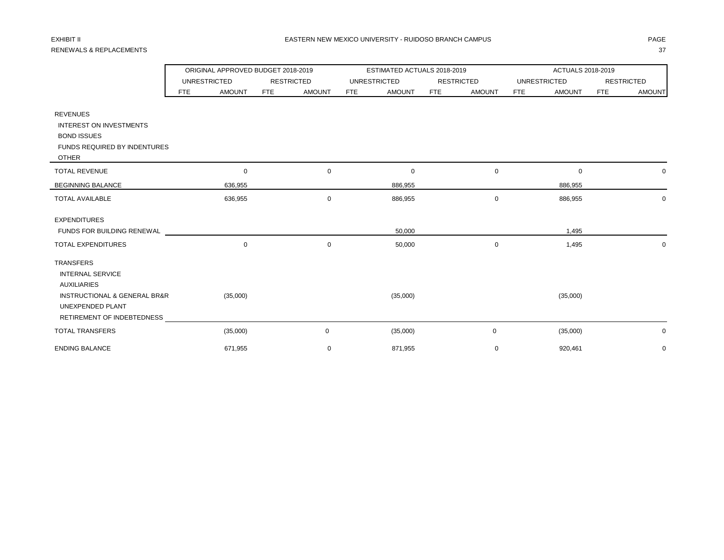# RENEWALS & REPLACEMENTS 37

|                                             |                     | ORIGINAL APPROVED BUDGET 2018-2019 |                   |               |            | ESTIMATED ACTUALS 2018-2019 |     |                   | ACTUALS 2018-2019   |               |                   |               |
|---------------------------------------------|---------------------|------------------------------------|-------------------|---------------|------------|-----------------------------|-----|-------------------|---------------------|---------------|-------------------|---------------|
|                                             | <b>UNRESTRICTED</b> |                                    | <b>RESTRICTED</b> |               |            | <b>UNRESTRICTED</b>         |     | <b>RESTRICTED</b> | <b>UNRESTRICTED</b> |               | <b>RESTRICTED</b> |               |
|                                             | <b>FTE</b>          | <b>AMOUNT</b>                      | FTE               | <b>AMOUNT</b> | <b>FTE</b> | <b>AMOUNT</b>               | FTE | <b>AMOUNT</b>     | <b>FTE</b>          | <b>AMOUNT</b> | FTE               | <b>AMOUNT</b> |
| <b>REVENUES</b>                             |                     |                                    |                   |               |            |                             |     |                   |                     |               |                   |               |
| <b>INTEREST ON INVESTMENTS</b>              |                     |                                    |                   |               |            |                             |     |                   |                     |               |                   |               |
| <b>BOND ISSUES</b>                          |                     |                                    |                   |               |            |                             |     |                   |                     |               |                   |               |
| <b>FUNDS REQUIRED BY INDENTURES</b>         |                     |                                    |                   |               |            |                             |     |                   |                     |               |                   |               |
| <b>OTHER</b>                                |                     |                                    |                   |               |            |                             |     |                   |                     |               |                   |               |
| <b>TOTAL REVENUE</b>                        |                     | 0                                  |                   | $\mathbf 0$   |            | $\mathbf 0$                 |     | 0                 |                     | $\mathbf 0$   |                   | 0             |
| <b>BEGINNING BALANCE</b>                    |                     | 636,955                            |                   |               |            | 886,955                     |     |                   |                     | 886,955       |                   |               |
| <b>TOTAL AVAILABLE</b>                      |                     | 636,955                            |                   | $\mathbf 0$   |            | 886,955                     |     | 0                 |                     | 886,955       |                   | 0             |
| <b>EXPENDITURES</b>                         |                     |                                    |                   |               |            |                             |     |                   |                     |               |                   |               |
| FUNDS FOR BUILDING RENEWAL                  |                     |                                    |                   |               |            | 50,000                      |     |                   |                     | 1,495         |                   |               |
| <b>TOTAL EXPENDITURES</b>                   |                     | $\mathbf 0$                        |                   | $\mathbf 0$   |            | 50,000                      |     | 0                 |                     | 1,495         |                   | 0             |
| <b>TRANSFERS</b>                            |                     |                                    |                   |               |            |                             |     |                   |                     |               |                   |               |
| <b>INTERNAL SERVICE</b>                     |                     |                                    |                   |               |            |                             |     |                   |                     |               |                   |               |
| <b>AUXILIARIES</b>                          |                     |                                    |                   |               |            |                             |     |                   |                     |               |                   |               |
| <b>INSTRUCTIONAL &amp; GENERAL BR&amp;R</b> |                     | (35,000)                           |                   |               |            | (35,000)                    |     |                   |                     | (35,000)      |                   |               |
| UNEXPENDED PLANT                            |                     |                                    |                   |               |            |                             |     |                   |                     |               |                   |               |
| RETIREMENT OF INDEBTEDNESS                  |                     |                                    |                   |               |            |                             |     |                   |                     |               |                   |               |
| <b>TOTAL TRANSFERS</b>                      |                     | (35,000)                           |                   | 0             |            | (35,000)                    |     | 0                 |                     | (35,000)      |                   | 0             |
| <b>ENDING BALANCE</b>                       |                     | 671.955                            |                   | $\mathbf 0$   |            | 871,955                     |     | $\mathbf 0$       |                     | 920,461       |                   | $\mathbf 0$   |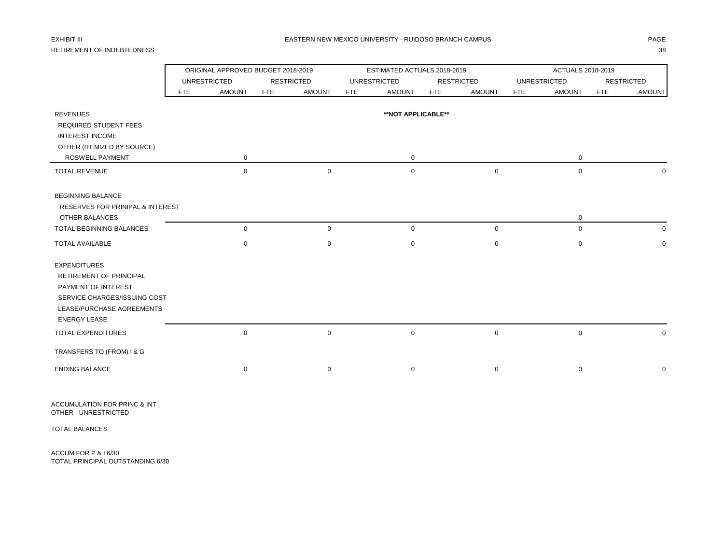## RETIREMENT OF INDEBTEDNESS 38

|                                                        |     |                     | ORIGINAL APPROVED BUDGET 2018-2019 |            | ESTIMATED ACTUALS 2018-2019 |            |                   | ACTUALS 2018-2019           |                             |  |  |
|--------------------------------------------------------|-----|---------------------|------------------------------------|------------|-----------------------------|------------|-------------------|-----------------------------|-----------------------------|--|--|
|                                                        |     | <b>UNRESTRICTED</b> | <b>RESTRICTED</b>                  |            | <b>UNRESTRICTED</b>         |            | <b>RESTRICTED</b> | <b>UNRESTRICTED</b>         | <b>RESTRICTED</b>           |  |  |
|                                                        | FTE | <b>AMOUNT</b>       | <b>AMOUNT</b><br><b>FTE</b>        | <b>FTE</b> | <b>AMOUNT</b>               | <b>FTE</b> | <b>AMOUNT</b>     | <b>AMOUNT</b><br><b>FTE</b> | <b>FTE</b><br><b>AMOUNT</b> |  |  |
| <b>REVENUES</b>                                        |     |                     |                                    |            | **NOT APPLICABLE**          |            |                   |                             |                             |  |  |
|                                                        |     |                     |                                    |            |                             |            |                   |                             |                             |  |  |
| <b>REQUIRED STUDENT FEES</b><br><b>INTEREST INCOME</b> |     |                     |                                    |            |                             |            |                   |                             |                             |  |  |
| OTHER (ITEMIZED BY SOURCE)                             |     |                     |                                    |            |                             |            |                   |                             |                             |  |  |
|                                                        |     |                     |                                    |            |                             |            |                   |                             |                             |  |  |
| ROSWELL PAYMENT                                        |     | 0                   |                                    |            | $\mathbf 0$                 |            |                   | 0                           |                             |  |  |
| <b>TOTAL REVENUE</b>                                   |     | $\mathbf 0$         | $\mathbf 0$                        |            | $\mathbf 0$                 |            | $\mathbf 0$       | $\mathbf 0$                 | <sup>0</sup>                |  |  |
| <b>BEGINNING BALANCE</b>                               |     |                     |                                    |            |                             |            |                   |                             |                             |  |  |
| RESERVES FOR PRINIPAL & INTEREST                       |     |                     |                                    |            |                             |            |                   |                             |                             |  |  |
| <b>OTHER BALANCES</b>                                  |     |                     |                                    |            |                             |            |                   | 0                           |                             |  |  |
| <b>TOTAL BEGINNING BALANCES</b>                        |     | $\mathsf 0$         | $\mathsf 0$                        |            | $\mathbf 0$                 |            | $\mathbf 0$       | $\mathbf 0$                 | 0                           |  |  |
| <b>TOTAL AVAILABLE</b>                                 |     | $\mathbf 0$         | 0                                  |            | 0                           |            | 0                 | $\mathbf 0$                 | $\mathbf 0$                 |  |  |
| <b>EXPENDITURES</b>                                    |     |                     |                                    |            |                             |            |                   |                             |                             |  |  |
| RETIREMENT OF PRINCIPAL                                |     |                     |                                    |            |                             |            |                   |                             |                             |  |  |
| PAYMENT OF INTEREST                                    |     |                     |                                    |            |                             |            |                   |                             |                             |  |  |
| SERVICE CHARGES/ISSUING COST                           |     |                     |                                    |            |                             |            |                   |                             |                             |  |  |
| LEASE/PURCHASE AGREEMENTS                              |     |                     |                                    |            |                             |            |                   |                             |                             |  |  |
| <b>ENERGY LEASE</b>                                    |     |                     |                                    |            |                             |            |                   |                             |                             |  |  |
| TOTAL EXPENDITURES                                     |     | $\mathbf 0$         | $\mathbf 0$                        |            | $\mathbf 0$                 |            | 0                 | $\mathbf 0$                 | 0                           |  |  |
| TRANSFERS TO (FROM) I & G                              |     |                     |                                    |            |                             |            |                   |                             |                             |  |  |
| <b>ENDING BALANCE</b>                                  |     | 0                   | 0                                  |            | 0                           |            | 0                 | 0                           | 0                           |  |  |

ACCUMULATION FOR PRINC & INT OTHER - UNRESTRICTED

TOTAL BALANCES

ACCUM FOR P & I 6/30 TOTAL PRINCIPAL OUTSTANDING 6/30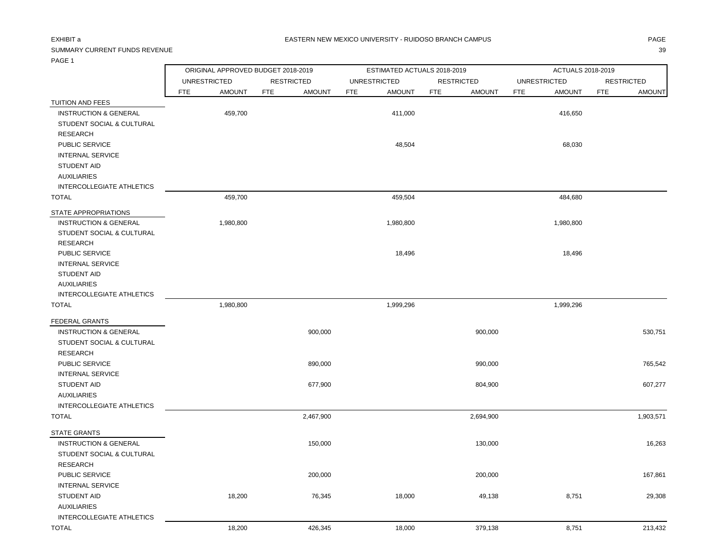## SUMMARY CURRENT FUNDS REVENUE 39

|  | . .<br>٠<br>۰ |
|--|---------------|
|  |               |
|  |               |
|  |               |

| .                                         |            |                                    |            |                   |            |                             |            |                   |                   |                     |            |                   |  |
|-------------------------------------------|------------|------------------------------------|------------|-------------------|------------|-----------------------------|------------|-------------------|-------------------|---------------------|------------|-------------------|--|
|                                           |            | ORIGINAL APPROVED BUDGET 2018-2019 |            |                   |            | ESTIMATED ACTUALS 2018-2019 |            |                   | ACTUALS 2018-2019 |                     |            |                   |  |
|                                           |            | <b>UNRESTRICTED</b>                |            | <b>RESTRICTED</b> |            | <b>UNRESTRICTED</b>         |            | <b>RESTRICTED</b> |                   | <b>UNRESTRICTED</b> |            | <b>RESTRICTED</b> |  |
|                                           | <b>FTE</b> | <b>AMOUNT</b>                      | <b>FTE</b> | <b>AMOUNT</b>     | <b>FTE</b> | <b>AMOUNT</b>               | <b>FTE</b> | <b>AMOUNT</b>     | <b>FTE</b>        | <b>AMOUNT</b>       | <b>FTE</b> | <b>AMOUNT</b>     |  |
| TUITION AND FEES                          |            |                                    |            |                   |            |                             |            |                   |                   |                     |            |                   |  |
| <b>INSTRUCTION &amp; GENERAL</b>          |            | 459,700                            |            |                   |            | 411,000                     |            |                   |                   | 416,650             |            |                   |  |
| STUDENT SOCIAL & CULTURAL                 |            |                                    |            |                   |            |                             |            |                   |                   |                     |            |                   |  |
| <b>RESEARCH</b>                           |            |                                    |            |                   |            |                             |            |                   |                   |                     |            |                   |  |
| PUBLIC SERVICE                            |            |                                    |            |                   |            | 48,504                      |            |                   |                   | 68,030              |            |                   |  |
| <b>INTERNAL SERVICE</b>                   |            |                                    |            |                   |            |                             |            |                   |                   |                     |            |                   |  |
| <b>STUDENT AID</b>                        |            |                                    |            |                   |            |                             |            |                   |                   |                     |            |                   |  |
| <b>AUXILIARIES</b>                        |            |                                    |            |                   |            |                             |            |                   |                   |                     |            |                   |  |
| INTERCOLLEGIATE ATHLETICS                 |            |                                    |            |                   |            |                             |            |                   |                   |                     |            |                   |  |
| <b>TOTAL</b>                              |            | 459,700                            |            |                   |            | 459,504                     |            |                   |                   | 484,680             |            |                   |  |
| STATE APPROPRIATIONS                      |            |                                    |            |                   |            |                             |            |                   |                   |                     |            |                   |  |
| <b>INSTRUCTION &amp; GENERAL</b>          |            | 1,980,800                          |            |                   |            | 1,980,800                   |            |                   |                   | 1,980,800           |            |                   |  |
| STUDENT SOCIAL & CULTURAL                 |            |                                    |            |                   |            |                             |            |                   |                   |                     |            |                   |  |
| <b>RESEARCH</b>                           |            |                                    |            |                   |            |                             |            |                   |                   |                     |            |                   |  |
| PUBLIC SERVICE                            |            |                                    |            |                   |            | 18,496                      |            |                   |                   | 18,496              |            |                   |  |
| <b>INTERNAL SERVICE</b>                   |            |                                    |            |                   |            |                             |            |                   |                   |                     |            |                   |  |
| STUDENT AID<br><b>AUXILIARIES</b>         |            |                                    |            |                   |            |                             |            |                   |                   |                     |            |                   |  |
| INTERCOLLEGIATE ATHLETICS                 |            |                                    |            |                   |            |                             |            |                   |                   |                     |            |                   |  |
| <b>TOTAL</b>                              |            | 1,980,800                          |            |                   |            | 1,999,296                   |            |                   |                   | 1,999,296           |            |                   |  |
|                                           |            |                                    |            |                   |            |                             |            |                   |                   |                     |            |                   |  |
| FEDERAL GRANTS                            |            |                                    |            |                   |            |                             |            |                   |                   |                     |            |                   |  |
| <b>INSTRUCTION &amp; GENERAL</b>          |            |                                    |            | 900,000           |            |                             |            | 900,000           |                   |                     |            | 530,751           |  |
| STUDENT SOCIAL & CULTURAL                 |            |                                    |            |                   |            |                             |            |                   |                   |                     |            |                   |  |
| <b>RESEARCH</b>                           |            |                                    |            |                   |            |                             |            |                   |                   |                     |            |                   |  |
| PUBLIC SERVICE                            |            |                                    |            | 890,000           |            |                             |            | 990,000           |                   |                     |            | 765,542           |  |
| <b>INTERNAL SERVICE</b>                   |            |                                    |            |                   |            |                             |            |                   |                   |                     |            |                   |  |
| <b>STUDENT AID</b>                        |            |                                    |            | 677,900           |            |                             |            | 804,900           |                   |                     |            | 607,277           |  |
| <b>AUXILIARIES</b>                        |            |                                    |            |                   |            |                             |            |                   |                   |                     |            |                   |  |
| INTERCOLLEGIATE ATHLETICS<br><b>TOTAL</b> |            |                                    |            | 2,467,900         |            |                             |            | 2,694,900         |                   |                     |            | 1,903,571         |  |
|                                           |            |                                    |            |                   |            |                             |            |                   |                   |                     |            |                   |  |
| <b>STATE GRANTS</b>                       |            |                                    |            |                   |            |                             |            |                   |                   |                     |            |                   |  |
| <b>INSTRUCTION &amp; GENERAL</b>          |            |                                    |            | 150,000           |            |                             |            | 130,000           |                   |                     |            | 16,263            |  |
| STUDENT SOCIAL & CULTURAL                 |            |                                    |            |                   |            |                             |            |                   |                   |                     |            |                   |  |
| <b>RESEARCH</b>                           |            |                                    |            |                   |            |                             |            |                   |                   |                     |            |                   |  |
| PUBLIC SERVICE                            |            |                                    |            | 200,000           |            |                             |            | 200,000           |                   |                     |            | 167,861           |  |
| <b>INTERNAL SERVICE</b>                   |            |                                    |            |                   |            |                             |            |                   |                   |                     |            |                   |  |
| STUDENT AID                               |            | 18,200                             |            | 76,345            |            | 18,000                      |            | 49,138            |                   | 8,751               |            | 29,308            |  |
| <b>AUXILIARIES</b>                        |            |                                    |            |                   |            |                             |            |                   |                   |                     |            |                   |  |
| INTERCOLLEGIATE ATHLETICS<br><b>TOTAL</b> |            | 18,200                             |            | 426,345           |            | 18,000                      |            |                   |                   | 8,751               |            | 213,432           |  |
|                                           |            |                                    |            |                   |            |                             |            | 379,138           |                   |                     |            |                   |  |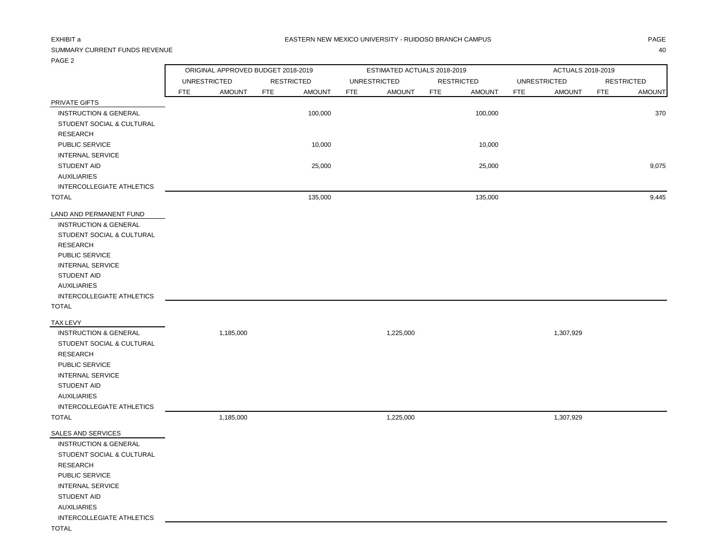### EXHIBIT a RASTERN NEW MEXICO UNIVERSITY - RUIDOSO BRANCH CAMPUS AND THE RASTERN DRIGE

## SUMMARY CURRENT FUNDS REVENUE 40

|                                  |            | ORIGINAL APPROVED BUDGET 2018-2019 |            |                   |            | ESTIMATED ACTUALS 2018-2019 |                   |               | ACTUALS 2018-2019 |                     |            |                   |
|----------------------------------|------------|------------------------------------|------------|-------------------|------------|-----------------------------|-------------------|---------------|-------------------|---------------------|------------|-------------------|
|                                  |            | <b>UNRESTRICTED</b>                |            | <b>RESTRICTED</b> |            | <b>UNRESTRICTED</b>         | <b>RESTRICTED</b> |               |                   | <b>UNRESTRICTED</b> |            | <b>RESTRICTED</b> |
|                                  | <b>FTE</b> | <b>AMOUNT</b>                      | <b>FTE</b> | <b>AMOUNT</b>     | <b>FTE</b> | <b>AMOUNT</b>               | <b>FTE</b>        | <b>AMOUNT</b> | <b>FTE</b>        | <b>AMOUNT</b>       | <b>FTE</b> | <b>AMOUNT</b>     |
| PRIVATE GIFTS                    |            |                                    |            |                   |            |                             |                   |               |                   |                     |            |                   |
| <b>INSTRUCTION &amp; GENERAL</b> |            |                                    |            | 100,000           |            |                             |                   | 100,000       |                   |                     |            | 370               |
| STUDENT SOCIAL & CULTURAL        |            |                                    |            |                   |            |                             |                   |               |                   |                     |            |                   |
| <b>RESEARCH</b>                  |            |                                    |            |                   |            |                             |                   |               |                   |                     |            |                   |
| PUBLIC SERVICE                   |            |                                    |            | 10,000            |            |                             |                   | 10,000        |                   |                     |            |                   |
| <b>INTERNAL SERVICE</b>          |            |                                    |            |                   |            |                             |                   |               |                   |                     |            |                   |
| STUDENT AID                      |            |                                    |            | 25,000            |            |                             |                   | 25,000        |                   |                     |            | 9,075             |
| <b>AUXILIARIES</b>               |            |                                    |            |                   |            |                             |                   |               |                   |                     |            |                   |
| INTERCOLLEGIATE ATHLETICS        |            |                                    |            |                   |            |                             |                   |               |                   |                     |            |                   |
| <b>TOTAL</b>                     |            |                                    |            | 135,000           |            |                             |                   | 135,000       |                   |                     |            | 9,445             |
| LAND AND PERMANENT FUND          |            |                                    |            |                   |            |                             |                   |               |                   |                     |            |                   |
| <b>INSTRUCTION &amp; GENERAL</b> |            |                                    |            |                   |            |                             |                   |               |                   |                     |            |                   |
| STUDENT SOCIAL & CULTURAL        |            |                                    |            |                   |            |                             |                   |               |                   |                     |            |                   |
| <b>RESEARCH</b>                  |            |                                    |            |                   |            |                             |                   |               |                   |                     |            |                   |
| PUBLIC SERVICE                   |            |                                    |            |                   |            |                             |                   |               |                   |                     |            |                   |
| <b>INTERNAL SERVICE</b>          |            |                                    |            |                   |            |                             |                   |               |                   |                     |            |                   |
| <b>STUDENT AID</b>               |            |                                    |            |                   |            |                             |                   |               |                   |                     |            |                   |
| <b>AUXILIARIES</b>               |            |                                    |            |                   |            |                             |                   |               |                   |                     |            |                   |
| INTERCOLLEGIATE ATHLETICS        |            |                                    |            |                   |            |                             |                   |               |                   |                     |            |                   |
| <b>TOTAL</b>                     |            |                                    |            |                   |            |                             |                   |               |                   |                     |            |                   |
| <b>TAX LEVY</b>                  |            |                                    |            |                   |            |                             |                   |               |                   |                     |            |                   |
| <b>INSTRUCTION &amp; GENERAL</b> |            | 1,185,000                          |            |                   |            | 1,225,000                   |                   |               |                   | 1,307,929           |            |                   |
| STUDENT SOCIAL & CULTURAL        |            |                                    |            |                   |            |                             |                   |               |                   |                     |            |                   |
| <b>RESEARCH</b>                  |            |                                    |            |                   |            |                             |                   |               |                   |                     |            |                   |
| PUBLIC SERVICE                   |            |                                    |            |                   |            |                             |                   |               |                   |                     |            |                   |
| <b>INTERNAL SERVICE</b>          |            |                                    |            |                   |            |                             |                   |               |                   |                     |            |                   |
| STUDENT AID                      |            |                                    |            |                   |            |                             |                   |               |                   |                     |            |                   |
| <b>AUXILIARIES</b>               |            |                                    |            |                   |            |                             |                   |               |                   |                     |            |                   |
| INTERCOLLEGIATE ATHLETICS        |            |                                    |            |                   |            |                             |                   |               |                   |                     |            |                   |
| <b>TOTAL</b>                     |            | 1,185,000                          |            |                   |            | 1,225,000                   |                   |               |                   | 1,307,929           |            |                   |
| SALES AND SERVICES               |            |                                    |            |                   |            |                             |                   |               |                   |                     |            |                   |
| <b>INSTRUCTION &amp; GENERAL</b> |            |                                    |            |                   |            |                             |                   |               |                   |                     |            |                   |
| STUDENT SOCIAL & CULTURAL        |            |                                    |            |                   |            |                             |                   |               |                   |                     |            |                   |
| <b>RESEARCH</b>                  |            |                                    |            |                   |            |                             |                   |               |                   |                     |            |                   |
| PUBLIC SERVICE                   |            |                                    |            |                   |            |                             |                   |               |                   |                     |            |                   |
| <b>INTERNAL SERVICE</b>          |            |                                    |            |                   |            |                             |                   |               |                   |                     |            |                   |
| <b>STUDENT AID</b>               |            |                                    |            |                   |            |                             |                   |               |                   |                     |            |                   |
| <b>AUXILIARIES</b>               |            |                                    |            |                   |            |                             |                   |               |                   |                     |            |                   |
| INTERCOLLEGIATE ATHLETICS        |            |                                    |            |                   |            |                             |                   |               |                   |                     |            |                   |
| <b>TOTAL</b>                     |            |                                    |            |                   |            |                             |                   |               |                   |                     |            |                   |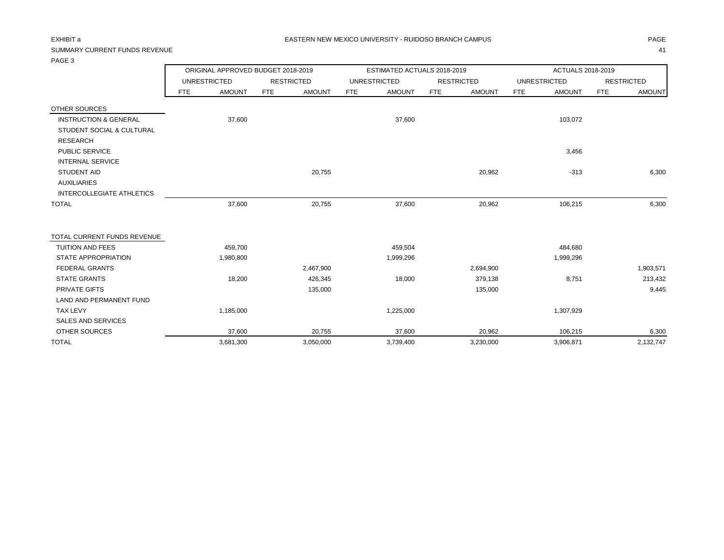## SUMMARY CURRENT FUNDS REVENUE 41

| PAGE 3                               |            |                                    |            |                   |            |                             |            |                   |            |                     |            |                   |
|--------------------------------------|------------|------------------------------------|------------|-------------------|------------|-----------------------------|------------|-------------------|------------|---------------------|------------|-------------------|
|                                      |            | ORIGINAL APPROVED BUDGET 2018-2019 |            |                   |            | ESTIMATED ACTUALS 2018-2019 |            |                   |            | ACTUALS 2018-2019   |            |                   |
|                                      |            | <b>UNRESTRICTED</b>                |            | <b>RESTRICTED</b> |            | <b>UNRESTRICTED</b>         |            | <b>RESTRICTED</b> |            | <b>UNRESTRICTED</b> |            | <b>RESTRICTED</b> |
|                                      | <b>FTE</b> | <b>AMOUNT</b>                      | <b>FTE</b> | <b>AMOUNT</b>     | <b>FTE</b> | <b>AMOUNT</b>               | <b>FTE</b> | <b>AMOUNT</b>     | <b>FTE</b> | <b>AMOUNT</b>       | <b>FTE</b> | <b>AMOUNT</b>     |
| OTHER SOURCES                        |            |                                    |            |                   |            |                             |            |                   |            |                     |            |                   |
| <b>INSTRUCTION &amp; GENERAL</b>     |            | 37,600                             |            |                   |            | 37,600                      |            |                   |            | 103,072             |            |                   |
| <b>STUDENT SOCIAL &amp; CULTURAL</b> |            |                                    |            |                   |            |                             |            |                   |            |                     |            |                   |
| <b>RESEARCH</b>                      |            |                                    |            |                   |            |                             |            |                   |            |                     |            |                   |
| PUBLIC SERVICE                       |            |                                    |            |                   |            |                             |            |                   |            | 3,456               |            |                   |
| <b>INTERNAL SERVICE</b>              |            |                                    |            |                   |            |                             |            |                   |            |                     |            |                   |
| <b>STUDENT AID</b>                   |            |                                    |            | 20,755            |            |                             |            | 20,962            |            | $-313$              |            | 6,300             |
| <b>AUXILIARIES</b>                   |            |                                    |            |                   |            |                             |            |                   |            |                     |            |                   |
| INTERCOLLEGIATE ATHLETICS            |            |                                    |            |                   |            |                             |            |                   |            |                     |            |                   |
| <b>TOTAL</b>                         |            | 37,600                             |            | 20,755            |            | 37,600                      |            | 20,962            |            | 106,215             |            | 6,300             |
| TOTAL CURRENT FUNDS REVENUE          |            |                                    |            |                   |            |                             |            |                   |            |                     |            |                   |
| <b>TUITION AND FEES</b>              |            | 459,700                            |            |                   |            | 459,504                     |            |                   |            | 484,680             |            |                   |
| <b>STATE APPROPRIATION</b>           |            | 1,980,800                          |            |                   |            | 1,999,296                   |            |                   |            | 1,999,296           |            |                   |
| <b>FEDERAL GRANTS</b>                |            |                                    |            | 2,467,900         |            |                             |            | 2,694,900         |            |                     |            | 1,903,571         |
| <b>STATE GRANTS</b>                  |            | 18,200                             |            | 426,345           |            | 18,000                      |            | 379,138           |            | 8,751               |            | 213,432           |
| <b>PRIVATE GIFTS</b>                 |            |                                    |            | 135,000           |            |                             |            | 135,000           |            |                     |            | 9,445             |
| <b>LAND AND PERMANENT FUND</b>       |            |                                    |            |                   |            |                             |            |                   |            |                     |            |                   |
| <b>TAX LEVY</b>                      |            | 1,185,000                          |            |                   |            | 1,225,000                   |            |                   |            | 1,307,929           |            |                   |
| <b>SALES AND SERVICES</b>            |            |                                    |            |                   |            |                             |            |                   |            |                     |            |                   |
| <b>OTHER SOURCES</b>                 |            | 37,600                             |            | 20,755            |            | 37,600                      |            | 20,962            |            | 106,215             |            | 6,300             |
| <b>TOTAL</b>                         |            | 3,681,300                          |            | 3,050,000         |            | 3,739,400                   |            | 3,230,000         |            | 3,906,871           |            | 2,132,747         |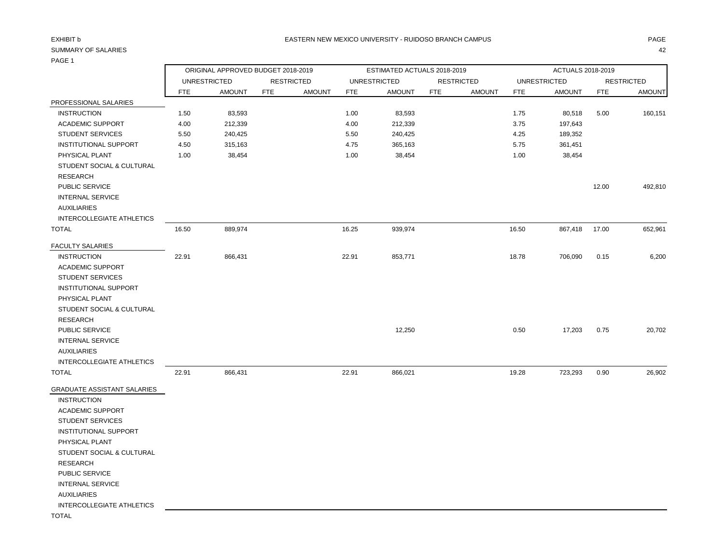## PAGE 1

|                                    | ORIGINAL APPROVED BUDGET 2018-2019 |                     |            |                   |       | ESTIMATED ACTUALS 2018-2019 |            |                   | ACTUALS 2018-2019 |                     |            |                   |
|------------------------------------|------------------------------------|---------------------|------------|-------------------|-------|-----------------------------|------------|-------------------|-------------------|---------------------|------------|-------------------|
|                                    |                                    | <b>UNRESTRICTED</b> |            | <b>RESTRICTED</b> |       | <b>UNRESTRICTED</b>         |            | <b>RESTRICTED</b> |                   | <b>UNRESTRICTED</b> |            | <b>RESTRICTED</b> |
|                                    | <b>FTE</b>                         | <b>AMOUNT</b>       | <b>FTE</b> | <b>AMOUNT</b>     | FTE   | <b>AMOUNT</b>               | <b>FTE</b> | <b>AMOUNT</b>     | <b>FTE</b>        | <b>AMOUNT</b>       | <b>FTE</b> | <b>AMOUNT</b>     |
| PROFESSIONAL SALARIES              |                                    |                     |            |                   |       |                             |            |                   |                   |                     |            |                   |
| <b>INSTRUCTION</b>                 | 1.50                               | 83,593              |            |                   | 1.00  | 83,593                      |            |                   | 1.75              | 80,518              | 5.00       | 160,151           |
| <b>ACADEMIC SUPPORT</b>            | 4.00                               | 212,339             |            |                   | 4.00  | 212,339                     |            |                   | 3.75              | 197,643             |            |                   |
| <b>STUDENT SERVICES</b>            | 5.50                               | 240,425             |            |                   | 5.50  | 240,425                     |            |                   | 4.25              | 189,352             |            |                   |
| <b>INSTITUTIONAL SUPPORT</b>       | 4.50                               | 315,163             |            |                   | 4.75  | 365,163                     |            |                   | 5.75              | 361,451             |            |                   |
| PHYSICAL PLANT                     | 1.00                               | 38,454              |            |                   | 1.00  | 38,454                      |            |                   | 1.00              | 38,454              |            |                   |
| STUDENT SOCIAL & CULTURAL          |                                    |                     |            |                   |       |                             |            |                   |                   |                     |            |                   |
| <b>RESEARCH</b>                    |                                    |                     |            |                   |       |                             |            |                   |                   |                     |            |                   |
| PUBLIC SERVICE                     |                                    |                     |            |                   |       |                             |            |                   |                   |                     | 12.00      | 492,810           |
| <b>INTERNAL SERVICE</b>            |                                    |                     |            |                   |       |                             |            |                   |                   |                     |            |                   |
| <b>AUXILIARIES</b>                 |                                    |                     |            |                   |       |                             |            |                   |                   |                     |            |                   |
| INTERCOLLEGIATE ATHLETICS          |                                    |                     |            |                   |       |                             |            |                   |                   |                     |            |                   |
| <b>TOTAL</b>                       | 16.50                              | 889,974             |            |                   | 16.25 | 939,974                     |            |                   | 16.50             | 867,418             | 17.00      | 652,961           |
| <b>FACULTY SALARIES</b>            |                                    |                     |            |                   |       |                             |            |                   |                   |                     |            |                   |
| <b>INSTRUCTION</b>                 | 22.91                              | 866,431             |            |                   | 22.91 | 853,771                     |            |                   | 18.78             | 706,090             | 0.15       | 6,200             |
| <b>ACADEMIC SUPPORT</b>            |                                    |                     |            |                   |       |                             |            |                   |                   |                     |            |                   |
| <b>STUDENT SERVICES</b>            |                                    |                     |            |                   |       |                             |            |                   |                   |                     |            |                   |
| INSTITUTIONAL SUPPORT              |                                    |                     |            |                   |       |                             |            |                   |                   |                     |            |                   |
| PHYSICAL PLANT                     |                                    |                     |            |                   |       |                             |            |                   |                   |                     |            |                   |
| STUDENT SOCIAL & CULTURAL          |                                    |                     |            |                   |       |                             |            |                   |                   |                     |            |                   |
| <b>RESEARCH</b>                    |                                    |                     |            |                   |       |                             |            |                   |                   |                     |            |                   |
| PUBLIC SERVICE                     |                                    |                     |            |                   |       | 12,250                      |            |                   | 0.50              | 17,203              | 0.75       | 20,702            |
| <b>INTERNAL SERVICE</b>            |                                    |                     |            |                   |       |                             |            |                   |                   |                     |            |                   |
| <b>AUXILIARIES</b>                 |                                    |                     |            |                   |       |                             |            |                   |                   |                     |            |                   |
| <b>INTERCOLLEGIATE ATHLETICS</b>   |                                    |                     |            |                   |       |                             |            |                   |                   |                     |            |                   |
| <b>TOTAL</b>                       | 22.91                              | 866,431             |            |                   | 22.91 | 866,021                     |            |                   | 19.28             | 723,293             | 0.90       | 26,902            |
| <b>GRADUATE ASSISTANT SALARIES</b> |                                    |                     |            |                   |       |                             |            |                   |                   |                     |            |                   |
| <b>INSTRUCTION</b>                 |                                    |                     |            |                   |       |                             |            |                   |                   |                     |            |                   |
| <b>ACADEMIC SUPPORT</b>            |                                    |                     |            |                   |       |                             |            |                   |                   |                     |            |                   |
| <b>STUDENT SERVICES</b>            |                                    |                     |            |                   |       |                             |            |                   |                   |                     |            |                   |

 PHYSICAL PLANT STUDENT SOCIAL & CULTURAL RESEARCH

INSTITUTIONAL SUPPORT

PUBLIC SERVICE

INTERNAL SERVICE

AUXILIARIES

INTERCOLLEGIATE ATHLETICS

TOTAL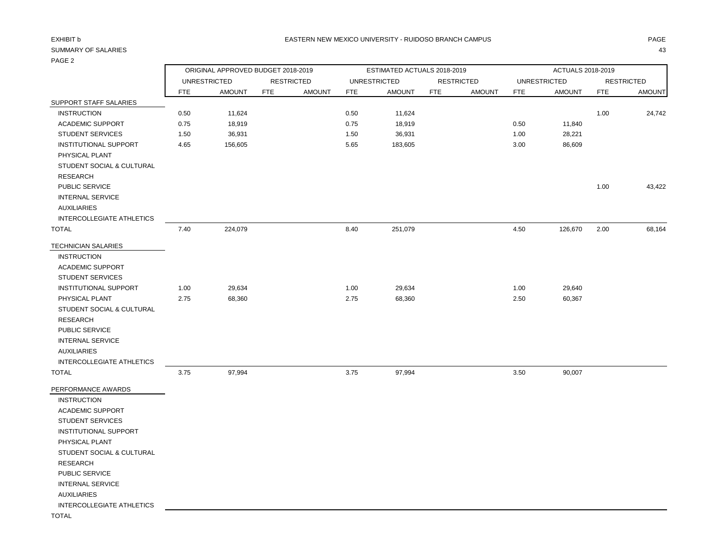| <b>FAGL 4</b>                    |            |                                    |            |                   |            |                             |                   |               |                   |                     |            |                   |
|----------------------------------|------------|------------------------------------|------------|-------------------|------------|-----------------------------|-------------------|---------------|-------------------|---------------------|------------|-------------------|
|                                  |            | ORIGINAL APPROVED BUDGET 2018-2019 |            |                   |            | ESTIMATED ACTUALS 2018-2019 |                   |               | ACTUALS 2018-2019 |                     |            |                   |
|                                  |            | <b>UNRESTRICTED</b>                |            | <b>RESTRICTED</b> |            | <b>UNRESTRICTED</b>         | <b>RESTRICTED</b> |               |                   | <b>UNRESTRICTED</b> |            | <b>RESTRICTED</b> |
|                                  | <b>FTE</b> | <b>AMOUNT</b>                      | <b>FTE</b> | <b>AMOUNT</b>     | <b>FTE</b> | <b>AMOUNT</b>               | <b>FTE</b>        | <b>AMOUNT</b> | <b>FTE</b>        | <b>AMOUNT</b>       | <b>FTE</b> | <b>AMOUNT</b>     |
| SUPPORT STAFF SALARIES           |            |                                    |            |                   |            |                             |                   |               |                   |                     |            |                   |
| <b>INSTRUCTION</b>               | 0.50       | 11,624                             |            |                   | 0.50       | 11,624                      |                   |               |                   |                     | 1.00       | 24,742            |
| <b>ACADEMIC SUPPORT</b>          | 0.75       | 18,919                             |            |                   | 0.75       | 18,919                      |                   |               | 0.50              | 11,840              |            |                   |
| <b>STUDENT SERVICES</b>          | 1.50       | 36,931                             |            |                   | 1.50       | 36,931                      |                   |               | 1.00              | 28,221              |            |                   |
| <b>INSTITUTIONAL SUPPORT</b>     | 4.65       | 156,605                            |            |                   | 5.65       | 183,605                     |                   |               | 3.00              | 86,609              |            |                   |
| PHYSICAL PLANT                   |            |                                    |            |                   |            |                             |                   |               |                   |                     |            |                   |
| STUDENT SOCIAL & CULTURAL        |            |                                    |            |                   |            |                             |                   |               |                   |                     |            |                   |
| <b>RESEARCH</b>                  |            |                                    |            |                   |            |                             |                   |               |                   |                     |            |                   |
| PUBLIC SERVICE                   |            |                                    |            |                   |            |                             |                   |               |                   |                     | 1.00       | 43,422            |
| <b>INTERNAL SERVICE</b>          |            |                                    |            |                   |            |                             |                   |               |                   |                     |            |                   |
| <b>AUXILIARIES</b>               |            |                                    |            |                   |            |                             |                   |               |                   |                     |            |                   |
| INTERCOLLEGIATE ATHLETICS        |            |                                    |            |                   |            |                             |                   |               |                   |                     |            |                   |
| <b>TOTAL</b>                     | 7.40       | 224,079                            |            |                   | 8.40       | 251,079                     |                   |               | 4.50              | 126,670             | 2.00       | 68,164            |
| <b>TECHNICIAN SALARIES</b>       |            |                                    |            |                   |            |                             |                   |               |                   |                     |            |                   |
| <b>INSTRUCTION</b>               |            |                                    |            |                   |            |                             |                   |               |                   |                     |            |                   |
| <b>ACADEMIC SUPPORT</b>          |            |                                    |            |                   |            |                             |                   |               |                   |                     |            |                   |
| <b>STUDENT SERVICES</b>          |            |                                    |            |                   |            |                             |                   |               |                   |                     |            |                   |
| <b>INSTITUTIONAL SUPPORT</b>     | 1.00       | 29,634                             |            |                   | 1.00       | 29,634                      |                   |               | 1.00              | 29,640              |            |                   |
| PHYSICAL PLANT                   | 2.75       | 68,360                             |            |                   | 2.75       | 68,360                      |                   |               | 2.50              | 60,367              |            |                   |
| STUDENT SOCIAL & CULTURAL        |            |                                    |            |                   |            |                             |                   |               |                   |                     |            |                   |
| <b>RESEARCH</b>                  |            |                                    |            |                   |            |                             |                   |               |                   |                     |            |                   |
| PUBLIC SERVICE                   |            |                                    |            |                   |            |                             |                   |               |                   |                     |            |                   |
| <b>INTERNAL SERVICE</b>          |            |                                    |            |                   |            |                             |                   |               |                   |                     |            |                   |
| <b>AUXILIARIES</b>               |            |                                    |            |                   |            |                             |                   |               |                   |                     |            |                   |
| INTERCOLLEGIATE ATHLETICS        |            |                                    |            |                   |            |                             |                   |               |                   |                     |            |                   |
| <b>TOTAL</b>                     | 3.75       | 97,994                             |            |                   | 3.75       | 97,994                      |                   |               | 3.50              | 90,007              |            |                   |
| PERFORMANCE AWARDS               |            |                                    |            |                   |            |                             |                   |               |                   |                     |            |                   |
| <b>INSTRUCTION</b>               |            |                                    |            |                   |            |                             |                   |               |                   |                     |            |                   |
| <b>ACADEMIC SUPPORT</b>          |            |                                    |            |                   |            |                             |                   |               |                   |                     |            |                   |
| <b>STUDENT SERVICES</b>          |            |                                    |            |                   |            |                             |                   |               |                   |                     |            |                   |
| <b>INSTITUTIONAL SUPPORT</b>     |            |                                    |            |                   |            |                             |                   |               |                   |                     |            |                   |
| PHYSICAL PLANT                   |            |                                    |            |                   |            |                             |                   |               |                   |                     |            |                   |
| STUDENT SOCIAL & CULTURAL        |            |                                    |            |                   |            |                             |                   |               |                   |                     |            |                   |
| <b>RESEARCH</b>                  |            |                                    |            |                   |            |                             |                   |               |                   |                     |            |                   |
| PUBLIC SERVICE                   |            |                                    |            |                   |            |                             |                   |               |                   |                     |            |                   |
| <b>INTERNAL SERVICE</b>          |            |                                    |            |                   |            |                             |                   |               |                   |                     |            |                   |
| <b>AUXILIARIES</b>               |            |                                    |            |                   |            |                             |                   |               |                   |                     |            |                   |
| <b>INTERCOLLEGIATE ATHLETICS</b> |            |                                    |            |                   |            |                             |                   |               |                   |                     |            |                   |
| <b>TOTAL</b>                     |            |                                    |            |                   |            |                             |                   |               |                   |                     |            |                   |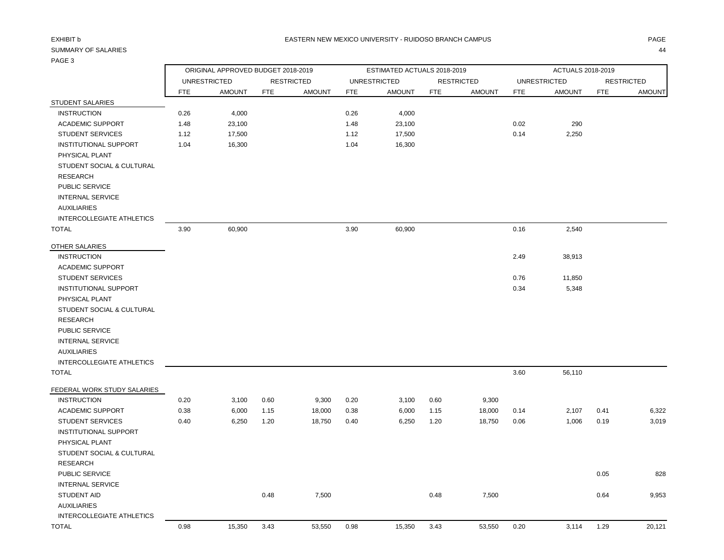| .                                                                                                                                           | ORIGINAL APPROVED BUDGET 2018-2019 |                     |            |                   |            | ESTIMATED ACTUALS 2018-2019 |            |                   | ACTUALS 2018-2019 |                     |            |                   |
|---------------------------------------------------------------------------------------------------------------------------------------------|------------------------------------|---------------------|------------|-------------------|------------|-----------------------------|------------|-------------------|-------------------|---------------------|------------|-------------------|
|                                                                                                                                             |                                    | <b>UNRESTRICTED</b> |            | <b>RESTRICTED</b> |            | <b>UNRESTRICTED</b>         |            | <b>RESTRICTED</b> |                   | <b>UNRESTRICTED</b> |            | <b>RESTRICTED</b> |
|                                                                                                                                             | <b>FTE</b>                         | <b>AMOUNT</b>       | <b>FTE</b> | <b>AMOUNT</b>     | <b>FTE</b> | <b>AMOUNT</b>               | <b>FTE</b> | <b>AMOUNT</b>     | FTE               | <b>AMOUNT</b>       | <b>FTE</b> | <b>AMOUNT</b>     |
| STUDENT SALARIES                                                                                                                            |                                    |                     |            |                   |            |                             |            |                   |                   |                     |            |                   |
| <b>INSTRUCTION</b>                                                                                                                          | 0.26                               | 4,000               |            |                   | 0.26       | 4,000                       |            |                   |                   |                     |            |                   |
| ACADEMIC SUPPORT                                                                                                                            | 1.48                               | 23,100              |            |                   | 1.48       | 23,100                      |            |                   | 0.02              | 290                 |            |                   |
| <b>STUDENT SERVICES</b>                                                                                                                     | 1.12                               | 17,500              |            |                   | 1.12       | 17,500                      |            |                   | 0.14              | 2,250               |            |                   |
| <b>INSTITUTIONAL SUPPORT</b><br>PHYSICAL PLANT<br>STUDENT SOCIAL & CULTURAL<br><b>RESEARCH</b><br>PUBLIC SERVICE<br><b>INTERNAL SERVICE</b> | 1.04                               | 16,300              |            |                   | 1.04       | 16,300                      |            |                   |                   |                     |            |                   |
| <b>AUXILIARIES</b>                                                                                                                          |                                    |                     |            |                   |            |                             |            |                   |                   |                     |            |                   |
| INTERCOLLEGIATE ATHLETICS                                                                                                                   |                                    | 60,900              |            |                   | 3.90       | 60,900                      |            |                   | 0.16              |                     |            |                   |
| <b>TOTAL</b>                                                                                                                                | 3.90                               |                     |            |                   |            |                             |            |                   |                   | 2,540               |            |                   |
| OTHER SALARIES<br><b>INSTRUCTION</b><br><b>ACADEMIC SUPPORT</b>                                                                             |                                    |                     |            |                   |            |                             |            |                   | 2.49              | 38,913              |            |                   |
| <b>STUDENT SERVICES</b>                                                                                                                     |                                    |                     |            |                   |            |                             |            |                   | 0.76              | 11,850              |            |                   |
| INSTITUTIONAL SUPPORT                                                                                                                       |                                    |                     |            |                   |            |                             |            |                   | 0.34              | 5,348               |            |                   |
| PHYSICAL PLANT                                                                                                                              |                                    |                     |            |                   |            |                             |            |                   |                   |                     |            |                   |
| STUDENT SOCIAL & CULTURAL<br><b>RESEARCH</b>                                                                                                |                                    |                     |            |                   |            |                             |            |                   |                   |                     |            |                   |
| PUBLIC SERVICE                                                                                                                              |                                    |                     |            |                   |            |                             |            |                   |                   |                     |            |                   |
| <b>INTERNAL SERVICE</b>                                                                                                                     |                                    |                     |            |                   |            |                             |            |                   |                   |                     |            |                   |
| <b>AUXILIARIES</b>                                                                                                                          |                                    |                     |            |                   |            |                             |            |                   |                   |                     |            |                   |
| INTERCOLLEGIATE ATHLETICS                                                                                                                   |                                    |                     |            |                   |            |                             |            |                   |                   |                     |            |                   |
| <b>TOTAL</b>                                                                                                                                |                                    |                     |            |                   |            |                             |            |                   | 3.60              | 56,110              |            |                   |
|                                                                                                                                             |                                    |                     |            |                   |            |                             |            |                   |                   |                     |            |                   |
| FEDERAL WORK STUDY SALARIES                                                                                                                 |                                    |                     |            |                   |            |                             |            |                   |                   |                     |            |                   |
| <b>INSTRUCTION</b>                                                                                                                          | 0.20                               | 3,100               | 0.60       | 9,300             | 0.20       | 3,100                       | 0.60       | 9,300             |                   |                     |            |                   |
| <b>ACADEMIC SUPPORT</b>                                                                                                                     | 0.38                               | 6,000               | 1.15       | 18,000            | 0.38       | 6,000                       | 1.15       | 18,000            | 0.14              | 2,107               | 0.41       | 6,322             |
| <b>STUDENT SERVICES</b>                                                                                                                     | 0.40                               | 6,250               | 1.20       | 18,750            | 0.40       | 6,250                       | 1.20       | 18,750            | 0.06              | 1,006               | 0.19       | 3,019             |
| <b>INSTITUTIONAL SUPPORT</b>                                                                                                                |                                    |                     |            |                   |            |                             |            |                   |                   |                     |            |                   |
| PHYSICAL PLANT                                                                                                                              |                                    |                     |            |                   |            |                             |            |                   |                   |                     |            |                   |
| STUDENT SOCIAL & CULTURAL                                                                                                                   |                                    |                     |            |                   |            |                             |            |                   |                   |                     |            |                   |
| <b>RESEARCH</b>                                                                                                                             |                                    |                     |            |                   |            |                             |            |                   |                   |                     |            |                   |
| PUBLIC SERVICE                                                                                                                              |                                    |                     |            |                   |            |                             |            |                   |                   |                     | 0.05       | 828               |
| <b>INTERNAL SERVICE</b>                                                                                                                     |                                    |                     |            |                   |            |                             |            |                   |                   |                     |            |                   |
| STUDENT AID                                                                                                                                 |                                    |                     | 0.48       | 7,500             |            |                             | 0.48       | 7,500             |                   |                     | 0.64       | 9,953             |
| <b>AUXILIARIES</b>                                                                                                                          |                                    |                     |            |                   |            |                             |            |                   |                   |                     |            |                   |
| <b>INTERCOLLEGIATE ATHLETICS</b>                                                                                                            |                                    |                     |            |                   |            |                             |            |                   |                   |                     |            |                   |
| <b>TOTAL</b>                                                                                                                                | 0.98                               | 15,350              | 3.43       | 53,550            | 0.98       | 15,350                      | 3.43       | 53,550            | 0.20              | 3,114               | 1.29       | 20,121            |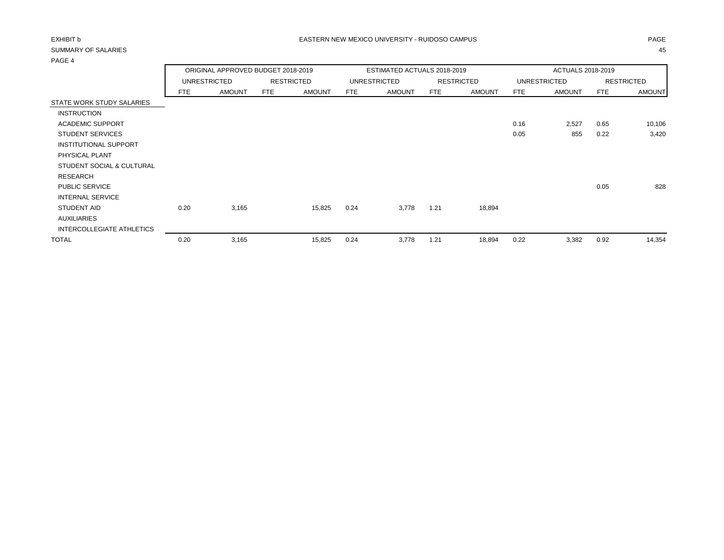| .                            |                                    |               |                   |                             |      |                     |      |                   |            |               |            |                   |
|------------------------------|------------------------------------|---------------|-------------------|-----------------------------|------|---------------------|------|-------------------|------------|---------------|------------|-------------------|
|                              | ORIGINAL APPROVED BUDGET 2018-2019 |               |                   | ESTIMATED ACTUALS 2018-2019 |      |                     |      | ACTUALS 2018-2019 |            |               |            |                   |
|                              | <b>UNRESTRICTED</b>                |               | <b>RESTRICTED</b> |                             |      | <b>UNRESTRICTED</b> |      | <b>RESTRICTED</b> |            | UNRESTRICTED  |            | <b>RESTRICTED</b> |
|                              | <b>FTE</b>                         | <b>AMOUNT</b> | <b>FTE</b>        | <b>AMOUNT</b>               | FTE  | <b>AMOUNT</b>       | FTE  | <b>AMOUNT</b>     | <b>FTE</b> | <b>AMOUNT</b> | <b>FTE</b> | <b>AMOUNT</b>     |
| STATE WORK STUDY SALARIES    |                                    |               |                   |                             |      |                     |      |                   |            |               |            |                   |
| <b>INSTRUCTION</b>           |                                    |               |                   |                             |      |                     |      |                   |            |               |            |                   |
| <b>ACADEMIC SUPPORT</b>      |                                    |               |                   |                             |      |                     |      |                   | 0.16       | 2,527         | 0.65       | 10,106            |
| <b>STUDENT SERVICES</b>      |                                    |               |                   |                             |      |                     |      |                   | 0.05       | 855           | 0.22       | 3,420             |
| <b>INSTITUTIONAL SUPPORT</b> |                                    |               |                   |                             |      |                     |      |                   |            |               |            |                   |
| PHYSICAL PLANT               |                                    |               |                   |                             |      |                     |      |                   |            |               |            |                   |
| STUDENT SOCIAL & CULTURAL    |                                    |               |                   |                             |      |                     |      |                   |            |               |            |                   |
| <b>RESEARCH</b>              |                                    |               |                   |                             |      |                     |      |                   |            |               |            |                   |
| PUBLIC SERVICE               |                                    |               |                   |                             |      |                     |      |                   |            |               | 0.05       | 828               |
| <b>INTERNAL SERVICE</b>      |                                    |               |                   |                             |      |                     |      |                   |            |               |            |                   |
| STUDENT AID                  | 0.20                               | 3,165         |                   | 15,825                      | 0.24 | 3,778               | 1.21 | 18,894            |            |               |            |                   |
| <b>AUXILIARIES</b>           |                                    |               |                   |                             |      |                     |      |                   |            |               |            |                   |
| INTERCOLLEGIATE ATHLETICS    |                                    |               |                   |                             |      |                     |      |                   |            |               |            |                   |
| <b>TOTAL</b>                 | 0.20                               | 3,165         |                   | 15,825                      | 0.24 | 3,778               | 1.21 | 18,894            | 0.22       | 3,382         | 0.92       | 14,354            |
|                              |                                    |               |                   |                             |      |                     |      |                   |            |               |            |                   |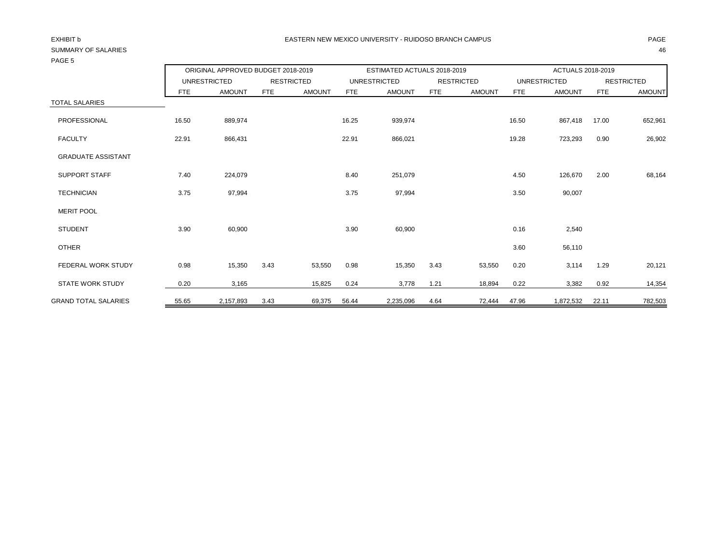| 170LJ                       |       |                                    |      |                   |                             |                     |                   |               |                          |               |                   |               |
|-----------------------------|-------|------------------------------------|------|-------------------|-----------------------------|---------------------|-------------------|---------------|--------------------------|---------------|-------------------|---------------|
|                             |       | ORIGINAL APPROVED BUDGET 2018-2019 |      |                   | ESTIMATED ACTUALS 2018-2019 |                     |                   |               | <b>ACTUALS 2018-2019</b> |               |                   |               |
|                             |       | <b>UNRESTRICTED</b>                |      | <b>RESTRICTED</b> |                             | <b>UNRESTRICTED</b> | <b>RESTRICTED</b> |               | <b>UNRESTRICTED</b>      |               | <b>RESTRICTED</b> |               |
|                             | FTE   | <b>AMOUNT</b>                      | FTE  | <b>AMOUNT</b>     | <b>FTE</b>                  | <b>AMOUNT</b>       | <b>FTE</b>        | <b>AMOUNT</b> | <b>FTE</b>               | <b>AMOUNT</b> | <b>FTE</b>        | <b>AMOUNT</b> |
| <b>TOTAL SALARIES</b>       |       |                                    |      |                   |                             |                     |                   |               |                          |               |                   |               |
| PROFESSIONAL                | 16.50 | 889,974                            |      |                   | 16.25                       | 939,974             |                   |               | 16.50                    | 867,418       | 17.00             | 652,961       |
| <b>FACULTY</b>              | 22.91 | 866,431                            |      |                   | 22.91                       | 866,021             |                   |               | 19.28                    | 723,293       | 0.90              | 26,902        |
| <b>GRADUATE ASSISTANT</b>   |       |                                    |      |                   |                             |                     |                   |               |                          |               |                   |               |
| <b>SUPPORT STAFF</b>        | 7.40  | 224,079                            |      |                   | 8.40                        | 251,079             |                   |               | 4.50                     | 126,670       | 2.00              | 68,164        |
| <b>TECHNICIAN</b>           | 3.75  | 97,994                             |      |                   | 3.75                        | 97,994              |                   |               | 3.50                     | 90,007        |                   |               |
| <b>MERIT POOL</b>           |       |                                    |      |                   |                             |                     |                   |               |                          |               |                   |               |
| <b>STUDENT</b>              | 3.90  | 60,900                             |      |                   | 3.90                        | 60,900              |                   |               | 0.16                     | 2,540         |                   |               |
| <b>OTHER</b>                |       |                                    |      |                   |                             |                     |                   |               | 3.60                     | 56,110        |                   |               |
| <b>FEDERAL WORK STUDY</b>   | 0.98  | 15,350                             | 3.43 | 53,550            | 0.98                        | 15,350              | 3.43              | 53,550        | 0.20                     | 3,114         | 1.29              | 20,121        |
| <b>STATE WORK STUDY</b>     | 0.20  | 3,165                              |      | 15,825            | 0.24                        | 3,778               | 1.21              | 18,894        | 0.22                     | 3,382         | 0.92              | 14,354        |
| <b>GRAND TOTAL SALARIES</b> | 55.65 | 2,157,893                          | 3.43 | 69,375            | 56.44                       | 2,235,096           | 4.64              | 72,444        | 47.96                    | 1,872,532     | 22.11             | 782,503       |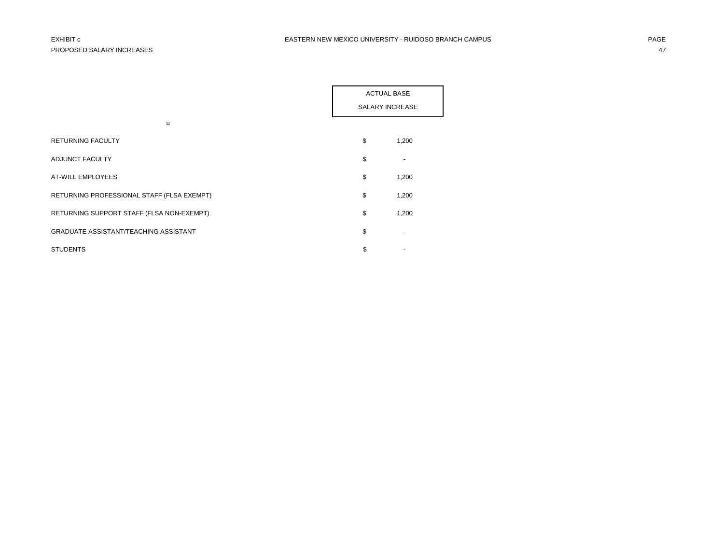|                                              | <b>ACTUAL BASE</b> |                 |  |
|----------------------------------------------|--------------------|-----------------|--|
|                                              |                    | SALARY INCREASE |  |
| u                                            |                    |                 |  |
| <b>RETURNING FACULTY</b>                     | \$                 | 1,200           |  |
| ADJUNCT FACULTY                              | \$                 |                 |  |
| AT-WILL EMPLOYEES                            | \$                 | 1,200           |  |
| RETURNING PROFESSIONAL STAFF (FLSA EXEMPT)   | \$                 | 1,200           |  |
| RETURNING SUPPORT STAFF (FLSA NON-EXEMPT)    | \$                 | 1,200           |  |
| <b>GRADUATE ASSISTANT/TEACHING ASSISTANT</b> | \$                 |                 |  |
| <b>STUDENTS</b>                              | \$                 |                 |  |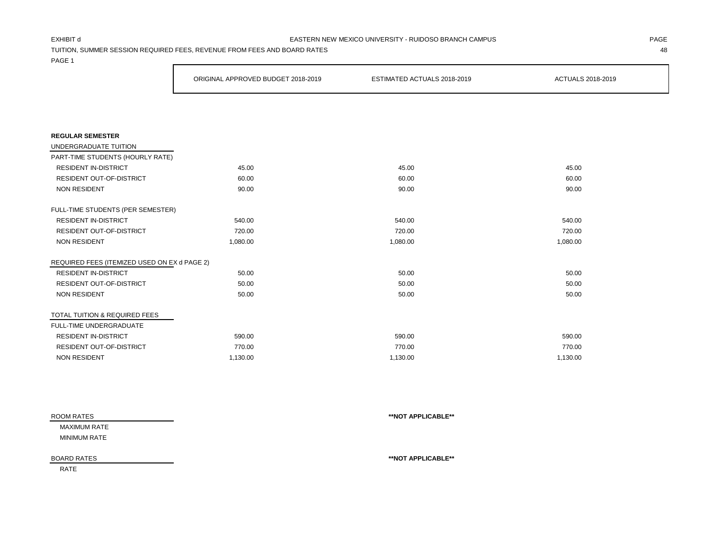### EXHIBIT d PAGE EASTERN NEW MEXICO UNIVERSITY - RUIDOSO BRANCH CAMPUS

TUITION, SUMMER SESSION REQUIRED FEES, REVENUE FROM FEES AND BOARD RATES 48

PAGE 1

|                                              | ORIGINAL APPROVED BUDGET 2018-2019 | ESTIMATED ACTUALS 2018-2019 | ACTUALS 2018-2019 |  |  |
|----------------------------------------------|------------------------------------|-----------------------------|-------------------|--|--|
|                                              |                                    |                             |                   |  |  |
|                                              |                                    |                             |                   |  |  |
| <b>REGULAR SEMESTER</b>                      |                                    |                             |                   |  |  |
| UNDERGRADUATE TUITION                        |                                    |                             |                   |  |  |
| PART-TIME STUDENTS (HOURLY RATE)             |                                    |                             |                   |  |  |
| <b>RESIDENT IN-DISTRICT</b>                  | 45.00                              | 45.00                       | 45.00             |  |  |
| <b>RESIDENT OUT-OF-DISTRICT</b>              | 60.00                              | 60.00                       | 60.00             |  |  |
| <b>NON RESIDENT</b>                          | 90.00                              | 90.00                       | 90.00             |  |  |
| FULL-TIME STUDENTS (PER SEMESTER)            |                                    |                             |                   |  |  |
| <b>RESIDENT IN-DISTRICT</b>                  | 540.00                             | 540.00                      | 540.00            |  |  |
| <b>RESIDENT OUT-OF-DISTRICT</b>              | 720.00                             | 720.00                      | 720.00            |  |  |
| <b>NON RESIDENT</b>                          | 1,080.00                           | 1,080.00                    | 1,080.00          |  |  |
| REQUIRED FEES (ITEMIZED USED ON EX d PAGE 2) |                                    |                             |                   |  |  |
| <b>RESIDENT IN-DISTRICT</b>                  | 50.00                              | 50.00                       | 50.00             |  |  |
| RESIDENT OUT-OF-DISTRICT                     | 50.00                              | 50.00                       | 50.00             |  |  |
| <b>NON RESIDENT</b>                          | 50.00                              | 50.00                       | 50.00             |  |  |
| TOTAL TUITION & REQUIRED FEES                |                                    |                             |                   |  |  |
| FULL-TIME UNDERGRADUATE                      |                                    |                             |                   |  |  |
| <b>RESIDENT IN-DISTRICT</b>                  | 590.00                             | 590.00                      | 590.00            |  |  |
| <b>RESIDENT OUT-OF-DISTRICT</b>              | 770.00                             | 770.00                      | 770.00            |  |  |
| <b>NON RESIDENT</b>                          | 1,130.00                           | 1,130.00                    | 1,130.00          |  |  |

| ROOM RATES         | **NOT APPLICABLE** |
|--------------------|--------------------|
| MAXIMUM RATE       |                    |
| MINIMUM RATE       |                    |
|                    |                    |
| <b>BOARD RATES</b> | **NOT APPLICABLE** |

RATE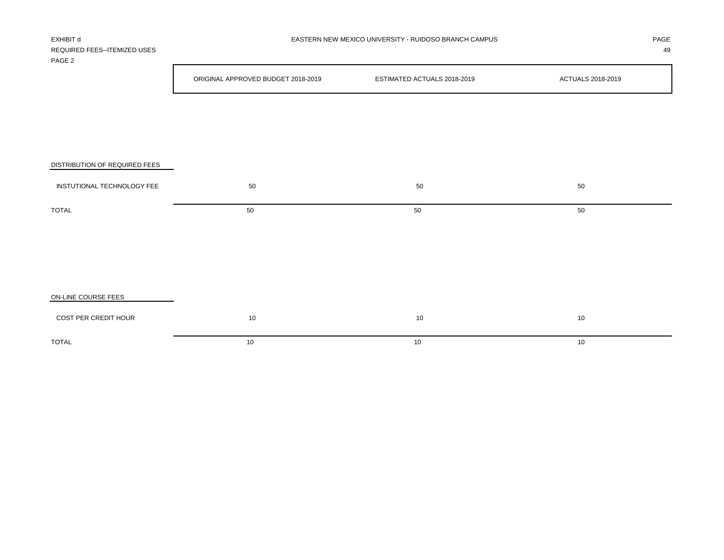| REQUIRED FEES--ITEMIZED USES<br>PAGE <sub>2</sub> |                                    |                             | 49                |
|---------------------------------------------------|------------------------------------|-----------------------------|-------------------|
|                                                   | ORIGINAL APPROVED BUDGET 2018-2019 | ESTIMATED ACTUALS 2018-2019 | ACTUALS 2018-2019 |
|                                                   |                                    |                             |                   |
|                                                   |                                    |                             |                   |
| DISTRIBUTION OF REQUIRED FEES                     |                                    |                             |                   |
| INSTUTIONAL TECHNOLOGY FEE                        | 50                                 | 50                          | 50                |
| <b>TOTAL</b>                                      | 50                                 | 50                          | 50                |
|                                                   |                                    |                             |                   |
|                                                   |                                    |                             |                   |
| ON-LINE COURSE FEES                               |                                    |                             |                   |
| COST PER CREDIT HOUR                              | 10                                 | 10                          | 10                |

 $\blacksquare$  TOTAL to the contract of the contract of the contract of the contract of the contract of the contract of the contract of the contract of the contract of the contract of the contract of the contract of the contract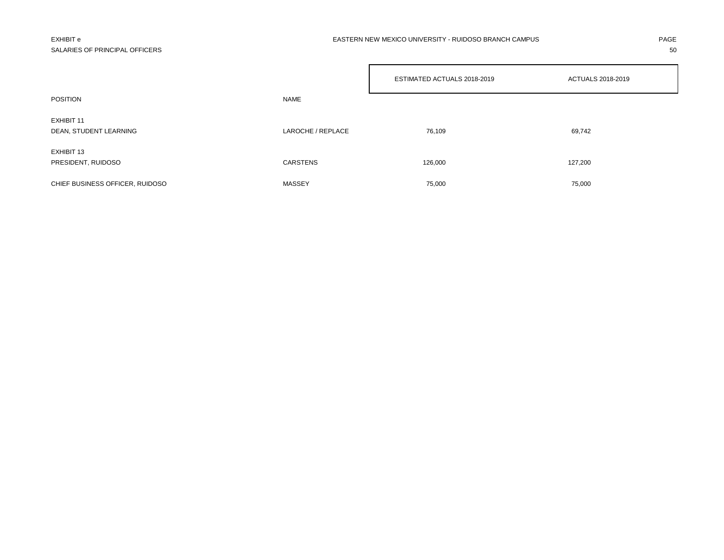## SALARIES OF PRINCIPAL OFFICERS 50

### EXHIBIT e PAGE EASTERN NEW MEXICO UNIVERSITY - RUIDOSO BRANCH CAMPUS

|                                      |                   | ESTIMATED ACTUALS 2018-2019 | ACTUALS 2018-2019 |
|--------------------------------------|-------------------|-----------------------------|-------------------|
| <b>POSITION</b>                      | <b>NAME</b>       |                             |                   |
| EXHIBIT 11<br>DEAN, STUDENT LEARNING | LAROCHE / REPLACE | 76,109                      | 69,742            |
| EXHIBIT 13<br>PRESIDENT, RUIDOSO     | CARSTENS          | 126,000                     | 127,200           |
| CHIEF BUSINESS OFFICER, RUIDOSO      | MASSEY            | 75,000                      | 75,000            |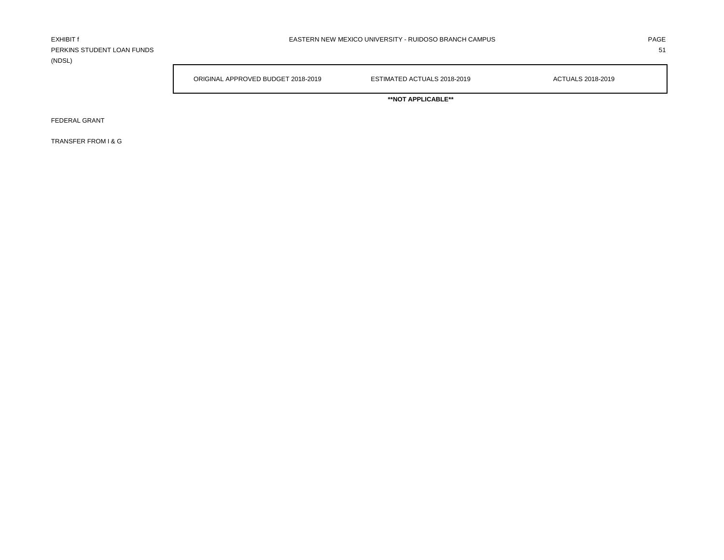PERKINS STUDENT LOAN FUNDS 51 (NDSL)

ORIGINAL APPROVED BUDGET 2018-2019 ESTIMATED ACTUALS 2018-2019 ACTUALS 2018-2019

**\*\*NOT APPLICABLE\*\***

FEDERAL GRANT

TRANSFER FROM I & G